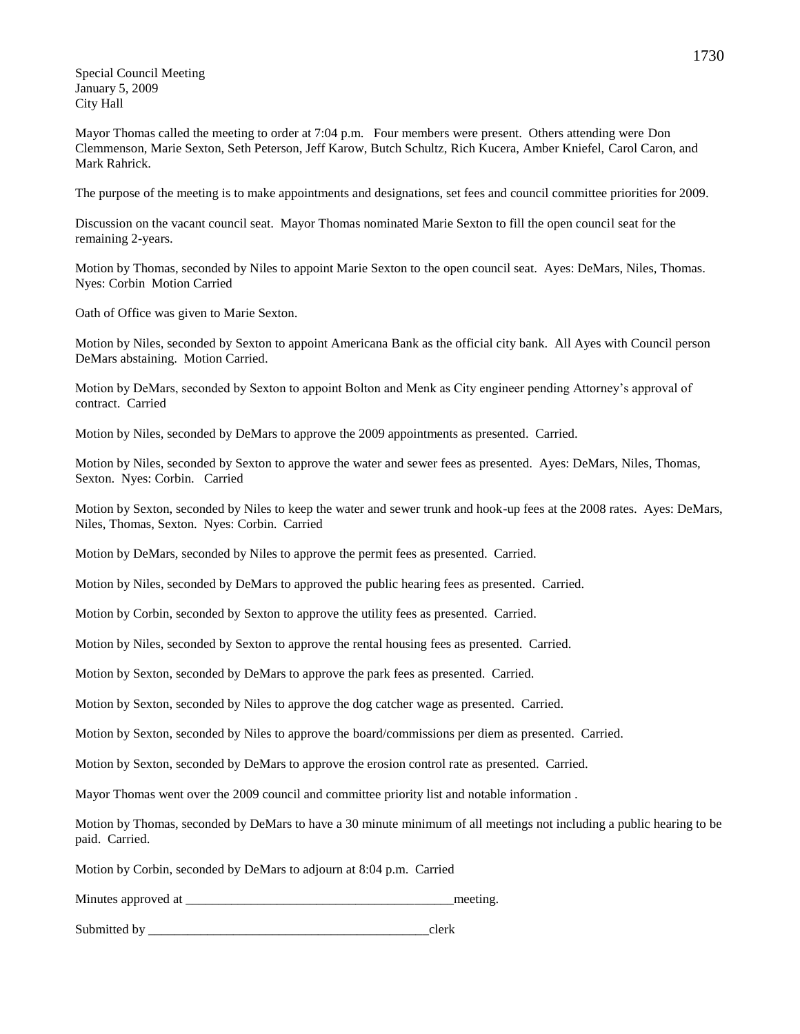Special Council Meeting January 5, 2009 City Hall

Mayor Thomas called the meeting to order at 7:04 p.m. Four members were present. Others attending were Don Clemmenson, Marie Sexton, Seth Peterson, Jeff Karow, Butch Schultz, Rich Kucera, Amber Kniefel, Carol Caron, and Mark Rahrick.

The purpose of the meeting is to make appointments and designations, set fees and council committee priorities for 2009.

Discussion on the vacant council seat. Mayor Thomas nominated Marie Sexton to fill the open council seat for the remaining 2-years.

Motion by Thomas, seconded by Niles to appoint Marie Sexton to the open council seat. Ayes: DeMars, Niles, Thomas. Nyes: Corbin Motion Carried

Oath of Office was given to Marie Sexton.

Motion by Niles, seconded by Sexton to appoint Americana Bank as the official city bank. All Ayes with Council person DeMars abstaining. Motion Carried.

Motion by DeMars, seconded by Sexton to appoint Bolton and Menk as City engineer pending Attorney's approval of contract. Carried

Motion by Niles, seconded by DeMars to approve the 2009 appointments as presented. Carried.

Motion by Niles, seconded by Sexton to approve the water and sewer fees as presented. Ayes: DeMars, Niles, Thomas, Sexton. Nyes: Corbin. Carried

Motion by Sexton, seconded by Niles to keep the water and sewer trunk and hook-up fees at the 2008 rates. Ayes: DeMars, Niles, Thomas, Sexton. Nyes: Corbin. Carried

Motion by DeMars, seconded by Niles to approve the permit fees as presented. Carried.

Motion by Niles, seconded by DeMars to approved the public hearing fees as presented. Carried.

Motion by Corbin, seconded by Sexton to approve the utility fees as presented. Carried.

Motion by Niles, seconded by Sexton to approve the rental housing fees as presented. Carried.

Motion by Sexton, seconded by DeMars to approve the park fees as presented. Carried.

Motion by Sexton, seconded by Niles to approve the dog catcher wage as presented. Carried.

Motion by Sexton, seconded by Niles to approve the board/commissions per diem as presented. Carried.

Motion by Sexton, seconded by DeMars to approve the erosion control rate as presented. Carried.

Mayor Thomas went over the 2009 council and committee priority list and notable information .

Motion by Thomas, seconded by DeMars to have a 30 minute minimum of all meetings not including a public hearing to be paid. Carried.

Motion by Corbin, seconded by DeMars to adjourn at 8:04 p.m. Carried

Minutes approved at \_\_\_\_\_\_\_\_\_\_\_\_\_\_\_\_\_\_\_\_\_\_\_\_\_\_\_\_\_\_\_\_\_\_\_\_\_\_\_\_\_meeting.

Submitted by  $\Box$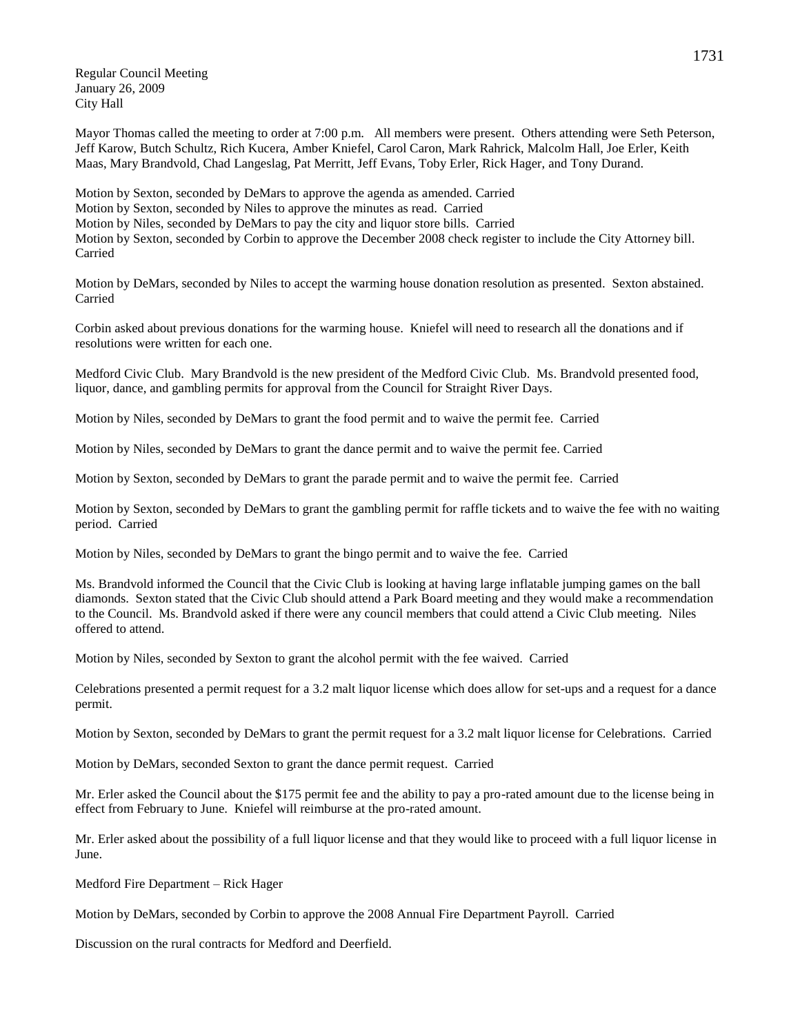Regular Council Meeting January 26, 2009 City Hall

Mayor Thomas called the meeting to order at 7:00 p.m. All members were present. Others attending were Seth Peterson, Jeff Karow, Butch Schultz, Rich Kucera, Amber Kniefel, Carol Caron, Mark Rahrick, Malcolm Hall, Joe Erler, Keith Maas, Mary Brandvold, Chad Langeslag, Pat Merritt, Jeff Evans, Toby Erler, Rick Hager, and Tony Durand.

Motion by Sexton, seconded by DeMars to approve the agenda as amended. Carried Motion by Sexton, seconded by Niles to approve the minutes as read. Carried Motion by Niles, seconded by DeMars to pay the city and liquor store bills. Carried Motion by Sexton, seconded by Corbin to approve the December 2008 check register to include the City Attorney bill. Carried

Motion by DeMars, seconded by Niles to accept the warming house donation resolution as presented. Sexton abstained. Carried

Corbin asked about previous donations for the warming house. Kniefel will need to research all the donations and if resolutions were written for each one.

Medford Civic Club. Mary Brandvold is the new president of the Medford Civic Club. Ms. Brandvold presented food, liquor, dance, and gambling permits for approval from the Council for Straight River Days.

Motion by Niles, seconded by DeMars to grant the food permit and to waive the permit fee. Carried

Motion by Niles, seconded by DeMars to grant the dance permit and to waive the permit fee. Carried

Motion by Sexton, seconded by DeMars to grant the parade permit and to waive the permit fee. Carried

Motion by Sexton, seconded by DeMars to grant the gambling permit for raffle tickets and to waive the fee with no waiting period. Carried

Motion by Niles, seconded by DeMars to grant the bingo permit and to waive the fee. Carried

Ms. Brandvold informed the Council that the Civic Club is looking at having large inflatable jumping games on the ball diamonds. Sexton stated that the Civic Club should attend a Park Board meeting and they would make a recommendation to the Council. Ms. Brandvold asked if there were any council members that could attend a Civic Club meeting. Niles offered to attend.

Motion by Niles, seconded by Sexton to grant the alcohol permit with the fee waived. Carried

Celebrations presented a permit request for a 3.2 malt liquor license which does allow for set-ups and a request for a dance permit.

Motion by Sexton, seconded by DeMars to grant the permit request for a 3.2 malt liquor license for Celebrations. Carried

Motion by DeMars, seconded Sexton to grant the dance permit request. Carried

Mr. Erler asked the Council about the \$175 permit fee and the ability to pay a pro-rated amount due to the license being in effect from February to June. Kniefel will reimburse at the pro-rated amount.

Mr. Erler asked about the possibility of a full liquor license and that they would like to proceed with a full liquor license in June.

Medford Fire Department – Rick Hager

Motion by DeMars, seconded by Corbin to approve the 2008 Annual Fire Department Payroll. Carried

Discussion on the rural contracts for Medford and Deerfield.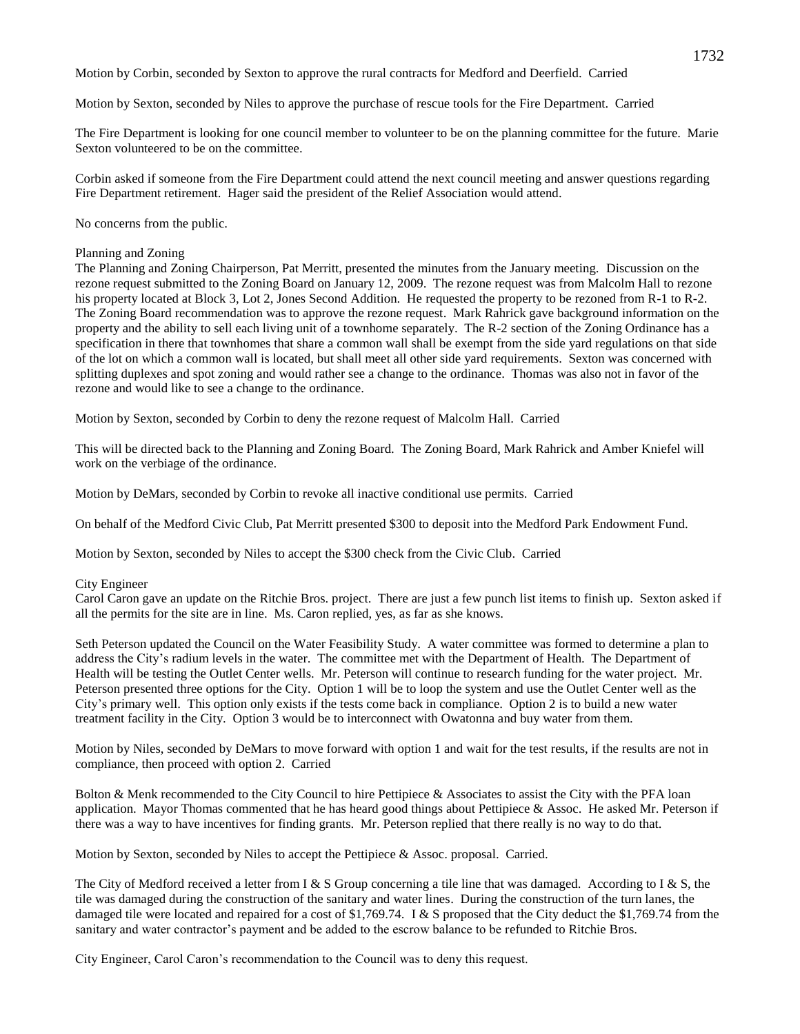Motion by Corbin, seconded by Sexton to approve the rural contracts for Medford and Deerfield. Carried

Motion by Sexton, seconded by Niles to approve the purchase of rescue tools for the Fire Department. Carried

The Fire Department is looking for one council member to volunteer to be on the planning committee for the future. Marie Sexton volunteered to be on the committee.

Corbin asked if someone from the Fire Department could attend the next council meeting and answer questions regarding Fire Department retirement. Hager said the president of the Relief Association would attend.

No concerns from the public.

## Planning and Zoning

The Planning and Zoning Chairperson, Pat Merritt, presented the minutes from the January meeting. Discussion on the rezone request submitted to the Zoning Board on January 12, 2009. The rezone request was from Malcolm Hall to rezone his property located at Block 3, Lot 2, Jones Second Addition. He requested the property to be rezoned from R-1 to R-2. The Zoning Board recommendation was to approve the rezone request. Mark Rahrick gave background information on the property and the ability to sell each living unit of a townhome separately. The R-2 section of the Zoning Ordinance has a specification in there that townhomes that share a common wall shall be exempt from the side yard regulations on that side of the lot on which a common wall is located, but shall meet all other side yard requirements. Sexton was concerned with splitting duplexes and spot zoning and would rather see a change to the ordinance. Thomas was also not in favor of the rezone and would like to see a change to the ordinance.

Motion by Sexton, seconded by Corbin to deny the rezone request of Malcolm Hall. Carried

This will be directed back to the Planning and Zoning Board. The Zoning Board, Mark Rahrick and Amber Kniefel will work on the verbiage of the ordinance.

Motion by DeMars, seconded by Corbin to revoke all inactive conditional use permits. Carried

On behalf of the Medford Civic Club, Pat Merritt presented \$300 to deposit into the Medford Park Endowment Fund.

Motion by Sexton, seconded by Niles to accept the \$300 check from the Civic Club. Carried

## City Engineer

Carol Caron gave an update on the Ritchie Bros. project. There are just a few punch list items to finish up. Sexton asked if all the permits for the site are in line. Ms. Caron replied, yes, as far as she knows.

Seth Peterson updated the Council on the Water Feasibility Study. A water committee was formed to determine a plan to address the City's radium levels in the water. The committee met with the Department of Health. The Department of Health will be testing the Outlet Center wells. Mr. Peterson will continue to research funding for the water project. Mr. Peterson presented three options for the City. Option 1 will be to loop the system and use the Outlet Center well as the City's primary well. This option only exists if the tests come back in compliance. Option 2 is to build a new water treatment facility in the City. Option 3 would be to interconnect with Owatonna and buy water from them.

Motion by Niles, seconded by DeMars to move forward with option 1 and wait for the test results, if the results are not in compliance, then proceed with option 2. Carried

Bolton & Menk recommended to the City Council to hire Pettipiece & Associates to assist the City with the PFA loan application. Mayor Thomas commented that he has heard good things about Pettipiece & Assoc. He asked Mr. Peterson if there was a way to have incentives for finding grants. Mr. Peterson replied that there really is no way to do that.

Motion by Sexton, seconded by Niles to accept the Pettipiece & Assoc. proposal. Carried.

The City of Medford received a letter from I & S Group concerning a tile line that was damaged. According to I & S, the tile was damaged during the construction of the sanitary and water lines. During the construction of the turn lanes, the damaged tile were located and repaired for a cost of \$1,769.74. I & S proposed that the City deduct the \$1,769.74 from the sanitary and water contractor's payment and be added to the escrow balance to be refunded to Ritchie Bros.

City Engineer, Carol Caron's recommendation to the Council was to deny this request.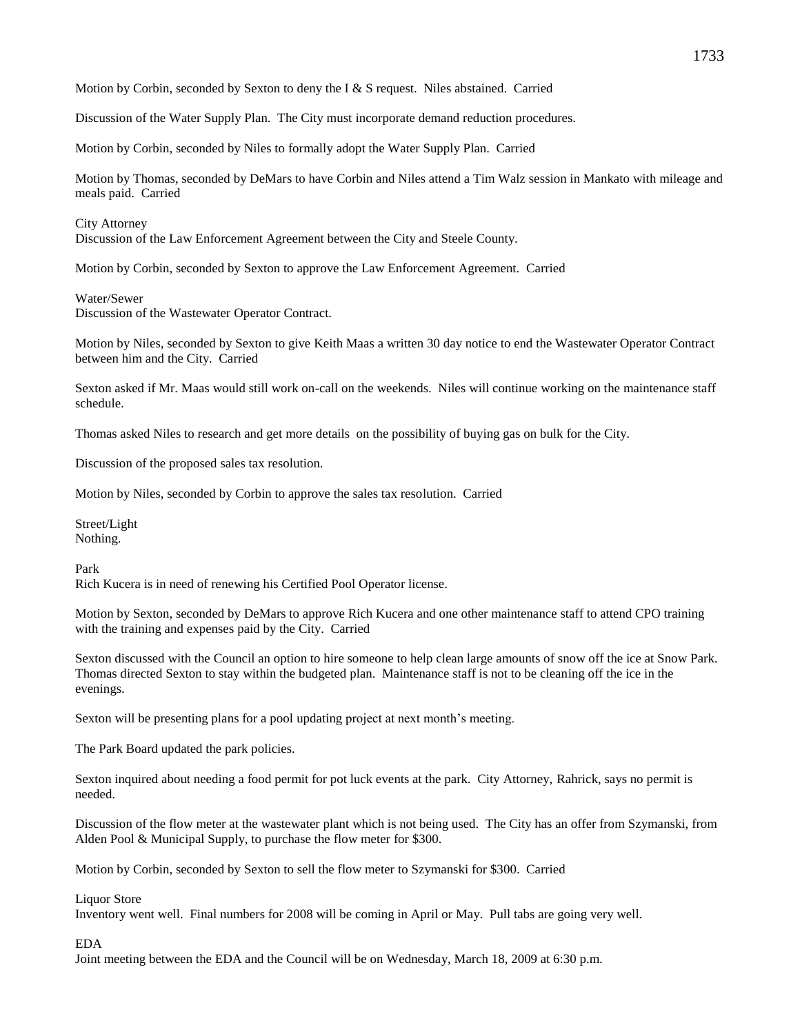Motion by Corbin, seconded by Sexton to deny the I  $&$  S request. Niles abstained. Carried

Discussion of the Water Supply Plan. The City must incorporate demand reduction procedures.

Motion by Corbin, seconded by Niles to formally adopt the Water Supply Plan. Carried

Motion by Thomas, seconded by DeMars to have Corbin and Niles attend a Tim Walz session in Mankato with mileage and meals paid. Carried

#### City Attorney

Discussion of the Law Enforcement Agreement between the City and Steele County.

Motion by Corbin, seconded by Sexton to approve the Law Enforcement Agreement. Carried

### Water/Sewer

Discussion of the Wastewater Operator Contract.

Motion by Niles, seconded by Sexton to give Keith Maas a written 30 day notice to end the Wastewater Operator Contract between him and the City. Carried

Sexton asked if Mr. Maas would still work on-call on the weekends. Niles will continue working on the maintenance staff schedule.

Thomas asked Niles to research and get more details on the possibility of buying gas on bulk for the City.

Discussion of the proposed sales tax resolution.

Motion by Niles, seconded by Corbin to approve the sales tax resolution. Carried

Street/Light Nothing.

### Park

Rich Kucera is in need of renewing his Certified Pool Operator license.

Motion by Sexton, seconded by DeMars to approve Rich Kucera and one other maintenance staff to attend CPO training with the training and expenses paid by the City. Carried

Sexton discussed with the Council an option to hire someone to help clean large amounts of snow off the ice at Snow Park. Thomas directed Sexton to stay within the budgeted plan. Maintenance staff is not to be cleaning off the ice in the evenings.

Sexton will be presenting plans for a pool updating project at next month's meeting.

The Park Board updated the park policies.

Sexton inquired about needing a food permit for pot luck events at the park. City Attorney, Rahrick, says no permit is needed.

Discussion of the flow meter at the wastewater plant which is not being used. The City has an offer from Szymanski, from Alden Pool & Municipal Supply, to purchase the flow meter for \$300.

Motion by Corbin, seconded by Sexton to sell the flow meter to Szymanski for \$300. Carried

## Liquor Store

Inventory went well. Final numbers for 2008 will be coming in April or May. Pull tabs are going very well.

## EDA

Joint meeting between the EDA and the Council will be on Wednesday, March 18, 2009 at 6:30 p.m.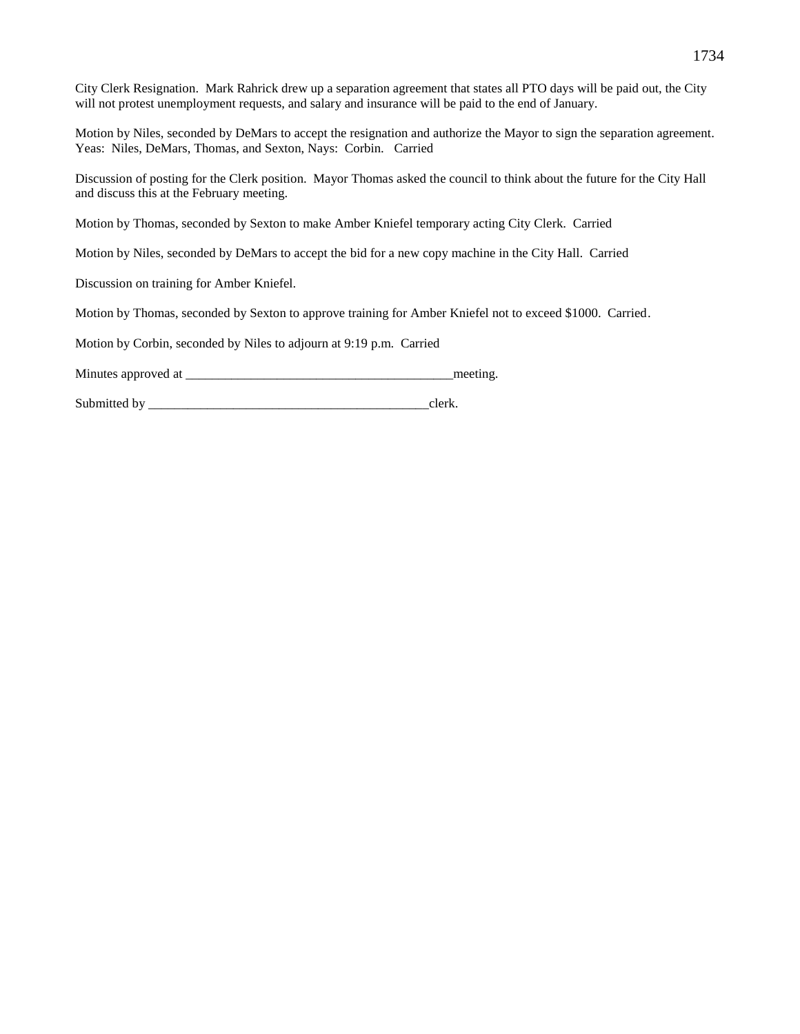| City Clerk Resignation. Mark Rahrick drew up a separation agreement that states all PTO days will be paid out, the City<br>will not protest unemployment requests, and salary and insurance will be paid to the end of January. |
|---------------------------------------------------------------------------------------------------------------------------------------------------------------------------------------------------------------------------------|
| Motion by Niles, seconded by DeMars to accept the resignation and authorize the Mayor to sign the separation agreement.<br>Yeas: Niles, DeMars, Thomas, and Sexton, Nays: Corbin. Carried                                       |
| Discussion of posting for the Clerk position. Mayor Thomas asked the council to think about the future for the City Hall<br>and discuss this at the February meeting.                                                           |
| Motion by Thomas, seconded by Sexton to make Amber Kniefel temporary acting City Clerk. Carried                                                                                                                                 |
| Motion by Niles, seconded by DeMars to accept the bid for a new copy machine in the City Hall. Carried                                                                                                                          |
| Discussion on training for Amber Kniefel.                                                                                                                                                                                       |
| Motion by Thomas, seconded by Sexton to approve training for Amber Kniefel not to exceed \$1000. Carried.                                                                                                                       |
| Motion by Corbin, seconded by Niles to adjourn at 9:19 p.m. Carried                                                                                                                                                             |

Minutes approved at \_\_\_\_\_\_\_\_\_\_\_\_\_\_\_\_\_\_\_\_\_\_\_\_\_\_\_\_\_\_\_\_\_\_\_\_\_\_\_\_\_meeting.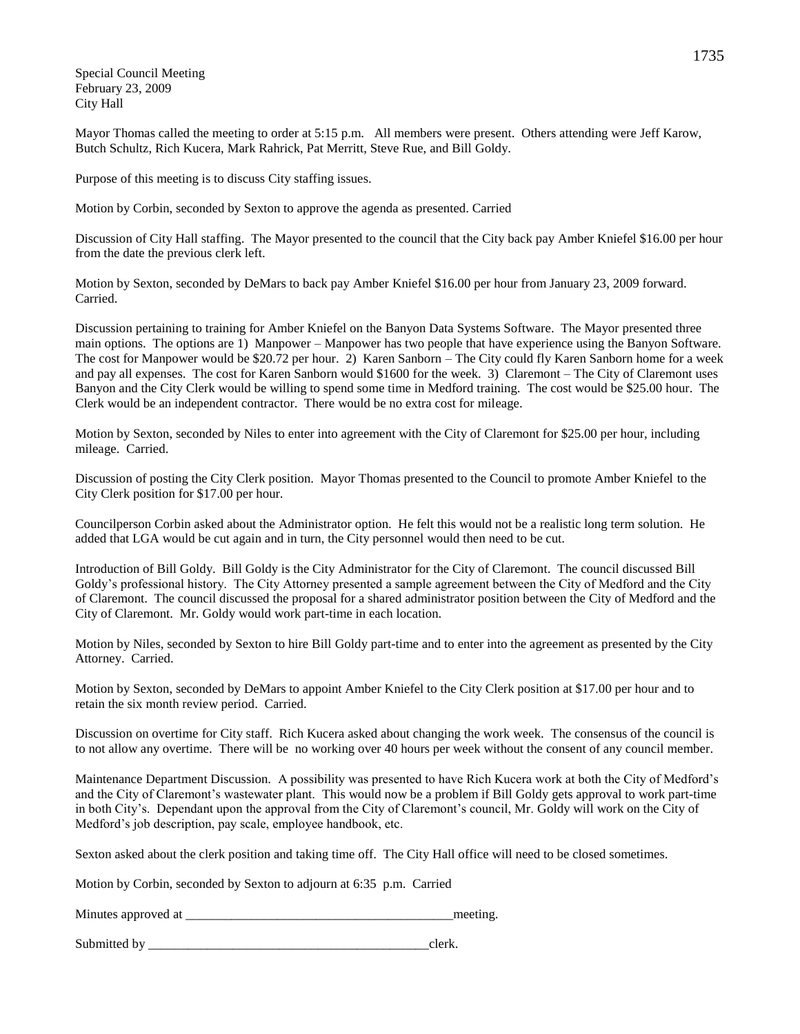Special Council Meeting February 23, 2009 City Hall

Mayor Thomas called the meeting to order at 5:15 p.m. All members were present. Others attending were Jeff Karow, Butch Schultz, Rich Kucera, Mark Rahrick, Pat Merritt, Steve Rue, and Bill Goldy.

Purpose of this meeting is to discuss City staffing issues.

Motion by Corbin, seconded by Sexton to approve the agenda as presented. Carried

Discussion of City Hall staffing. The Mayor presented to the council that the City back pay Amber Kniefel \$16.00 per hour from the date the previous clerk left.

Motion by Sexton, seconded by DeMars to back pay Amber Kniefel \$16.00 per hour from January 23, 2009 forward. Carried.

Discussion pertaining to training for Amber Kniefel on the Banyon Data Systems Software. The Mayor presented three main options. The options are 1) Manpower – Manpower has two people that have experience using the Banyon Software. The cost for Manpower would be \$20.72 per hour. 2) Karen Sanborn – The City could fly Karen Sanborn home for a week and pay all expenses. The cost for Karen Sanborn would \$1600 for the week. 3) Claremont – The City of Claremont uses Banyon and the City Clerk would be willing to spend some time in Medford training. The cost would be \$25.00 hour. The Clerk would be an independent contractor. There would be no extra cost for mileage.

Motion by Sexton, seconded by Niles to enter into agreement with the City of Claremont for \$25.00 per hour, including mileage. Carried.

Discussion of posting the City Clerk position. Mayor Thomas presented to the Council to promote Amber Kniefel to the City Clerk position for \$17.00 per hour.

Councilperson Corbin asked about the Administrator option. He felt this would not be a realistic long term solution. He added that LGA would be cut again and in turn, the City personnel would then need to be cut.

Introduction of Bill Goldy. Bill Goldy is the City Administrator for the City of Claremont. The council discussed Bill Goldy's professional history. The City Attorney presented a sample agreement between the City of Medford and the City of Claremont. The council discussed the proposal for a shared administrator position between the City of Medford and the City of Claremont. Mr. Goldy would work part-time in each location.

Motion by Niles, seconded by Sexton to hire Bill Goldy part-time and to enter into the agreement as presented by the City Attorney. Carried.

Motion by Sexton, seconded by DeMars to appoint Amber Kniefel to the City Clerk position at \$17.00 per hour and to retain the six month review period. Carried.

Discussion on overtime for City staff. Rich Kucera asked about changing the work week. The consensus of the council is to not allow any overtime. There will be no working over 40 hours per week without the consent of any council member.

Maintenance Department Discussion. A possibility was presented to have Rich Kucera work at both the City of Medford's and the City of Claremont's wastewater plant. This would now be a problem if Bill Goldy gets approval to work part-time in both City's. Dependant upon the approval from the City of Claremont's council, Mr. Goldy will work on the City of Medford's job description, pay scale, employee handbook, etc.

Sexton asked about the clerk position and taking time off. The City Hall office will need to be closed sometimes.

Motion by Corbin, seconded by Sexton to adjourn at 6:35 p.m. Carried

Minutes approved at the meeting.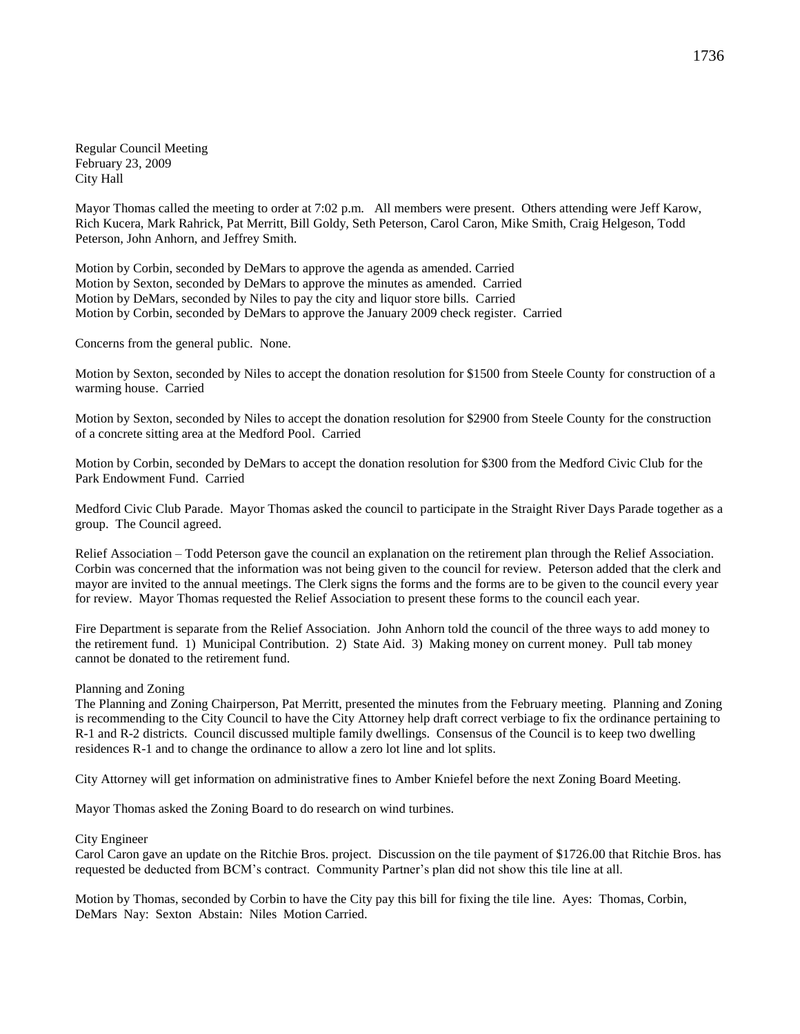Regular Council Meeting February 23, 2009 City Hall

Mayor Thomas called the meeting to order at 7:02 p.m. All members were present. Others attending were Jeff Karow, Rich Kucera, Mark Rahrick, Pat Merritt, Bill Goldy, Seth Peterson, Carol Caron, Mike Smith, Craig Helgeson, Todd Peterson, John Anhorn, and Jeffrey Smith.

Motion by Corbin, seconded by DeMars to approve the agenda as amended. Carried Motion by Sexton, seconded by DeMars to approve the minutes as amended. Carried Motion by DeMars, seconded by Niles to pay the city and liquor store bills. Carried Motion by Corbin, seconded by DeMars to approve the January 2009 check register. Carried

Concerns from the general public. None.

Motion by Sexton, seconded by Niles to accept the donation resolution for \$1500 from Steele County for construction of a warming house. Carried

Motion by Sexton, seconded by Niles to accept the donation resolution for \$2900 from Steele County for the construction of a concrete sitting area at the Medford Pool. Carried

Motion by Corbin, seconded by DeMars to accept the donation resolution for \$300 from the Medford Civic Club for the Park Endowment Fund. Carried

Medford Civic Club Parade. Mayor Thomas asked the council to participate in the Straight River Days Parade together as a group. The Council agreed.

Relief Association – Todd Peterson gave the council an explanation on the retirement plan through the Relief Association. Corbin was concerned that the information was not being given to the council for review. Peterson added that the clerk and mayor are invited to the annual meetings. The Clerk signs the forms and the forms are to be given to the council every year for review. Mayor Thomas requested the Relief Association to present these forms to the council each year.

Fire Department is separate from the Relief Association. John Anhorn told the council of the three ways to add money to the retirement fund. 1) Municipal Contribution. 2) State Aid. 3) Making money on current money. Pull tab money cannot be donated to the retirement fund.

### Planning and Zoning

The Planning and Zoning Chairperson, Pat Merritt, presented the minutes from the February meeting. Planning and Zoning is recommending to the City Council to have the City Attorney help draft correct verbiage to fix the ordinance pertaining to R-1 and R-2 districts. Council discussed multiple family dwellings. Consensus of the Council is to keep two dwelling residences R-1 and to change the ordinance to allow a zero lot line and lot splits.

City Attorney will get information on administrative fines to Amber Kniefel before the next Zoning Board Meeting.

Mayor Thomas asked the Zoning Board to do research on wind turbines.

#### City Engineer

Carol Caron gave an update on the Ritchie Bros. project. Discussion on the tile payment of \$1726.00 that Ritchie Bros. has requested be deducted from BCM's contract. Community Partner's plan did not show this tile line at all.

Motion by Thomas, seconded by Corbin to have the City pay this bill for fixing the tile line. Ayes: Thomas, Corbin, DeMars Nay: Sexton Abstain: Niles Motion Carried.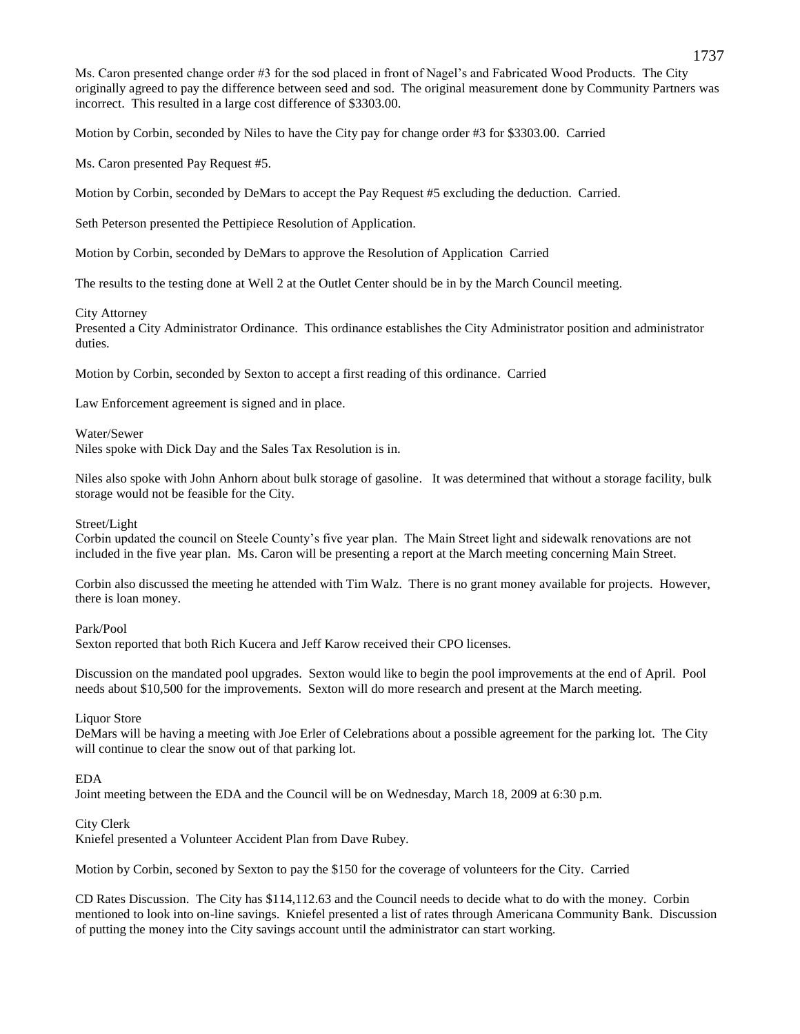Ms. Caron presented change order #3 for the sod placed in front of Nagel's and Fabricated Wood Products. The City originally agreed to pay the difference between seed and sod. The original measurement done by Community Partners was incorrect. This resulted in a large cost difference of \$3303.00.

Motion by Corbin, seconded by Niles to have the City pay for change order #3 for \$3303.00. Carried

Ms. Caron presented Pay Request #5.

Motion by Corbin, seconded by DeMars to accept the Pay Request #5 excluding the deduction. Carried.

Seth Peterson presented the Pettipiece Resolution of Application.

Motion by Corbin, seconded by DeMars to approve the Resolution of Application Carried

The results to the testing done at Well 2 at the Outlet Center should be in by the March Council meeting.

## City Attorney

Presented a City Administrator Ordinance. This ordinance establishes the City Administrator position and administrator duties.

Motion by Corbin, seconded by Sexton to accept a first reading of this ordinance. Carried

Law Enforcement agreement is signed and in place.

Water/Sewer

Niles spoke with Dick Day and the Sales Tax Resolution is in.

Niles also spoke with John Anhorn about bulk storage of gasoline. It was determined that without a storage facility, bulk storage would not be feasible for the City.

## Street/Light

Corbin updated the council on Steele County's five year plan. The Main Street light and sidewalk renovations are not included in the five year plan. Ms. Caron will be presenting a report at the March meeting concerning Main Street.

Corbin also discussed the meeting he attended with Tim Walz. There is no grant money available for projects. However, there is loan money.

Park/Pool

Sexton reported that both Rich Kucera and Jeff Karow received their CPO licenses.

Discussion on the mandated pool upgrades. Sexton would like to begin the pool improvements at the end of April. Pool needs about \$10,500 for the improvements. Sexton will do more research and present at the March meeting.

## Liquor Store

DeMars will be having a meeting with Joe Erler of Celebrations about a possible agreement for the parking lot. The City will continue to clear the snow out of that parking lot.

## EDA

Joint meeting between the EDA and the Council will be on Wednesday, March 18, 2009 at 6:30 p.m.

## City Clerk

Kniefel presented a Volunteer Accident Plan from Dave Rubey.

Motion by Corbin, seconed by Sexton to pay the \$150 for the coverage of volunteers for the City. Carried

CD Rates Discussion. The City has \$114,112.63 and the Council needs to decide what to do with the money. Corbin mentioned to look into on-line savings. Kniefel presented a list of rates through Americana Community Bank. Discussion of putting the money into the City savings account until the administrator can start working.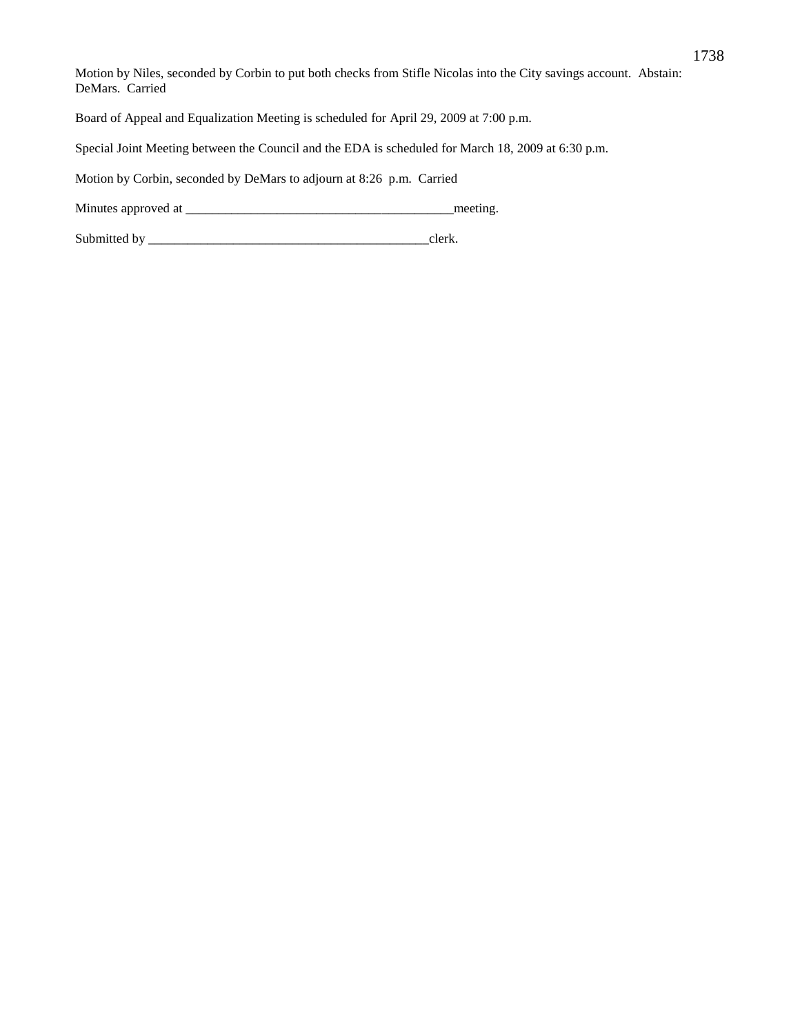Motion by Niles, seconded by Corbin to put both checks from Stifle Nicolas into the City savings account. Abstain: DeMars. Carried Board of Appeal and Equalization Meeting is scheduled for April 29, 2009 at 7:00 p.m. Special Joint Meeting between the Council and the EDA is scheduled for March 18, 2009 at 6:30 p.m.

Motion by Corbin, seconded by DeMars to adjourn at 8:26 p.m. Carried

Minutes approved at \_\_\_\_\_\_\_\_\_\_\_\_\_\_\_\_\_\_\_\_\_\_\_\_\_\_\_\_\_\_\_\_\_\_\_\_\_\_\_\_\_meeting.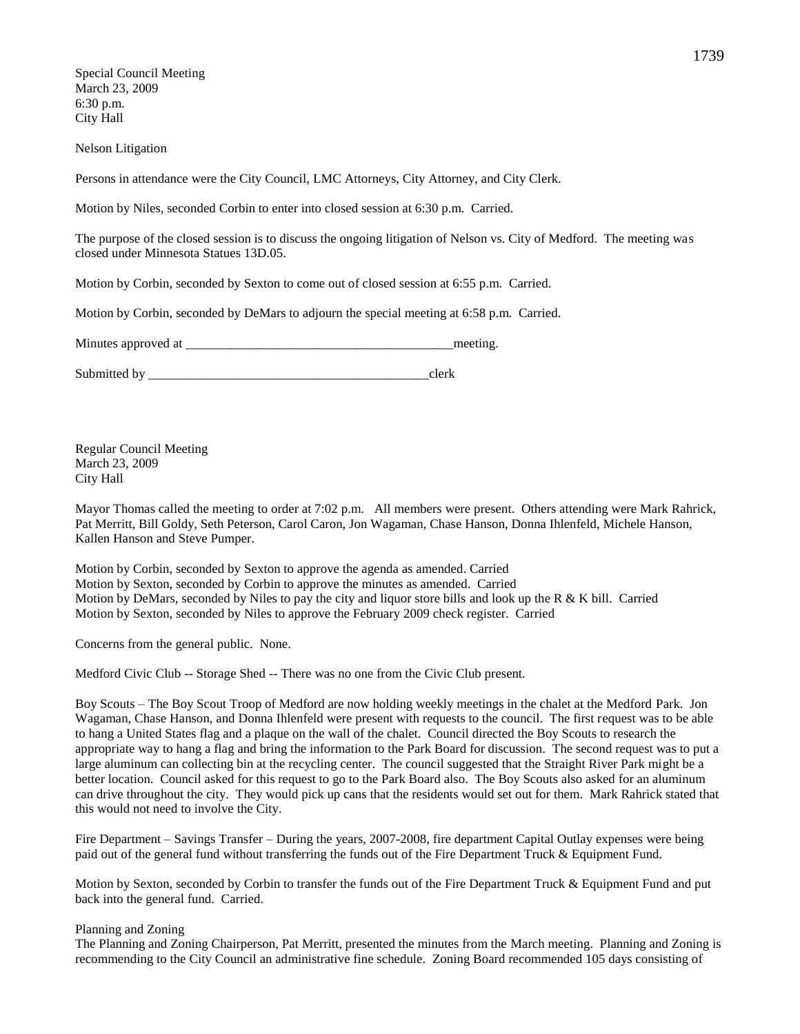Special Council Meeting March 23, 2009 6:30 p.m. City Hall

Nelson Litigation

Persons in attendance were the City Council, LMC Attorneys, City Attorney, and City Clerk.

Motion by Niles, seconded Corbin to enter into closed session at 6:30 p.m. Carried.

The purpose of the closed session is to discuss the ongoing litigation of Nelson vs. City of Medford. The meeting was closed under Minnesota Statues 13D.05.

Motion by Corbin, seconded by Sexton to come out of closed session at 6:55 p.m. Carried.

Motion by Corbin, seconded by DeMars to adjourn the special meeting at 6:58 p.m. Carried.

Minutes approved at \_\_\_\_\_\_\_\_\_\_\_\_\_\_\_\_\_\_\_\_\_\_\_\_\_\_\_\_\_\_\_\_\_\_\_\_\_\_\_\_\_meeting.

Submitted by \_\_\_\_\_\_\_\_\_\_\_\_\_\_\_\_\_\_\_\_\_\_\_\_\_\_\_\_\_\_\_\_\_\_\_\_\_\_\_\_\_\_\_clerk

Regular Council Meeting March 23, 2009 City Hall

Mayor Thomas called the meeting to order at 7:02 p.m. All members were present. Others attending were Mark Rahrick, Pat Merritt, Bill Goldy, Seth Peterson, Carol Caron, Jon Wagaman, Chase Hanson, Donna Ihlenfeld, Michele Hanson, Kallen Hanson and Steve Pumper.

Motion by Corbin, seconded by Sexton to approve the agenda as amended. Carried Motion by Sexton, seconded by Corbin to approve the minutes as amended. Carried Motion by DeMars, seconded by Niles to pay the city and liquor store bills and look up the R & K bill. Carried Motion by Sexton, seconded by Niles to approve the February 2009 check register. Carried

Concerns from the general public. None.

Medford Civic Club -- Storage Shed -- There was no one from the Civic Club present.

Boy Scouts – The Boy Scout Troop of Medford are now holding weekly meetings in the chalet at the Medford Park. Jon Wagaman, Chase Hanson, and Donna Ihlenfeld were present with requests to the council. The first request was to be able to hang a United States flag and a plaque on the wall of the chalet. Council directed the Boy Scouts to research the appropriate way to hang a flag and bring the information to the Park Board for discussion. The second request was to put a large aluminum can collecting bin at the recycling center. The council suggested that the Straight River Park might be a better location. Council asked for this request to go to the Park Board also. The Boy Scouts also asked for an aluminum can drive throughout the city. They would pick up cans that the residents would set out for them. Mark Rahrick stated that this would not need to involve the City.

Fire Department – Savings Transfer – During the years, 2007-2008, fire department Capital Outlay expenses were being paid out of the general fund without transferring the funds out of the Fire Department Truck & Equipment Fund.

Motion by Sexton, seconded by Corbin to transfer the funds out of the Fire Department Truck & Equipment Fund and put back into the general fund. Carried.

### Planning and Zoning

The Planning and Zoning Chairperson, Pat Merritt, presented the minutes from the March meeting. Planning and Zoning is recommending to the City Council an administrative fine schedule. Zoning Board recommended 105 days consisting of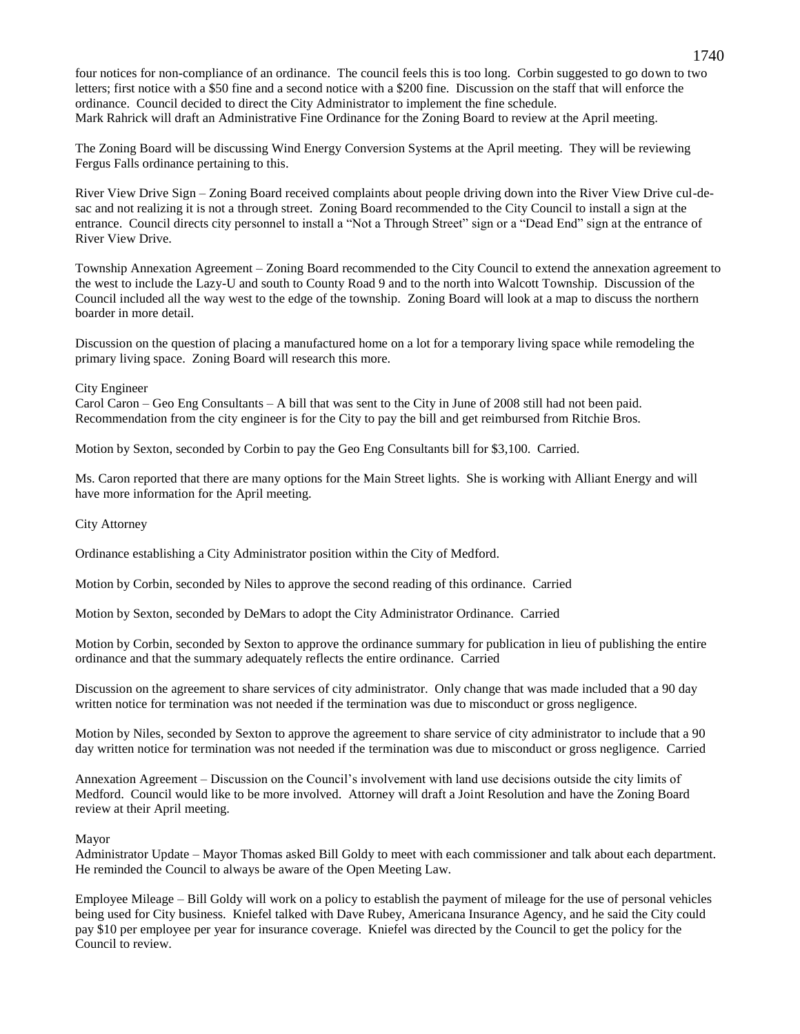four notices for non-compliance of an ordinance. The council feels this is too long. Corbin suggested to go down to two letters; first notice with a \$50 fine and a second notice with a \$200 fine. Discussion on the staff that will enforce the ordinance. Council decided to direct the City Administrator to implement the fine schedule. Mark Rahrick will draft an Administrative Fine Ordinance for the Zoning Board to review at the April meeting.

The Zoning Board will be discussing Wind Energy Conversion Systems at the April meeting. They will be reviewing Fergus Falls ordinance pertaining to this.

River View Drive Sign – Zoning Board received complaints about people driving down into the River View Drive cul-desac and not realizing it is not a through street. Zoning Board recommended to the City Council to install a sign at the entrance. Council directs city personnel to install a "Not a Through Street" sign or a "Dead End" sign at the entrance of River View Drive.

Township Annexation Agreement – Zoning Board recommended to the City Council to extend the annexation agreement to the west to include the Lazy-U and south to County Road 9 and to the north into Walcott Township. Discussion of the Council included all the way west to the edge of the township. Zoning Board will look at a map to discuss the northern boarder in more detail.

Discussion on the question of placing a manufactured home on a lot for a temporary living space while remodeling the primary living space. Zoning Board will research this more.

## City Engineer

Carol Caron – Geo Eng Consultants – A bill that was sent to the City in June of 2008 still had not been paid. Recommendation from the city engineer is for the City to pay the bill and get reimbursed from Ritchie Bros.

Motion by Sexton, seconded by Corbin to pay the Geo Eng Consultants bill for \$3,100. Carried.

Ms. Caron reported that there are many options for the Main Street lights. She is working with Alliant Energy and will have more information for the April meeting.

City Attorney

Ordinance establishing a City Administrator position within the City of Medford.

Motion by Corbin, seconded by Niles to approve the second reading of this ordinance. Carried

Motion by Sexton, seconded by DeMars to adopt the City Administrator Ordinance. Carried

Motion by Corbin, seconded by Sexton to approve the ordinance summary for publication in lieu of publishing the entire ordinance and that the summary adequately reflects the entire ordinance. Carried

Discussion on the agreement to share services of city administrator. Only change that was made included that a 90 day written notice for termination was not needed if the termination was due to misconduct or gross negligence.

Motion by Niles, seconded by Sexton to approve the agreement to share service of city administrator to include that a 90 day written notice for termination was not needed if the termination was due to misconduct or gross negligence. Carried

Annexation Agreement – Discussion on the Council's involvement with land use decisions outside the city limits of Medford. Council would like to be more involved. Attorney will draft a Joint Resolution and have the Zoning Board review at their April meeting.

## Mayor

Administrator Update – Mayor Thomas asked Bill Goldy to meet with each commissioner and talk about each department. He reminded the Council to always be aware of the Open Meeting Law.

Employee Mileage – Bill Goldy will work on a policy to establish the payment of mileage for the use of personal vehicles being used for City business. Kniefel talked with Dave Rubey, Americana Insurance Agency, and he said the City could pay \$10 per employee per year for insurance coverage. Kniefel was directed by the Council to get the policy for the Council to review.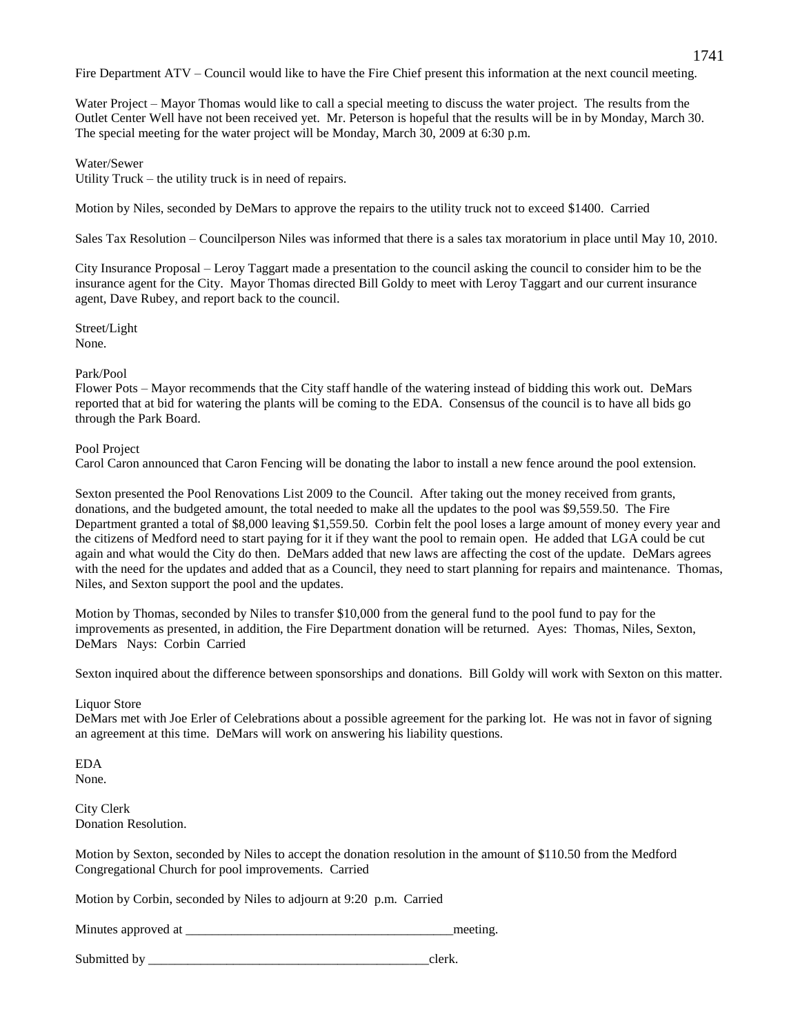Fire Department ATV – Council would like to have the Fire Chief present this information at the next council meeting.

Water Project – Mayor Thomas would like to call a special meeting to discuss the water project. The results from the Outlet Center Well have not been received yet. Mr. Peterson is hopeful that the results will be in by Monday, March 30. The special meeting for the water project will be Monday, March 30, 2009 at 6:30 p.m.

# Water/Sewer

Utility Truck – the utility truck is in need of repairs.

Motion by Niles, seconded by DeMars to approve the repairs to the utility truck not to exceed \$1400. Carried

Sales Tax Resolution – Councilperson Niles was informed that there is a sales tax moratorium in place until May 10, 2010.

City Insurance Proposal – Leroy Taggart made a presentation to the council asking the council to consider him to be the insurance agent for the City. Mayor Thomas directed Bill Goldy to meet with Leroy Taggart and our current insurance agent, Dave Rubey, and report back to the council.

Street/Light None.

# Park/Pool

Flower Pots – Mayor recommends that the City staff handle of the watering instead of bidding this work out. DeMars reported that at bid for watering the plants will be coming to the EDA. Consensus of the council is to have all bids go through the Park Board.

## Pool Project

Carol Caron announced that Caron Fencing will be donating the labor to install a new fence around the pool extension.

Sexton presented the Pool Renovations List 2009 to the Council. After taking out the money received from grants, donations, and the budgeted amount, the total needed to make all the updates to the pool was \$9,559.50. The Fire Department granted a total of \$8,000 leaving \$1,559.50. Corbin felt the pool loses a large amount of money every year and the citizens of Medford need to start paying for it if they want the pool to remain open. He added that LGA could be cut again and what would the City do then. DeMars added that new laws are affecting the cost of the update. DeMars agrees with the need for the updates and added that as a Council, they need to start planning for repairs and maintenance. Thomas, Niles, and Sexton support the pool and the updates.

Motion by Thomas, seconded by Niles to transfer \$10,000 from the general fund to the pool fund to pay for the improvements as presented, in addition, the Fire Department donation will be returned. Ayes: Thomas, Niles, Sexton, DeMars Nays: Corbin Carried

Sexton inquired about the difference between sponsorships and donations. Bill Goldy will work with Sexton on this matter.

## Liquor Store

DeMars met with Joe Erler of Celebrations about a possible agreement for the parking lot. He was not in favor of signing an agreement at this time. DeMars will work on answering his liability questions.

EDA None.

City Clerk Donation Resolution.

Motion by Sexton, seconded by Niles to accept the donation resolution in the amount of \$110.50 from the Medford Congregational Church for pool improvements. Carried

Motion by Corbin, seconded by Niles to adjourn at 9:20 p.m. Carried

Minutes approved at  $\blacksquare$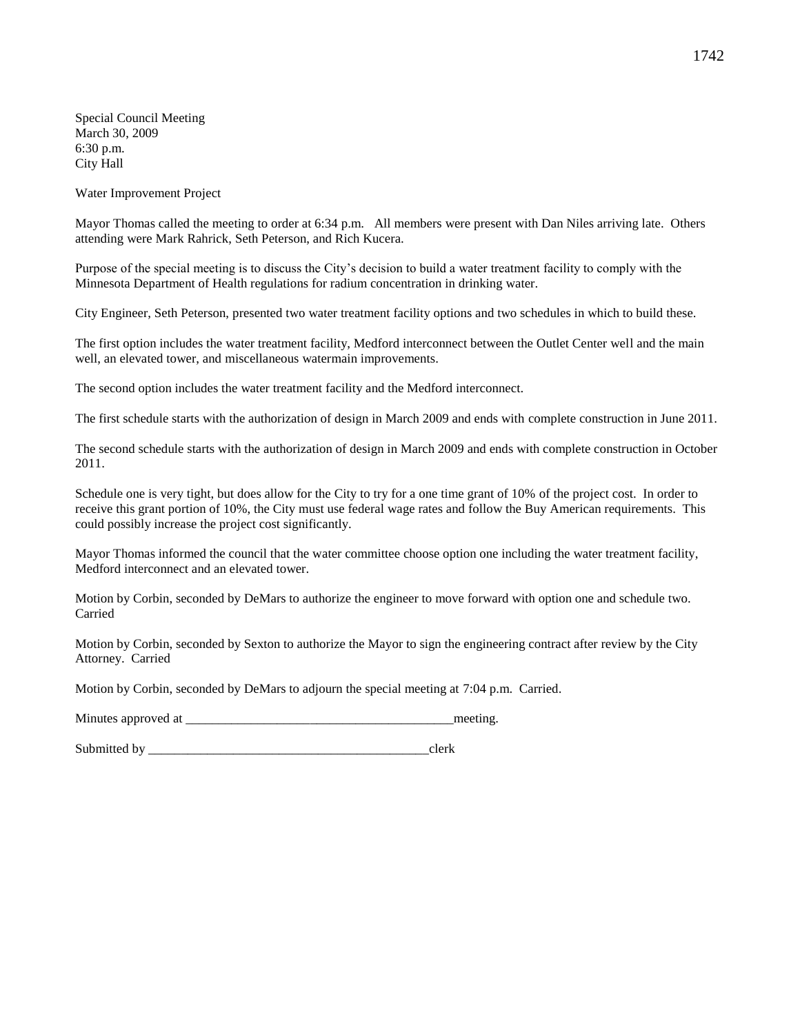Special Council Meeting March 30, 2009 6:30 p.m. City Hall

Water Improvement Project

Mayor Thomas called the meeting to order at 6:34 p.m. All members were present with Dan Niles arriving late. Others attending were Mark Rahrick, Seth Peterson, and Rich Kucera.

Purpose of the special meeting is to discuss the City's decision to build a water treatment facility to comply with the Minnesota Department of Health regulations for radium concentration in drinking water.

City Engineer, Seth Peterson, presented two water treatment facility options and two schedules in which to build these.

The first option includes the water treatment facility, Medford interconnect between the Outlet Center well and the main well, an elevated tower, and miscellaneous watermain improvements.

The second option includes the water treatment facility and the Medford interconnect.

The first schedule starts with the authorization of design in March 2009 and ends with complete construction in June 2011.

The second schedule starts with the authorization of design in March 2009 and ends with complete construction in October 2011.

Schedule one is very tight, but does allow for the City to try for a one time grant of 10% of the project cost. In order to receive this grant portion of 10%, the City must use federal wage rates and follow the Buy American requirements. This could possibly increase the project cost significantly.

Mayor Thomas informed the council that the water committee choose option one including the water treatment facility, Medford interconnect and an elevated tower.

Motion by Corbin, seconded by DeMars to authorize the engineer to move forward with option one and schedule two. Carried

Motion by Corbin, seconded by Sexton to authorize the Mayor to sign the engineering contract after review by the City Attorney. Carried

Motion by Corbin, seconded by DeMars to adjourn the special meeting at 7:04 p.m. Carried.

Minutes approved at \_\_\_\_\_\_\_\_\_\_\_\_\_\_\_\_\_\_\_\_\_\_\_\_\_\_\_\_\_\_\_\_\_\_\_\_\_\_\_\_\_meeting.

Submitted by  $\qquad \qquad \text{clerk}$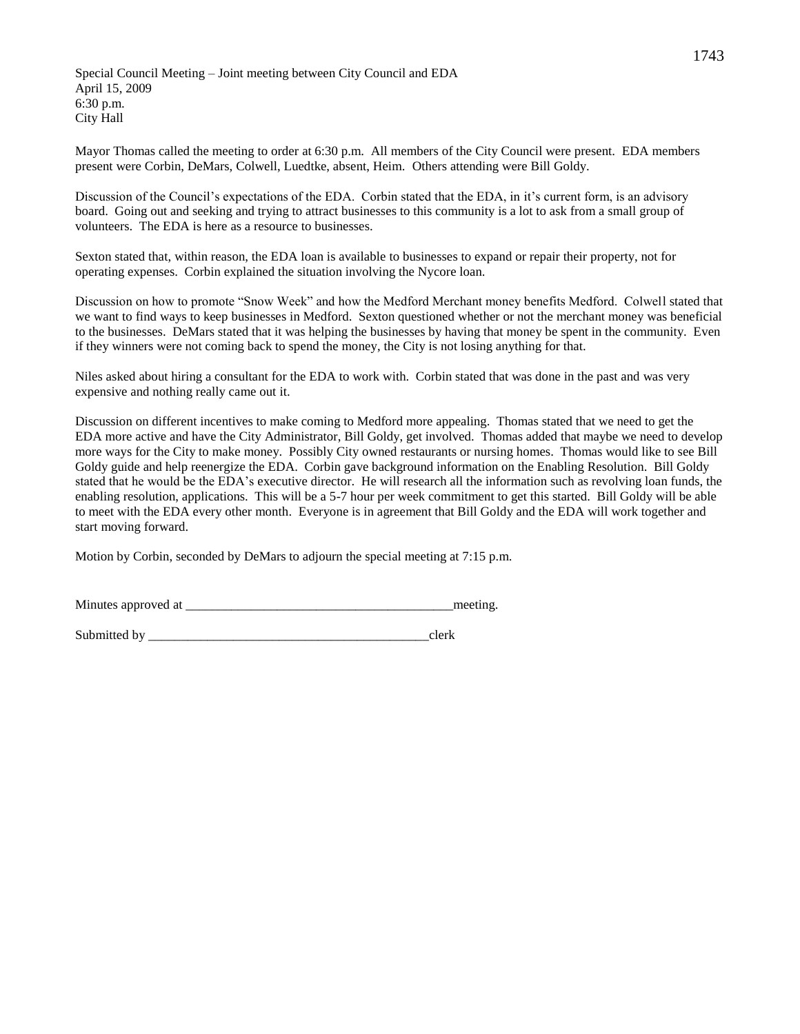Special Council Meeting – Joint meeting between City Council and EDA April 15, 2009 6:30 p.m. City Hall

Mayor Thomas called the meeting to order at 6:30 p.m. All members of the City Council were present. EDA members present were Corbin, DeMars, Colwell, Luedtke, absent, Heim. Others attending were Bill Goldy.

Discussion of the Council's expectations of the EDA. Corbin stated that the EDA, in it's current form, is an advisory board. Going out and seeking and trying to attract businesses to this community is a lot to ask from a small group of volunteers. The EDA is here as a resource to businesses.

Sexton stated that, within reason, the EDA loan is available to businesses to expand or repair their property, not for operating expenses. Corbin explained the situation involving the Nycore loan.

Discussion on how to promote "Snow Week" and how the Medford Merchant money benefits Medford. Colwell stated that we want to find ways to keep businesses in Medford. Sexton questioned whether or not the merchant money was beneficial to the businesses. DeMars stated that it was helping the businesses by having that money be spent in the community. Even if they winners were not coming back to spend the money, the City is not losing anything for that.

Niles asked about hiring a consultant for the EDA to work with. Corbin stated that was done in the past and was very expensive and nothing really came out it.

Discussion on different incentives to make coming to Medford more appealing. Thomas stated that we need to get the EDA more active and have the City Administrator, Bill Goldy, get involved. Thomas added that maybe we need to develop more ways for the City to make money. Possibly City owned restaurants or nursing homes. Thomas would like to see Bill Goldy guide and help reenergize the EDA. Corbin gave background information on the Enabling Resolution. Bill Goldy stated that he would be the EDA's executive director. He will research all the information such as revolving loan funds, the enabling resolution, applications. This will be a 5-7 hour per week commitment to get this started. Bill Goldy will be able to meet with the EDA every other month. Everyone is in agreement that Bill Goldy and the EDA will work together and start moving forward.

Motion by Corbin, seconded by DeMars to adjourn the special meeting at 7:15 p.m.

Minutes approved at \_\_\_\_\_\_\_\_\_\_\_\_\_\_\_\_\_\_\_\_\_\_\_\_\_\_\_\_\_\_\_\_\_\_\_\_\_\_\_\_\_meeting.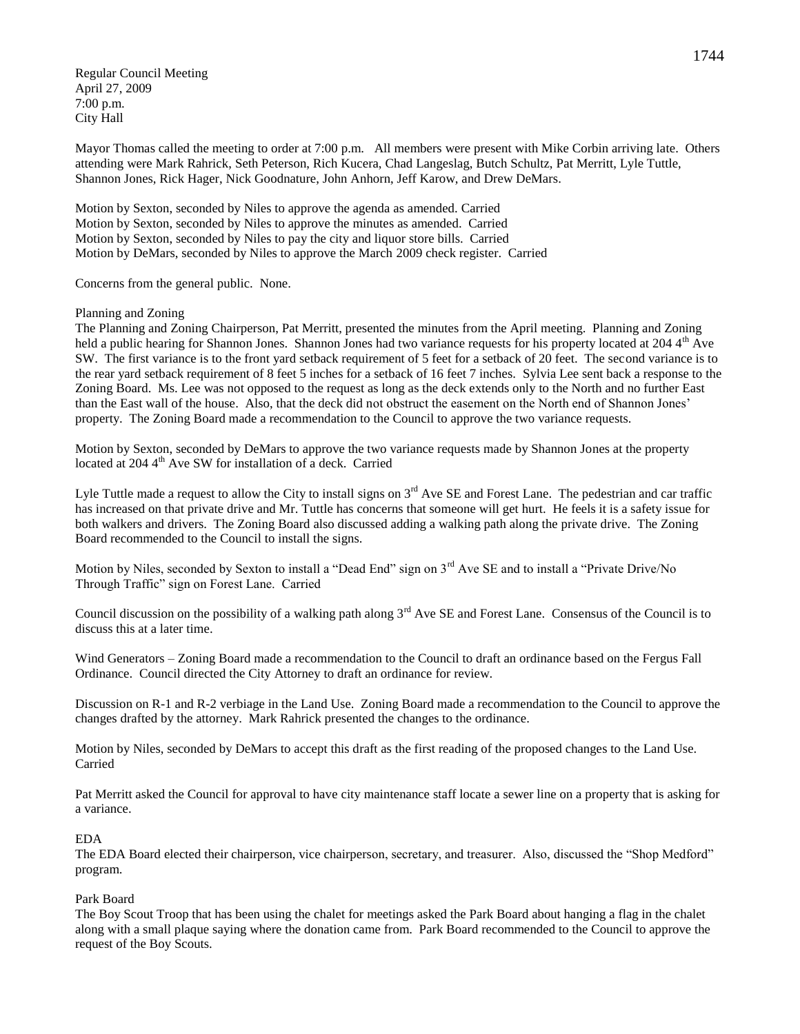Regular Council Meeting April 27, 2009 7:00 p.m. City Hall

Mayor Thomas called the meeting to order at 7:00 p.m. All members were present with Mike Corbin arriving late. Others attending were Mark Rahrick, Seth Peterson, Rich Kucera, Chad Langeslag, Butch Schultz, Pat Merritt, Lyle Tuttle, Shannon Jones, Rick Hager, Nick Goodnature, John Anhorn, Jeff Karow, and Drew DeMars.

Motion by Sexton, seconded by Niles to approve the agenda as amended. Carried Motion by Sexton, seconded by Niles to approve the minutes as amended. Carried Motion by Sexton, seconded by Niles to pay the city and liquor store bills. Carried Motion by DeMars, seconded by Niles to approve the March 2009 check register. Carried

Concerns from the general public. None.

## Planning and Zoning

The Planning and Zoning Chairperson, Pat Merritt, presented the minutes from the April meeting. Planning and Zoning held a public hearing for Shannon Jones. Shannon Jones had two variance requests for his property located at 2044<sup>th</sup> Ave SW. The first variance is to the front yard setback requirement of 5 feet for a setback of 20 feet. The second variance is to the rear yard setback requirement of 8 feet 5 inches for a setback of 16 feet 7 inches. Sylvia Lee sent back a response to the Zoning Board. Ms. Lee was not opposed to the request as long as the deck extends only to the North and no further East than the East wall of the house. Also, that the deck did not obstruct the easement on the North end of Shannon Jones' property. The Zoning Board made a recommendation to the Council to approve the two variance requests.

Motion by Sexton, seconded by DeMars to approve the two variance requests made by Shannon Jones at the property located at 204 4<sup>th</sup> Ave SW for installation of a deck. Carried

Lyle Tuttle made a request to allow the City to install signs on  $3<sup>rd</sup>$  Ave SE and Forest Lane. The pedestrian and car traffic has increased on that private drive and Mr. Tuttle has concerns that someone will get hurt. He feels it is a safety issue for both walkers and drivers. The Zoning Board also discussed adding a walking path along the private drive. The Zoning Board recommended to the Council to install the signs.

Motion by Niles, seconded by Sexton to install a "Dead End" sign on 3<sup>rd</sup> Ave SE and to install a "Private Drive/No Through Traffic" sign on Forest Lane. Carried

Council discussion on the possibility of a walking path along  $3<sup>rd</sup>$  Ave SE and Forest Lane. Consensus of the Council is to discuss this at a later time.

Wind Generators – Zoning Board made a recommendation to the Council to draft an ordinance based on the Fergus Fall Ordinance. Council directed the City Attorney to draft an ordinance for review.

Discussion on R-1 and R-2 verbiage in the Land Use. Zoning Board made a recommendation to the Council to approve the changes drafted by the attorney. Mark Rahrick presented the changes to the ordinance.

Motion by Niles, seconded by DeMars to accept this draft as the first reading of the proposed changes to the Land Use. Carried

Pat Merritt asked the Council for approval to have city maintenance staff locate a sewer line on a property that is asking for a variance.

## EDA

The EDA Board elected their chairperson, vice chairperson, secretary, and treasurer. Also, discussed the "Shop Medford" program.

## Park Board

The Boy Scout Troop that has been using the chalet for meetings asked the Park Board about hanging a flag in the chalet along with a small plaque saying where the donation came from. Park Board recommended to the Council to approve the request of the Boy Scouts.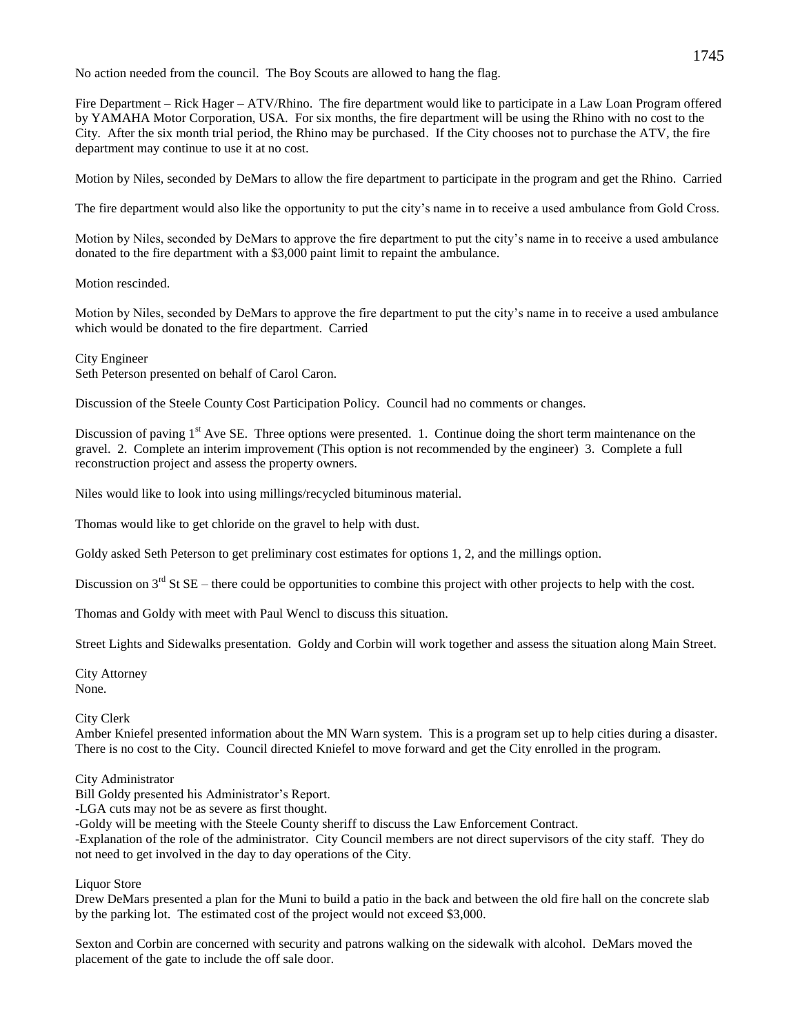No action needed from the council. The Boy Scouts are allowed to hang the flag.

Fire Department – Rick Hager – ATV/Rhino. The fire department would like to participate in a Law Loan Program offered by YAMAHA Motor Corporation, USA. For six months, the fire department will be using the Rhino with no cost to the City. After the six month trial period, the Rhino may be purchased. If the City chooses not to purchase the ATV, the fire department may continue to use it at no cost.

Motion by Niles, seconded by DeMars to allow the fire department to participate in the program and get the Rhino. Carried

The fire department would also like the opportunity to put the city's name in to receive a used ambulance from Gold Cross.

Motion by Niles, seconded by DeMars to approve the fire department to put the city's name in to receive a used ambulance donated to the fire department with a \$3,000 paint limit to repaint the ambulance.

Motion rescinded.

Motion by Niles, seconded by DeMars to approve the fire department to put the city's name in to receive a used ambulance which would be donated to the fire department. Carried

City Engineer

Seth Peterson presented on behalf of Carol Caron.

Discussion of the Steele County Cost Participation Policy. Council had no comments or changes.

Discussion of paving  $1<sup>st</sup>$  Ave SE. Three options were presented. 1. Continue doing the short term maintenance on the gravel. 2. Complete an interim improvement (This option is not recommended by the engineer) 3. Complete a full reconstruction project and assess the property owners.

Niles would like to look into using millings/recycled bituminous material.

Thomas would like to get chloride on the gravel to help with dust.

Goldy asked Seth Peterson to get preliminary cost estimates for options 1, 2, and the millings option.

Discussion on  $3<sup>rd</sup>$  St SE – there could be opportunities to combine this project with other projects to help with the cost.

Thomas and Goldy with meet with Paul Wencl to discuss this situation.

Street Lights and Sidewalks presentation. Goldy and Corbin will work together and assess the situation along Main Street.

City Attorney None.

City Clerk

Amber Kniefel presented information about the MN Warn system. This is a program set up to help cities during a disaster. There is no cost to the City. Council directed Kniefel to move forward and get the City enrolled in the program.

City Administrator

Bill Goldy presented his Administrator's Report.

-LGA cuts may not be as severe as first thought.

-Goldy will be meeting with the Steele County sheriff to discuss the Law Enforcement Contract.

-Explanation of the role of the administrator. City Council members are not direct supervisors of the city staff. They do not need to get involved in the day to day operations of the City.

Liquor Store

Drew DeMars presented a plan for the Muni to build a patio in the back and between the old fire hall on the concrete slab by the parking lot. The estimated cost of the project would not exceed \$3,000.

Sexton and Corbin are concerned with security and patrons walking on the sidewalk with alcohol. DeMars moved the placement of the gate to include the off sale door.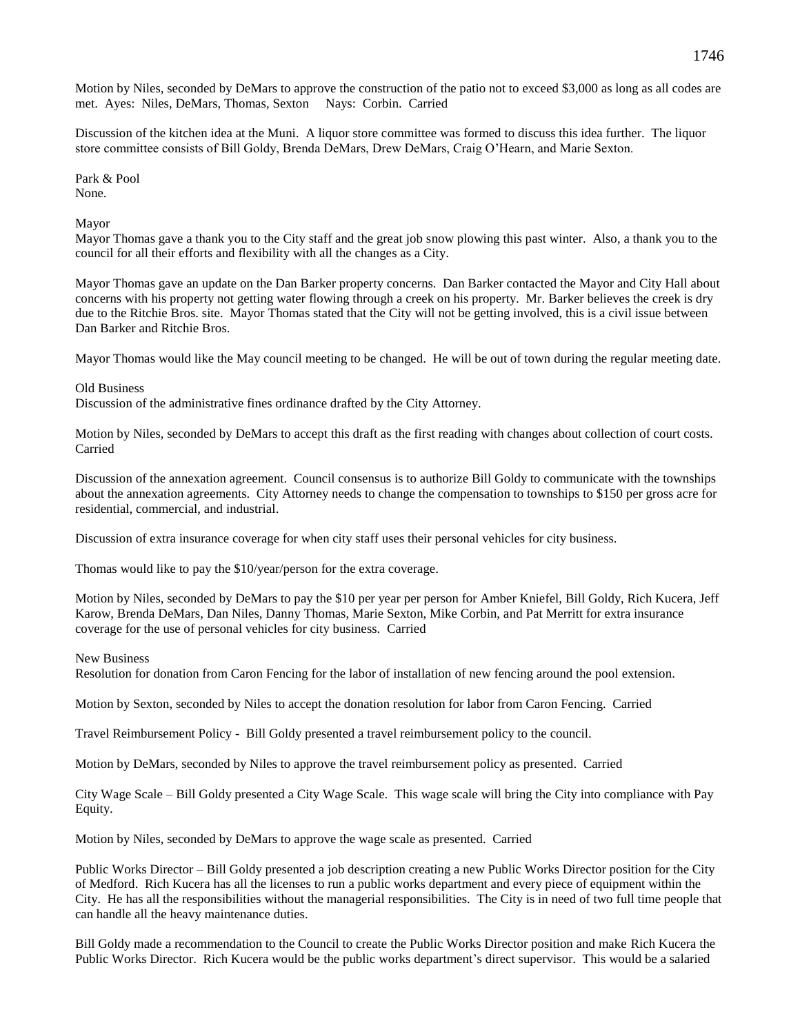Motion by Niles, seconded by DeMars to approve the construction of the patio not to exceed \$3,000 as long as all codes are met. Ayes: Niles, DeMars, Thomas, Sexton Nays: Corbin. Carried

Discussion of the kitchen idea at the Muni. A liquor store committee was formed to discuss this idea further. The liquor store committee consists of Bill Goldy, Brenda DeMars, Drew DeMars, Craig O'Hearn, and Marie Sexton.

Park & Pool None.

Mayor

Mayor Thomas gave a thank you to the City staff and the great job snow plowing this past winter. Also, a thank you to the council for all their efforts and flexibility with all the changes as a City.

Mayor Thomas gave an update on the Dan Barker property concerns. Dan Barker contacted the Mayor and City Hall about concerns with his property not getting water flowing through a creek on his property. Mr. Barker believes the creek is dry due to the Ritchie Bros. site. Mayor Thomas stated that the City will not be getting involved, this is a civil issue between Dan Barker and Ritchie Bros.

Mayor Thomas would like the May council meeting to be changed. He will be out of town during the regular meeting date.

Old Business

Discussion of the administrative fines ordinance drafted by the City Attorney.

Motion by Niles, seconded by DeMars to accept this draft as the first reading with changes about collection of court costs. Carried

Discussion of the annexation agreement. Council consensus is to authorize Bill Goldy to communicate with the townships about the annexation agreements. City Attorney needs to change the compensation to townships to \$150 per gross acre for residential, commercial, and industrial.

Discussion of extra insurance coverage for when city staff uses their personal vehicles for city business.

Thomas would like to pay the \$10/year/person for the extra coverage.

Motion by Niles, seconded by DeMars to pay the \$10 per year per person for Amber Kniefel, Bill Goldy, Rich Kucera, Jeff Karow, Brenda DeMars, Dan Niles, Danny Thomas, Marie Sexton, Mike Corbin, and Pat Merritt for extra insurance coverage for the use of personal vehicles for city business. Carried

### New Business

Resolution for donation from Caron Fencing for the labor of installation of new fencing around the pool extension.

Motion by Sexton, seconded by Niles to accept the donation resolution for labor from Caron Fencing. Carried

Travel Reimbursement Policy - Bill Goldy presented a travel reimbursement policy to the council.

Motion by DeMars, seconded by Niles to approve the travel reimbursement policy as presented. Carried

City Wage Scale – Bill Goldy presented a City Wage Scale. This wage scale will bring the City into compliance with Pay Equity.

Motion by Niles, seconded by DeMars to approve the wage scale as presented. Carried

Public Works Director – Bill Goldy presented a job description creating a new Public Works Director position for the City of Medford. Rich Kucera has all the licenses to run a public works department and every piece of equipment within the City. He has all the responsibilities without the managerial responsibilities. The City is in need of two full time people that can handle all the heavy maintenance duties.

Bill Goldy made a recommendation to the Council to create the Public Works Director position and make Rich Kucera the Public Works Director. Rich Kucera would be the public works department's direct supervisor. This would be a salaried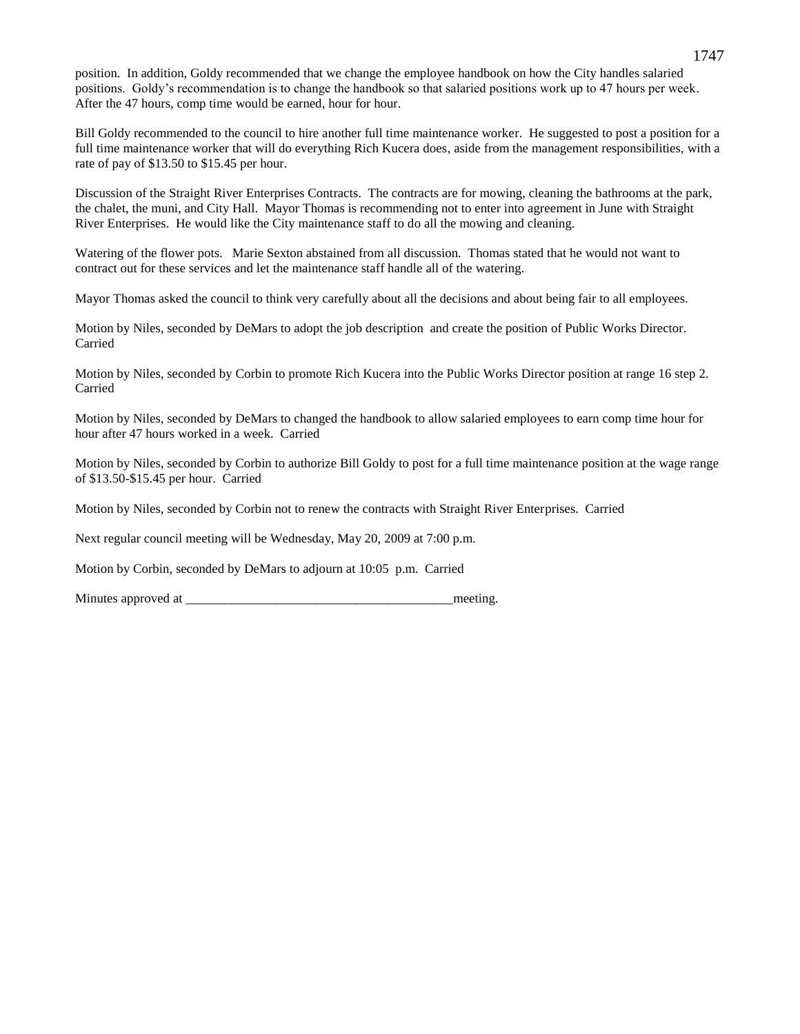position. In addition, Goldy recommended that we change the employee handbook on how the City handles salaried positions. Goldy's recommendation is to change the handbook so that salaried positions work up to 47 hours per week. After the 47 hours, comp time would be earned, hour for hour.

Bill Goldy recommended to the council to hire another full time maintenance worker. He suggested to post a position for a full time maintenance worker that will do everything Rich Kucera does, aside from the management responsibilities, with a rate of pay of \$13.50 to \$15.45 per hour.

Discussion of the Straight River Enterprises Contracts. The contracts are for mowing, cleaning the bathrooms at the park, the chalet, the muni, and City Hall. Mayor Thomas is recommending not to enter into agreement in June with Straight River Enterprises. He would like the City maintenance staff to do all the mowing and cleaning.

Watering of the flower pots. Marie Sexton abstained from all discussion. Thomas stated that he would not want to contract out for these services and let the maintenance staff handle all of the watering.

Mayor Thomas asked the council to think very carefully about all the decisions and about being fair to all employees.

Motion by Niles, seconded by DeMars to adopt the job description and create the position of Public Works Director. Carried

Motion by Niles, seconded by Corbin to promote Rich Kucera into the Public Works Director position at range 16 step 2. Carried

Motion by Niles, seconded by DeMars to changed the handbook to allow salaried employees to earn comp time hour for hour after 47 hours worked in a week. Carried

Motion by Niles, seconded by Corbin to authorize Bill Goldy to post for a full time maintenance position at the wage range of \$13.50-\$15.45 per hour. Carried

Motion by Niles, seconded by Corbin not to renew the contracts with Straight River Enterprises. Carried

Next regular council meeting will be Wednesday, May 20, 2009 at 7:00 p.m.

Motion by Corbin, seconded by DeMars to adjourn at 10:05 p.m. Carried

Minutes approved at  $\blacksquare$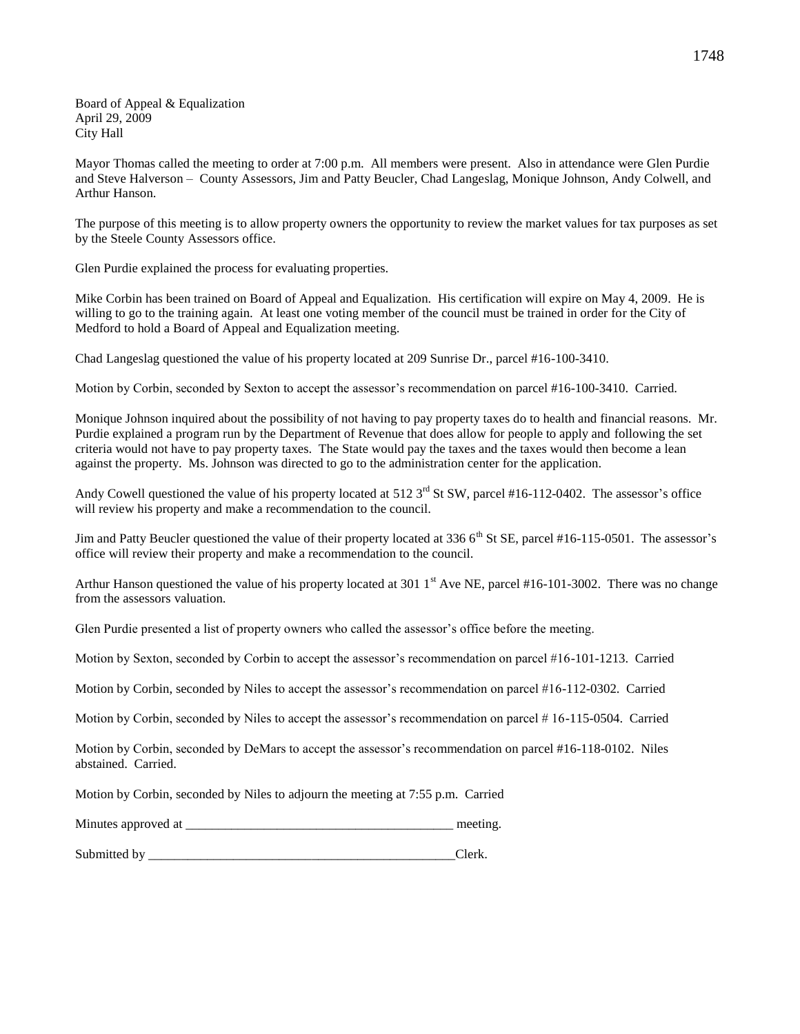Board of Appeal & Equalization April 29, 2009 City Hall

Mayor Thomas called the meeting to order at 7:00 p.m. All members were present. Also in attendance were Glen Purdie and Steve Halverson – County Assessors, Jim and Patty Beucler, Chad Langeslag, Monique Johnson, Andy Colwell, and Arthur Hanson.

The purpose of this meeting is to allow property owners the opportunity to review the market values for tax purposes as set by the Steele County Assessors office.

Glen Purdie explained the process for evaluating properties.

Mike Corbin has been trained on Board of Appeal and Equalization. His certification will expire on May 4, 2009. He is willing to go to the training again. At least one voting member of the council must be trained in order for the City of Medford to hold a Board of Appeal and Equalization meeting.

Chad Langeslag questioned the value of his property located at 209 Sunrise Dr., parcel #16-100-3410.

Motion by Corbin, seconded by Sexton to accept the assessor's recommendation on parcel #16-100-3410. Carried.

Monique Johnson inquired about the possibility of not having to pay property taxes do to health and financial reasons. Mr. Purdie explained a program run by the Department of Revenue that does allow for people to apply and following the set criteria would not have to pay property taxes. The State would pay the taxes and the taxes would then become a lean against the property. Ms. Johnson was directed to go to the administration center for the application.

Andy Cowell questioned the value of his property located at  $512.3<sup>rd</sup>$  St SW, parcel #16-112-0402. The assessor's office will review his property and make a recommendation to the council.

Jim and Patty Beucler questioned the value of their property located at 336 6<sup>th</sup> St SE, parcel #16-115-0501. The assessor's office will review their property and make a recommendation to the council.

Arthur Hanson questioned the value of his property located at 301  $1<sup>st</sup>$  Ave NE, parcel #16-101-3002. There was no change from the assessors valuation.

Glen Purdie presented a list of property owners who called the assessor's office before the meeting.

Motion by Sexton, seconded by Corbin to accept the assessor's recommendation on parcel #16-101-1213. Carried

Motion by Corbin, seconded by Niles to accept the assessor's recommendation on parcel #16-112-0302. Carried

Motion by Corbin, seconded by Niles to accept the assessor's recommendation on parcel # 16-115-0504. Carried

Motion by Corbin, seconded by DeMars to accept the assessor's recommendation on parcel #16-118-0102. Niles abstained. Carried.

Motion by Corbin, seconded by Niles to adjourn the meeting at 7:55 p.m. Carried

Minutes approved at \_\_\_\_\_\_\_\_\_\_\_\_\_\_\_\_\_\_\_\_\_\_\_\_\_\_\_\_\_\_\_\_\_\_\_\_\_\_\_\_\_ meeting.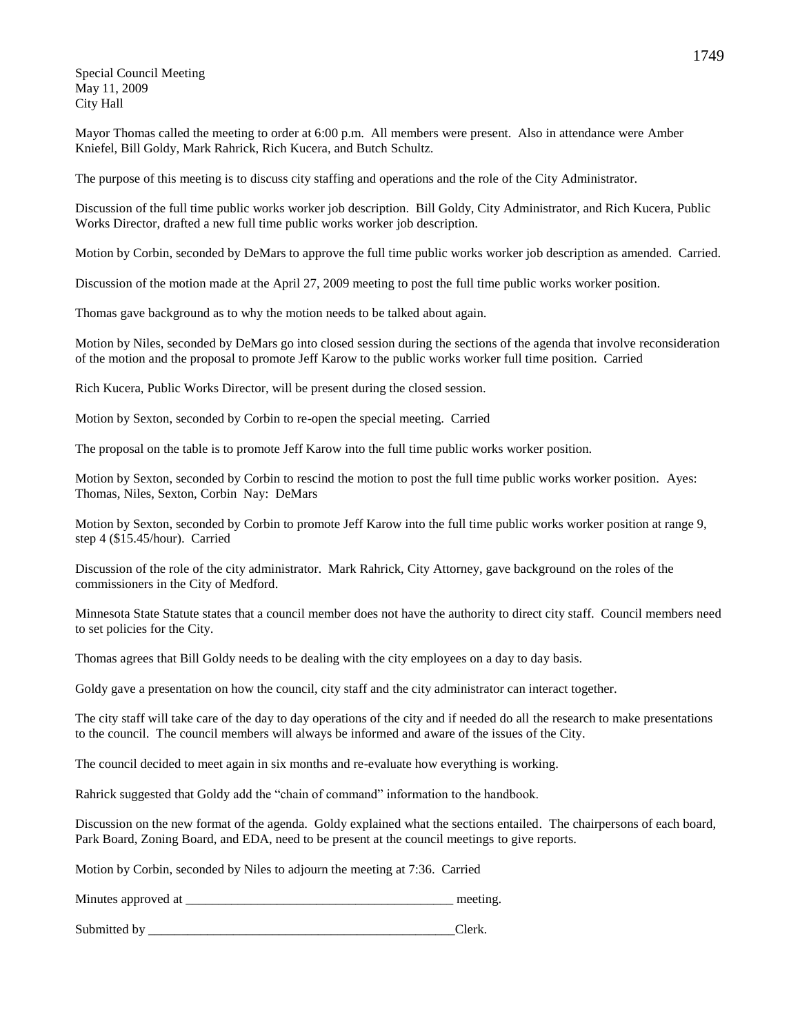Special Council Meeting May 11, 2009 City Hall

Mayor Thomas called the meeting to order at 6:00 p.m. All members were present. Also in attendance were Amber Kniefel, Bill Goldy, Mark Rahrick, Rich Kucera, and Butch Schultz.

The purpose of this meeting is to discuss city staffing and operations and the role of the City Administrator.

Discussion of the full time public works worker job description. Bill Goldy, City Administrator, and Rich Kucera, Public Works Director, drafted a new full time public works worker job description.

Motion by Corbin, seconded by DeMars to approve the full time public works worker job description as amended. Carried.

Discussion of the motion made at the April 27, 2009 meeting to post the full time public works worker position.

Thomas gave background as to why the motion needs to be talked about again.

Motion by Niles, seconded by DeMars go into closed session during the sections of the agenda that involve reconsideration of the motion and the proposal to promote Jeff Karow to the public works worker full time position. Carried

Rich Kucera, Public Works Director, will be present during the closed session.

Motion by Sexton, seconded by Corbin to re-open the special meeting. Carried

The proposal on the table is to promote Jeff Karow into the full time public works worker position.

Motion by Sexton, seconded by Corbin to rescind the motion to post the full time public works worker position. Ayes: Thomas, Niles, Sexton, Corbin Nay: DeMars

Motion by Sexton, seconded by Corbin to promote Jeff Karow into the full time public works worker position at range 9, step 4 (\$15.45/hour). Carried

Discussion of the role of the city administrator. Mark Rahrick, City Attorney, gave background on the roles of the commissioners in the City of Medford.

Minnesota State Statute states that a council member does not have the authority to direct city staff. Council members need to set policies for the City.

Thomas agrees that Bill Goldy needs to be dealing with the city employees on a day to day basis.

Goldy gave a presentation on how the council, city staff and the city administrator can interact together.

The city staff will take care of the day to day operations of the city and if needed do all the research to make presentations to the council. The council members will always be informed and aware of the issues of the City.

The council decided to meet again in six months and re-evaluate how everything is working.

Rahrick suggested that Goldy add the "chain of command" information to the handbook.

Discussion on the new format of the agenda. Goldy explained what the sections entailed. The chairpersons of each board, Park Board, Zoning Board, and EDA, need to be present at the council meetings to give reports.

Motion by Corbin, seconded by Niles to adjourn the meeting at 7:36. Carried

| Minutes approved at                                                                                                                   |                               |
|---------------------------------------------------------------------------------------------------------------------------------------|-------------------------------|
|                                                                                                                                       |                               |
| the contract of the contract of the contract of the contract of<br>the control of the control of<br><b>Contract Contract Contract</b> | the control of the control of |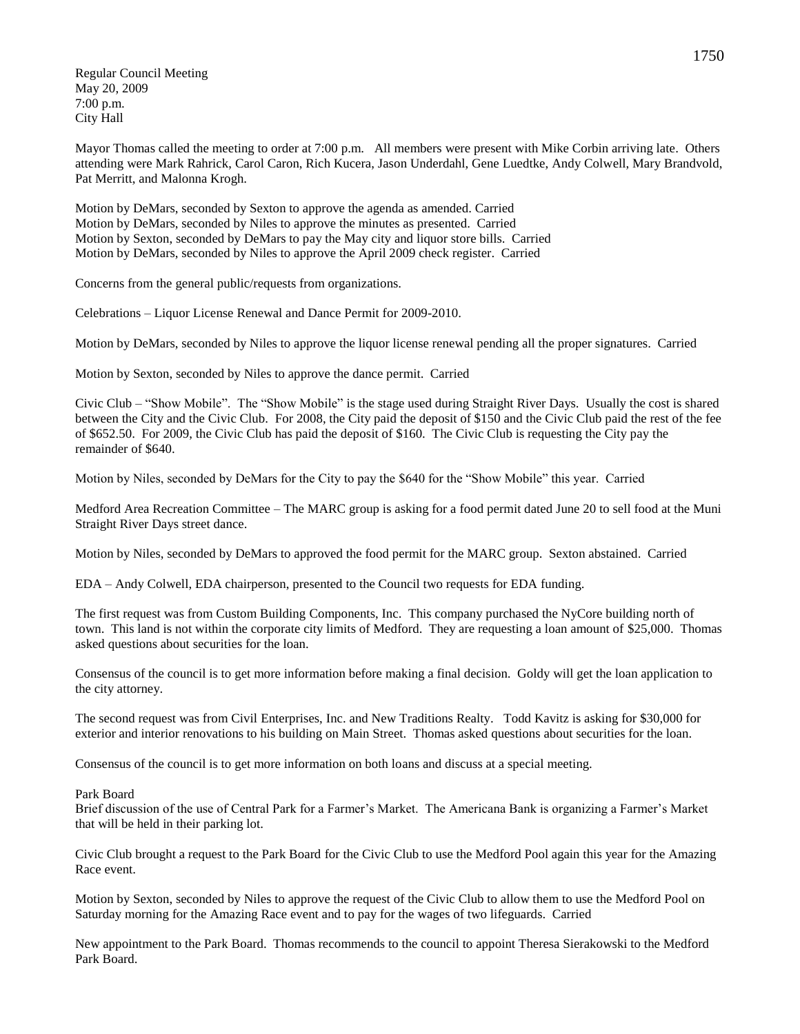Regular Council Meeting May 20, 2009 7:00 p.m. City Hall

Mayor Thomas called the meeting to order at 7:00 p.m. All members were present with Mike Corbin arriving late. Others attending were Mark Rahrick, Carol Caron, Rich Kucera, Jason Underdahl, Gene Luedtke, Andy Colwell, Mary Brandvold, Pat Merritt, and Malonna Krogh.

Motion by DeMars, seconded by Sexton to approve the agenda as amended. Carried Motion by DeMars, seconded by Niles to approve the minutes as presented. Carried Motion by Sexton, seconded by DeMars to pay the May city and liquor store bills. Carried Motion by DeMars, seconded by Niles to approve the April 2009 check register. Carried

Concerns from the general public/requests from organizations.

Celebrations – Liquor License Renewal and Dance Permit for 2009-2010.

Motion by DeMars, seconded by Niles to approve the liquor license renewal pending all the proper signatures. Carried

Motion by Sexton, seconded by Niles to approve the dance permit. Carried

Civic Club – "Show Mobile". The "Show Mobile" is the stage used during Straight River Days. Usually the cost is shared between the City and the Civic Club. For 2008, the City paid the deposit of \$150 and the Civic Club paid the rest of the fee of \$652.50. For 2009, the Civic Club has paid the deposit of \$160. The Civic Club is requesting the City pay the remainder of \$640.

Motion by Niles, seconded by DeMars for the City to pay the \$640 for the "Show Mobile" this year. Carried

Medford Area Recreation Committee – The MARC group is asking for a food permit dated June 20 to sell food at the Muni Straight River Days street dance.

Motion by Niles, seconded by DeMars to approved the food permit for the MARC group. Sexton abstained. Carried

EDA – Andy Colwell, EDA chairperson, presented to the Council two requests for EDA funding.

The first request was from Custom Building Components, Inc. This company purchased the NyCore building north of town. This land is not within the corporate city limits of Medford. They are requesting a loan amount of \$25,000. Thomas asked questions about securities for the loan.

Consensus of the council is to get more information before making a final decision. Goldy will get the loan application to the city attorney.

The second request was from Civil Enterprises, Inc. and New Traditions Realty. Todd Kavitz is asking for \$30,000 for exterior and interior renovations to his building on Main Street. Thomas asked questions about securities for the loan.

Consensus of the council is to get more information on both loans and discuss at a special meeting.

## Park Board

Brief discussion of the use of Central Park for a Farmer's Market. The Americana Bank is organizing a Farmer's Market that will be held in their parking lot.

Civic Club brought a request to the Park Board for the Civic Club to use the Medford Pool again this year for the Amazing Race event.

Motion by Sexton, seconded by Niles to approve the request of the Civic Club to allow them to use the Medford Pool on Saturday morning for the Amazing Race event and to pay for the wages of two lifeguards. Carried

New appointment to the Park Board. Thomas recommends to the council to appoint Theresa Sierakowski to the Medford Park Board.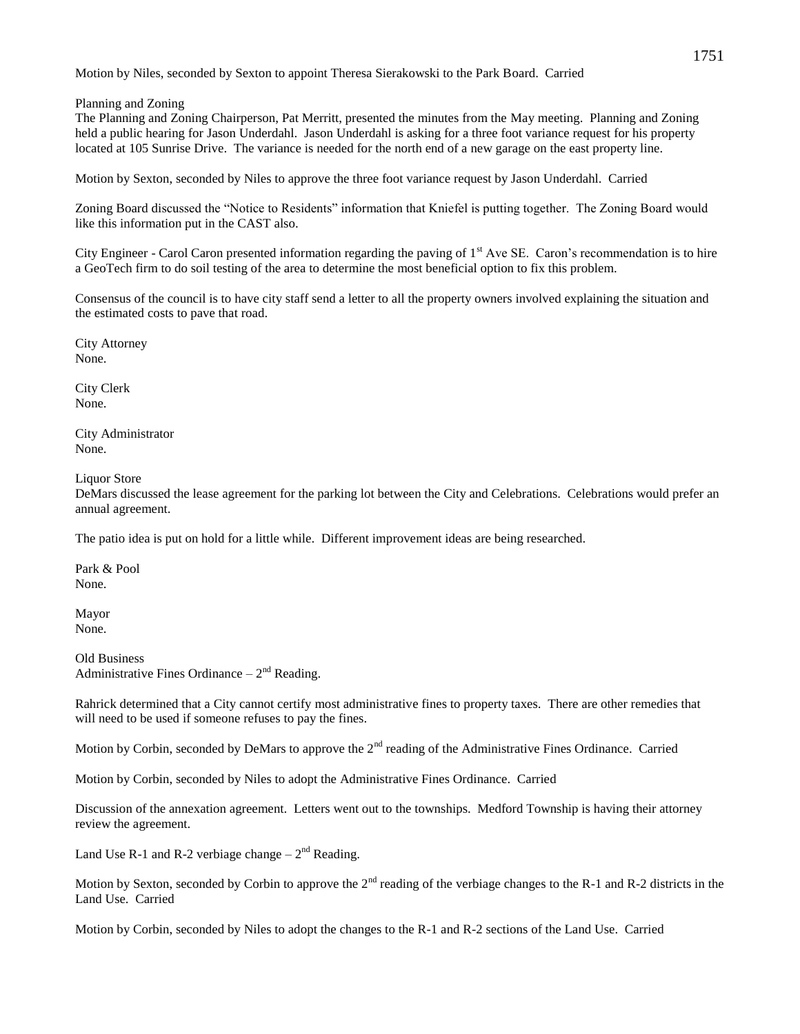Motion by Niles, seconded by Sexton to appoint Theresa Sierakowski to the Park Board. Carried

Planning and Zoning

The Planning and Zoning Chairperson, Pat Merritt, presented the minutes from the May meeting. Planning and Zoning held a public hearing for Jason Underdahl. Jason Underdahl is asking for a three foot variance request for his property located at 105 Sunrise Drive. The variance is needed for the north end of a new garage on the east property line.

Motion by Sexton, seconded by Niles to approve the three foot variance request by Jason Underdahl. Carried

Zoning Board discussed the "Notice to Residents" information that Kniefel is putting together. The Zoning Board would like this information put in the CAST also.

City Engineer - Carol Caron presented information regarding the paving of  $1<sup>st</sup>$  Ave SE. Caron's recommendation is to hire a GeoTech firm to do soil testing of the area to determine the most beneficial option to fix this problem.

Consensus of the council is to have city staff send a letter to all the property owners involved explaining the situation and the estimated costs to pave that road.

City Attorney None.

City Clerk None.

City Administrator None.

Liquor Store

DeMars discussed the lease agreement for the parking lot between the City and Celebrations. Celebrations would prefer an annual agreement.

The patio idea is put on hold for a little while. Different improvement ideas are being researched.

Park & Pool None.

Mayor None.

Old Business Administrative Fines Ordinance  $-2<sup>nd</sup>$  Reading.

Rahrick determined that a City cannot certify most administrative fines to property taxes. There are other remedies that will need to be used if someone refuses to pay the fines.

Motion by Corbin, seconded by DeMars to approve the 2<sup>nd</sup> reading of the Administrative Fines Ordinance. Carried

Motion by Corbin, seconded by Niles to adopt the Administrative Fines Ordinance. Carried

Discussion of the annexation agreement. Letters went out to the townships. Medford Township is having their attorney review the agreement.

Land Use R-1 and R-2 verbiage change  $-2<sup>nd</sup>$  Reading.

Motion by Sexton, seconded by Corbin to approve the  $2<sup>nd</sup>$  reading of the verbiage changes to the R-1 and R-2 districts in the Land Use. Carried

Motion by Corbin, seconded by Niles to adopt the changes to the R-1 and R-2 sections of the Land Use. Carried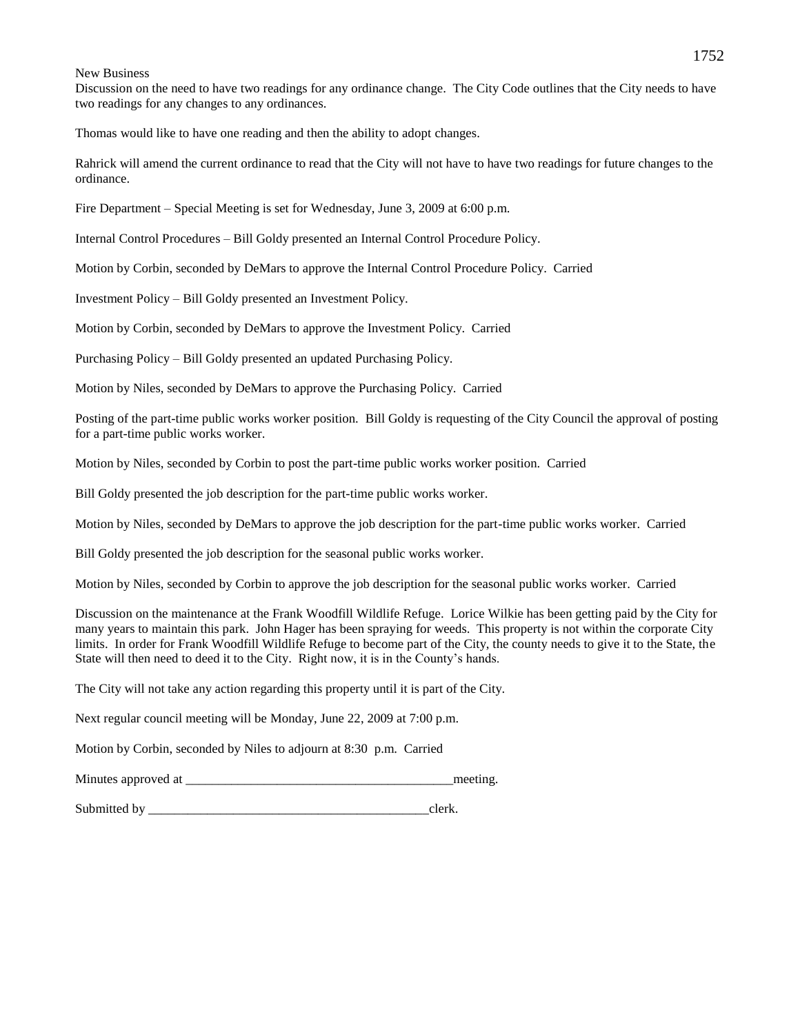#### New Business

Discussion on the need to have two readings for any ordinance change. The City Code outlines that the City needs to have two readings for any changes to any ordinances.

Thomas would like to have one reading and then the ability to adopt changes.

Rahrick will amend the current ordinance to read that the City will not have to have two readings for future changes to the ordinance.

Fire Department – Special Meeting is set for Wednesday, June 3, 2009 at 6:00 p.m.

Internal Control Procedures – Bill Goldy presented an Internal Control Procedure Policy.

Motion by Corbin, seconded by DeMars to approve the Internal Control Procedure Policy. Carried

Investment Policy – Bill Goldy presented an Investment Policy.

Motion by Corbin, seconded by DeMars to approve the Investment Policy. Carried

Purchasing Policy – Bill Goldy presented an updated Purchasing Policy.

Motion by Niles, seconded by DeMars to approve the Purchasing Policy. Carried

Posting of the part-time public works worker position. Bill Goldy is requesting of the City Council the approval of posting for a part-time public works worker.

Motion by Niles, seconded by Corbin to post the part-time public works worker position. Carried

Bill Goldy presented the job description for the part-time public works worker.

Motion by Niles, seconded by DeMars to approve the job description for the part-time public works worker. Carried

Bill Goldy presented the job description for the seasonal public works worker.

Motion by Niles, seconded by Corbin to approve the job description for the seasonal public works worker. Carried

Discussion on the maintenance at the Frank Woodfill Wildlife Refuge. Lorice Wilkie has been getting paid by the City for many years to maintain this park. John Hager has been spraying for weeds. This property is not within the corporate City limits. In order for Frank Woodfill Wildlife Refuge to become part of the City, the county needs to give it to the State, the State will then need to deed it to the City. Right now, it is in the County's hands.

The City will not take any action regarding this property until it is part of the City.

Next regular council meeting will be Monday, June 22, 2009 at 7:00 p.m.

Motion by Corbin, seconded by Niles to adjourn at 8:30 p.m. Carried

Minutes approved at  $\blacksquare$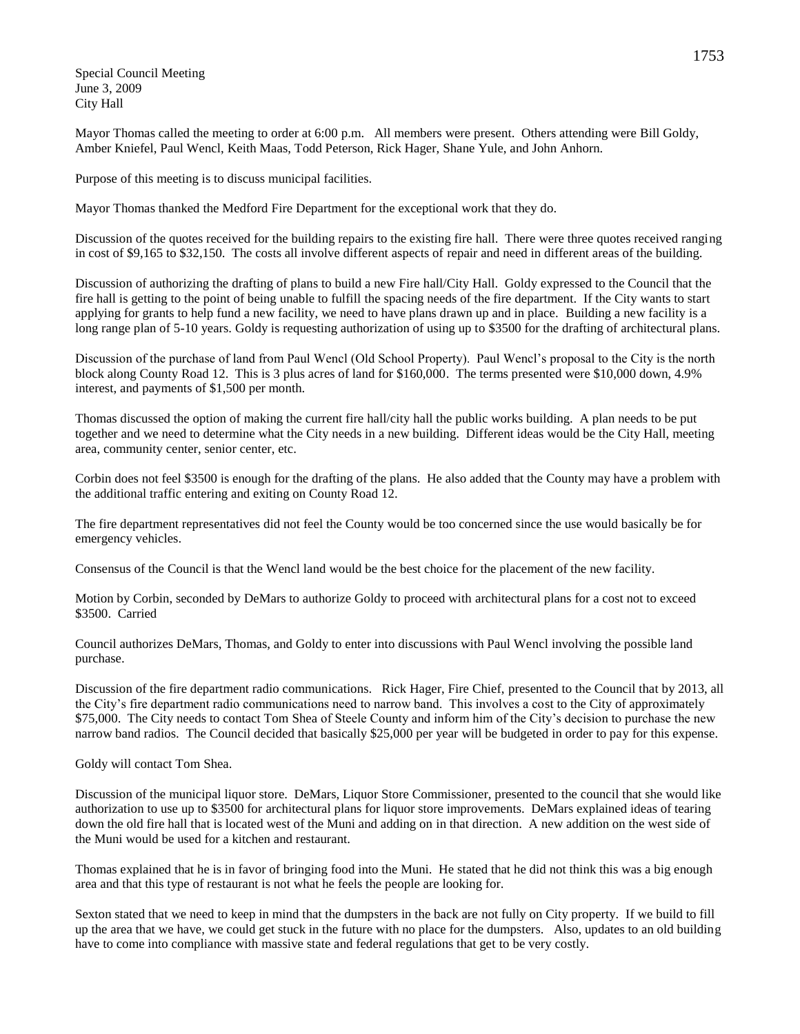Special Council Meeting June 3, 2009 City Hall

Mayor Thomas called the meeting to order at 6:00 p.m. All members were present. Others attending were Bill Goldy, Amber Kniefel, Paul Wencl, Keith Maas, Todd Peterson, Rick Hager, Shane Yule, and John Anhorn.

Purpose of this meeting is to discuss municipal facilities.

Mayor Thomas thanked the Medford Fire Department for the exceptional work that they do.

Discussion of the quotes received for the building repairs to the existing fire hall. There were three quotes received ranging in cost of \$9,165 to \$32,150. The costs all involve different aspects of repair and need in different areas of the building.

Discussion of authorizing the drafting of plans to build a new Fire hall/City Hall. Goldy expressed to the Council that the fire hall is getting to the point of being unable to fulfill the spacing needs of the fire department. If the City wants to start applying for grants to help fund a new facility, we need to have plans drawn up and in place. Building a new facility is a long range plan of 5-10 years. Goldy is requesting authorization of using up to \$3500 for the drafting of architectural plans.

Discussion of the purchase of land from Paul Wencl (Old School Property). Paul Wencl's proposal to the City is the north block along County Road 12. This is 3 plus acres of land for \$160,000. The terms presented were \$10,000 down, 4.9% interest, and payments of \$1,500 per month.

Thomas discussed the option of making the current fire hall/city hall the public works building. A plan needs to be put together and we need to determine what the City needs in a new building. Different ideas would be the City Hall, meeting area, community center, senior center, etc.

Corbin does not feel \$3500 is enough for the drafting of the plans. He also added that the County may have a problem with the additional traffic entering and exiting on County Road 12.

The fire department representatives did not feel the County would be too concerned since the use would basically be for emergency vehicles.

Consensus of the Council is that the Wencl land would be the best choice for the placement of the new facility.

Motion by Corbin, seconded by DeMars to authorize Goldy to proceed with architectural plans for a cost not to exceed \$3500. Carried

Council authorizes DeMars, Thomas, and Goldy to enter into discussions with Paul Wencl involving the possible land purchase.

Discussion of the fire department radio communications. Rick Hager, Fire Chief, presented to the Council that by 2013, all the City's fire department radio communications need to narrow band. This involves a cost to the City of approximately \$75,000. The City needs to contact Tom Shea of Steele County and inform him of the City's decision to purchase the new narrow band radios. The Council decided that basically \$25,000 per year will be budgeted in order to pay for this expense.

Goldy will contact Tom Shea.

Discussion of the municipal liquor store. DeMars, Liquor Store Commissioner, presented to the council that she would like authorization to use up to \$3500 for architectural plans for liquor store improvements. DeMars explained ideas of tearing down the old fire hall that is located west of the Muni and adding on in that direction. A new addition on the west side of the Muni would be used for a kitchen and restaurant.

Thomas explained that he is in favor of bringing food into the Muni. He stated that he did not think this was a big enough area and that this type of restaurant is not what he feels the people are looking for.

Sexton stated that we need to keep in mind that the dumpsters in the back are not fully on City property. If we build to fill up the area that we have, we could get stuck in the future with no place for the dumpsters. Also, updates to an old building have to come into compliance with massive state and federal regulations that get to be very costly.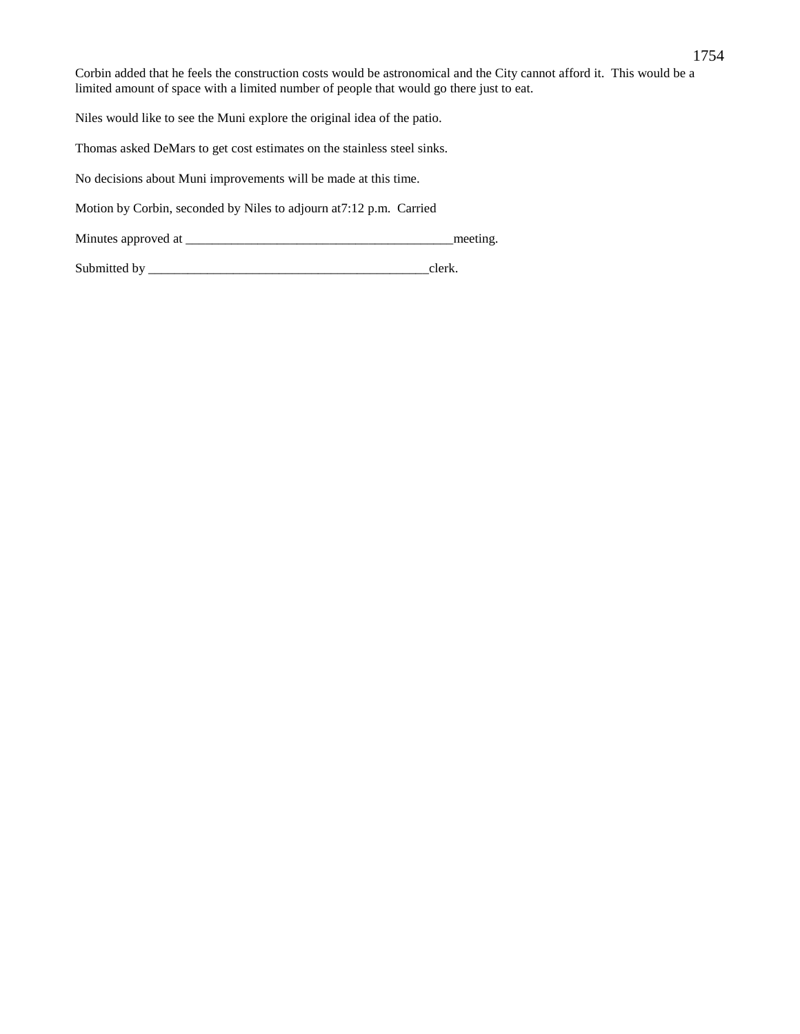1754

Corbin added that he feels the construction costs would be astronomical and the City cannot afford it. This would be a limited amount of space with a limited number of people that would go there just to eat.

Niles would like to see the Muni explore the original idea of the patio.

Thomas asked DeMars to get cost estimates on the stainless steel sinks.

No decisions about Muni improvements will be made at this time.

Motion by Corbin, seconded by Niles to adjourn at7:12 p.m. Carried

Minutes approved at \_\_\_\_\_\_\_\_\_\_\_\_\_\_\_\_\_\_\_\_\_\_\_\_\_\_\_\_\_\_\_\_\_\_\_\_\_\_\_\_\_meeting.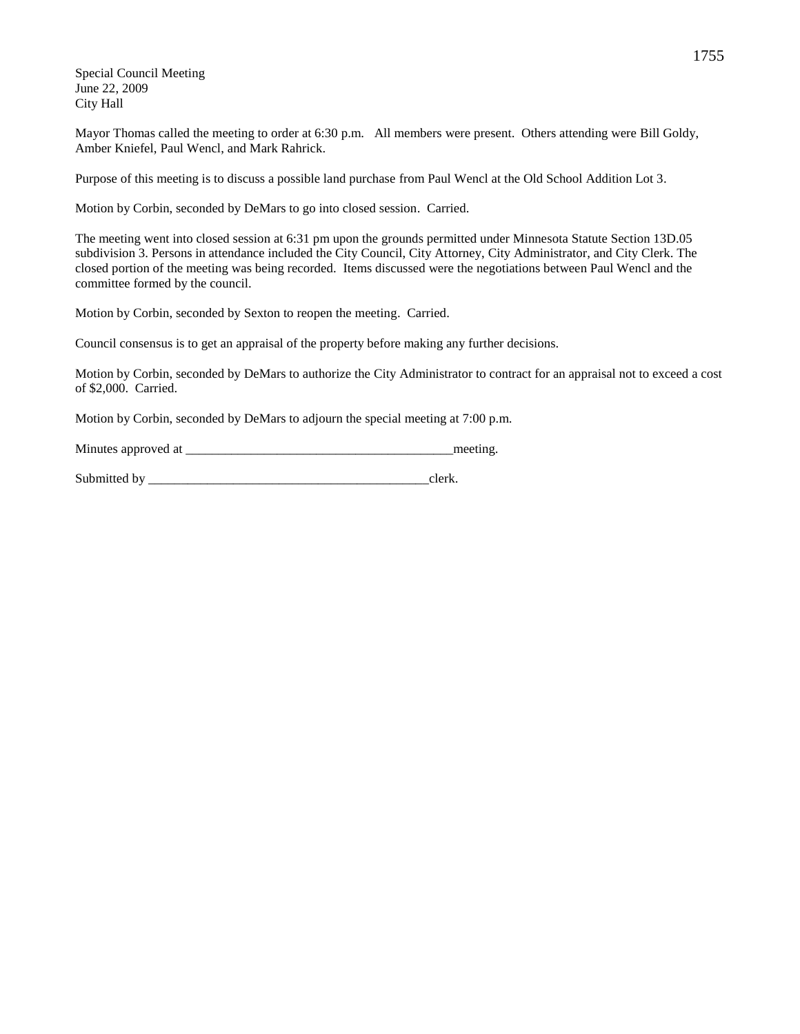Special Council Meeting June 22, 2009 City Hall

Mayor Thomas called the meeting to order at 6:30 p.m. All members were present. Others attending were Bill Goldy, Amber Kniefel, Paul Wencl, and Mark Rahrick.

Purpose of this meeting is to discuss a possible land purchase from Paul Wencl at the Old School Addition Lot 3.

Motion by Corbin, seconded by DeMars to go into closed session. Carried.

The meeting went into closed session at 6:31 pm upon the grounds permitted under Minnesota Statute Section 13D.05 subdivision 3. Persons in attendance included the City Council, City Attorney, City Administrator, and City Clerk. The closed portion of the meeting was being recorded. Items discussed were the negotiations between Paul Wencl and the committee formed by the council.

Motion by Corbin, seconded by Sexton to reopen the meeting. Carried.

Council consensus is to get an appraisal of the property before making any further decisions.

Motion by Corbin, seconded by DeMars to authorize the City Administrator to contract for an appraisal not to exceed a cost of \$2,000. Carried.

Motion by Corbin, seconded by DeMars to adjourn the special meeting at 7:00 p.m.

Minutes approved at \_\_\_\_\_\_\_\_\_\_\_\_\_\_\_\_\_\_\_\_\_\_\_\_\_\_\_\_\_\_\_\_\_\_\_\_\_\_\_\_\_meeting.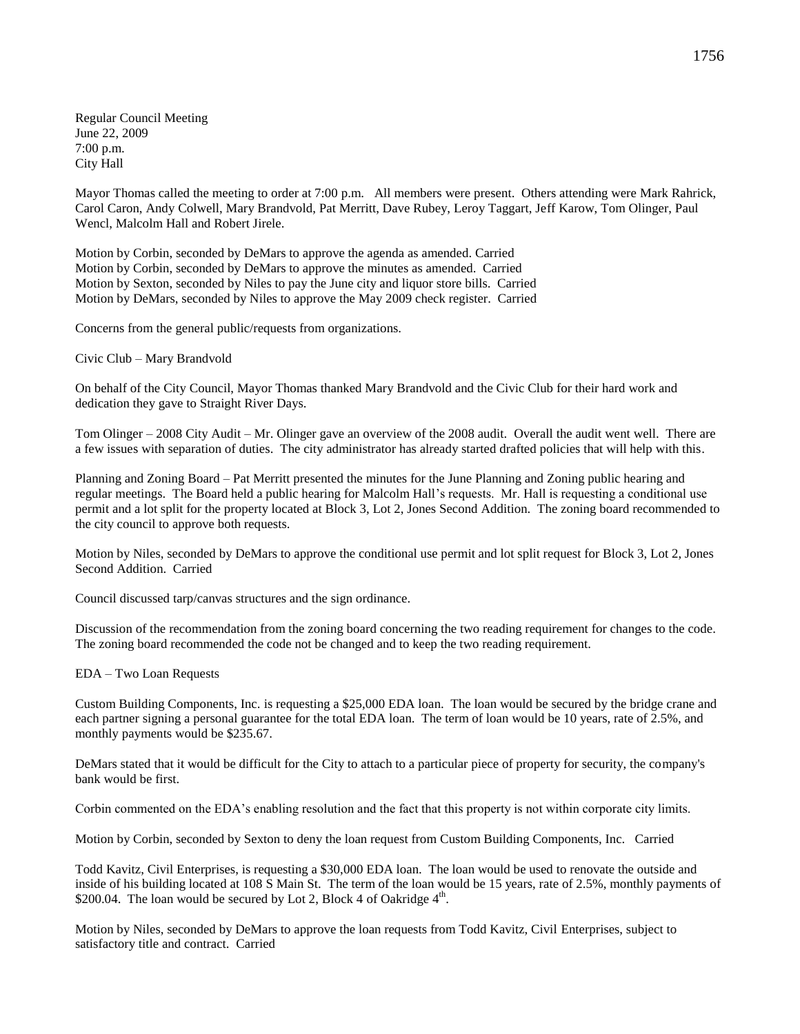Regular Council Meeting June 22, 2009 7:00 p.m. City Hall

Mayor Thomas called the meeting to order at 7:00 p.m. All members were present. Others attending were Mark Rahrick, Carol Caron, Andy Colwell, Mary Brandvold, Pat Merritt, Dave Rubey, Leroy Taggart, Jeff Karow, Tom Olinger, Paul Wencl, Malcolm Hall and Robert Jirele.

Motion by Corbin, seconded by DeMars to approve the agenda as amended. Carried Motion by Corbin, seconded by DeMars to approve the minutes as amended. Carried Motion by Sexton, seconded by Niles to pay the June city and liquor store bills. Carried Motion by DeMars, seconded by Niles to approve the May 2009 check register. Carried

Concerns from the general public/requests from organizations.

Civic Club – Mary Brandvold

On behalf of the City Council, Mayor Thomas thanked Mary Brandvold and the Civic Club for their hard work and dedication they gave to Straight River Days.

Tom Olinger – 2008 City Audit – Mr. Olinger gave an overview of the 2008 audit. Overall the audit went well. There are a few issues with separation of duties. The city administrator has already started drafted policies that will help with this.

Planning and Zoning Board – Pat Merritt presented the minutes for the June Planning and Zoning public hearing and regular meetings. The Board held a public hearing for Malcolm Hall's requests. Mr. Hall is requesting a conditional use permit and a lot split for the property located at Block 3, Lot 2, Jones Second Addition. The zoning board recommended to the city council to approve both requests.

Motion by Niles, seconded by DeMars to approve the conditional use permit and lot split request for Block 3, Lot 2, Jones Second Addition. Carried

Council discussed tarp/canvas structures and the sign ordinance.

Discussion of the recommendation from the zoning board concerning the two reading requirement for changes to the code. The zoning board recommended the code not be changed and to keep the two reading requirement.

EDA – Two Loan Requests

Custom Building Components, Inc. is requesting a \$25,000 EDA loan. The loan would be secured by the bridge crane and each partner signing a personal guarantee for the total EDA loan. The term of loan would be 10 years, rate of 2.5%, and monthly payments would be \$235.67.

DeMars stated that it would be difficult for the City to attach to a particular piece of property for security, the company's bank would be first.

Corbin commented on the EDA's enabling resolution and the fact that this property is not within corporate city limits.

Motion by Corbin, seconded by Sexton to deny the loan request from Custom Building Components, Inc. Carried

Todd Kavitz, Civil Enterprises, is requesting a \$30,000 EDA loan. The loan would be used to renovate the outside and inside of his building located at 108 S Main St. The term of the loan would be 15 years, rate of 2.5%, monthly payments of \$200.04. The loan would be secured by Lot 2, Block 4 of Oakridge  $4<sup>th</sup>$ .

Motion by Niles, seconded by DeMars to approve the loan requests from Todd Kavitz, Civil Enterprises, subject to satisfactory title and contract. Carried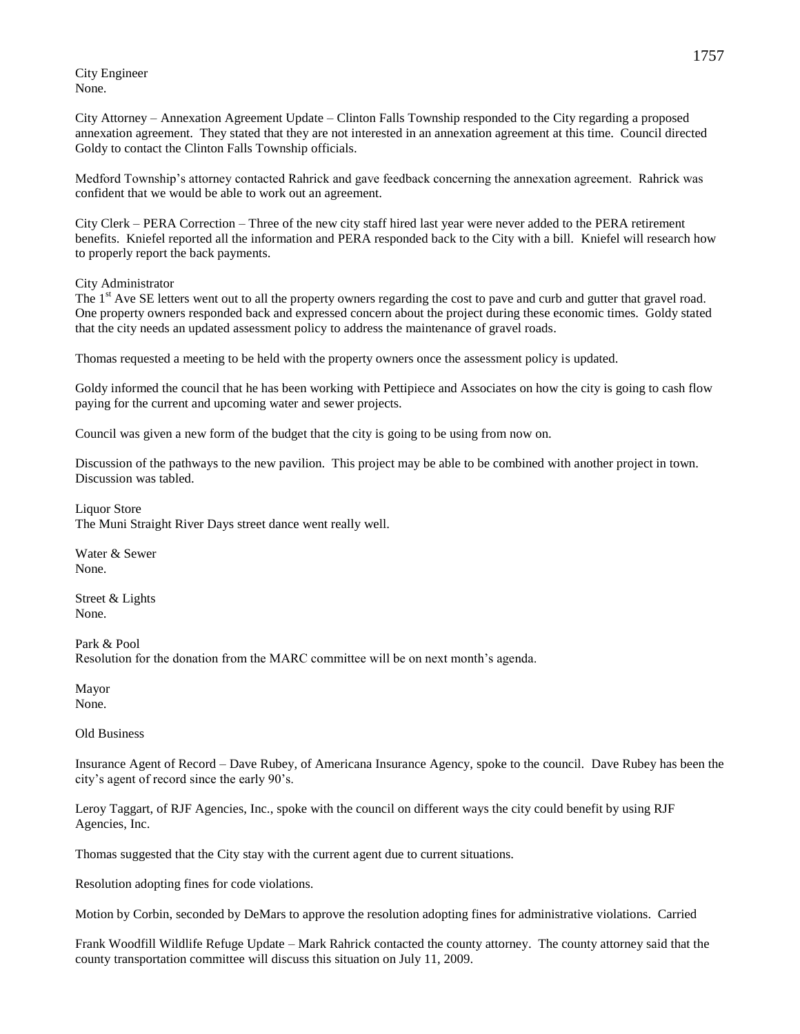City Engineer None.

City Attorney – Annexation Agreement Update – Clinton Falls Township responded to the City regarding a proposed annexation agreement. They stated that they are not interested in an annexation agreement at this time. Council directed Goldy to contact the Clinton Falls Township officials.

Medford Township's attorney contacted Rahrick and gave feedback concerning the annexation agreement. Rahrick was confident that we would be able to work out an agreement.

City Clerk – PERA Correction – Three of the new city staff hired last year were never added to the PERA retirement benefits. Kniefel reported all the information and PERA responded back to the City with a bill. Kniefel will research how to properly report the back payments.

## City Administrator

The 1<sup>st</sup> Ave SE letters went out to all the property owners regarding the cost to pave and curb and gutter that gravel road. One property owners responded back and expressed concern about the project during these economic times. Goldy stated that the city needs an updated assessment policy to address the maintenance of gravel roads.

Thomas requested a meeting to be held with the property owners once the assessment policy is updated.

Goldy informed the council that he has been working with Pettipiece and Associates on how the city is going to cash flow paying for the current and upcoming water and sewer projects.

Council was given a new form of the budget that the city is going to be using from now on.

Discussion of the pathways to the new pavilion. This project may be able to be combined with another project in town. Discussion was tabled.

Liquor Store The Muni Straight River Days street dance went really well.

Water & Sewer None.

Street & Lights None.

Park & Pool Resolution for the donation from the MARC committee will be on next month's agenda.

Mayor None.

Old Business

Insurance Agent of Record – Dave Rubey, of Americana Insurance Agency, spoke to the council. Dave Rubey has been the city's agent of record since the early 90's.

Leroy Taggart, of RJF Agencies, Inc., spoke with the council on different ways the city could benefit by using RJF Agencies, Inc.

Thomas suggested that the City stay with the current agent due to current situations.

Resolution adopting fines for code violations.

Motion by Corbin, seconded by DeMars to approve the resolution adopting fines for administrative violations. Carried

Frank Woodfill Wildlife Refuge Update – Mark Rahrick contacted the county attorney. The county attorney said that the county transportation committee will discuss this situation on July 11, 2009.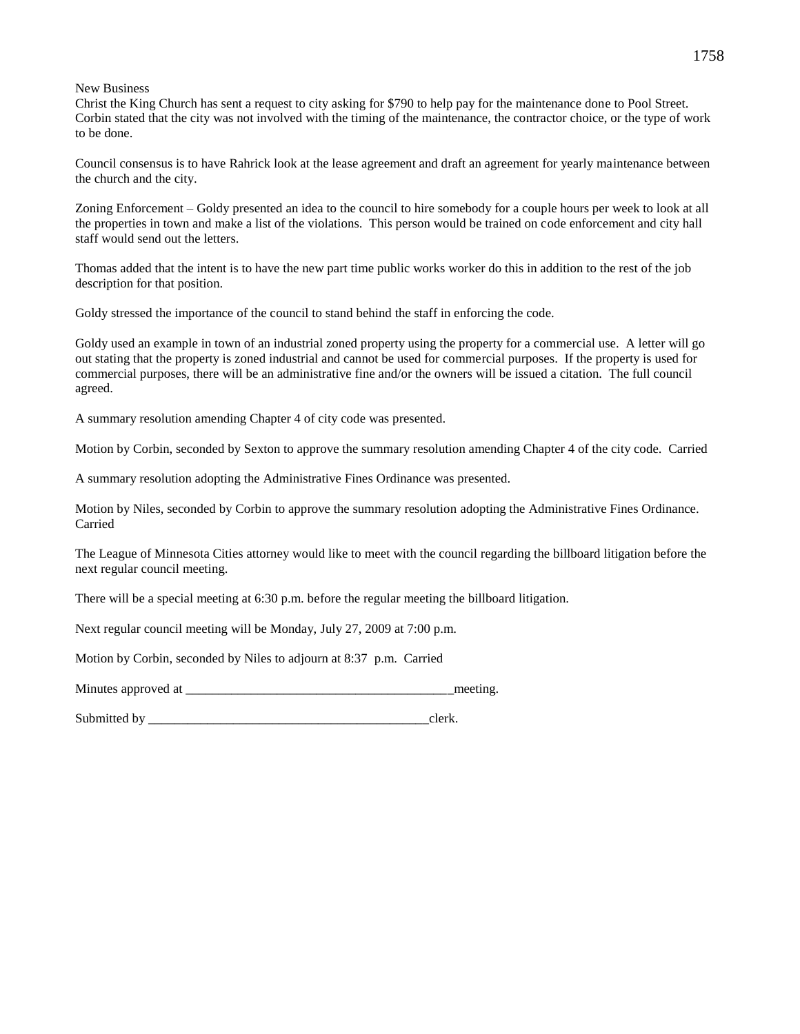New Business

Christ the King Church has sent a request to city asking for \$790 to help pay for the maintenance done to Pool Street. Corbin stated that the city was not involved with the timing of the maintenance, the contractor choice, or the type of work to be done.

Council consensus is to have Rahrick look at the lease agreement and draft an agreement for yearly maintenance between the church and the city.

Zoning Enforcement – Goldy presented an idea to the council to hire somebody for a couple hours per week to look at all the properties in town and make a list of the violations. This person would be trained on code enforcement and city hall staff would send out the letters.

Thomas added that the intent is to have the new part time public works worker do this in addition to the rest of the job description for that position.

Goldy stressed the importance of the council to stand behind the staff in enforcing the code.

Goldy used an example in town of an industrial zoned property using the property for a commercial use. A letter will go out stating that the property is zoned industrial and cannot be used for commercial purposes. If the property is used for commercial purposes, there will be an administrative fine and/or the owners will be issued a citation. The full council agreed.

A summary resolution amending Chapter 4 of city code was presented.

Motion by Corbin, seconded by Sexton to approve the summary resolution amending Chapter 4 of the city code. Carried

A summary resolution adopting the Administrative Fines Ordinance was presented.

Motion by Niles, seconded by Corbin to approve the summary resolution adopting the Administrative Fines Ordinance. Carried

The League of Minnesota Cities attorney would like to meet with the council regarding the billboard litigation before the next regular council meeting.

There will be a special meeting at 6:30 p.m. before the regular meeting the billboard litigation.

Next regular council meeting will be Monday, July 27, 2009 at 7:00 p.m.

Motion by Corbin, seconded by Niles to adjourn at 8:37 p.m. Carried

Minutes approved at  $\blacksquare$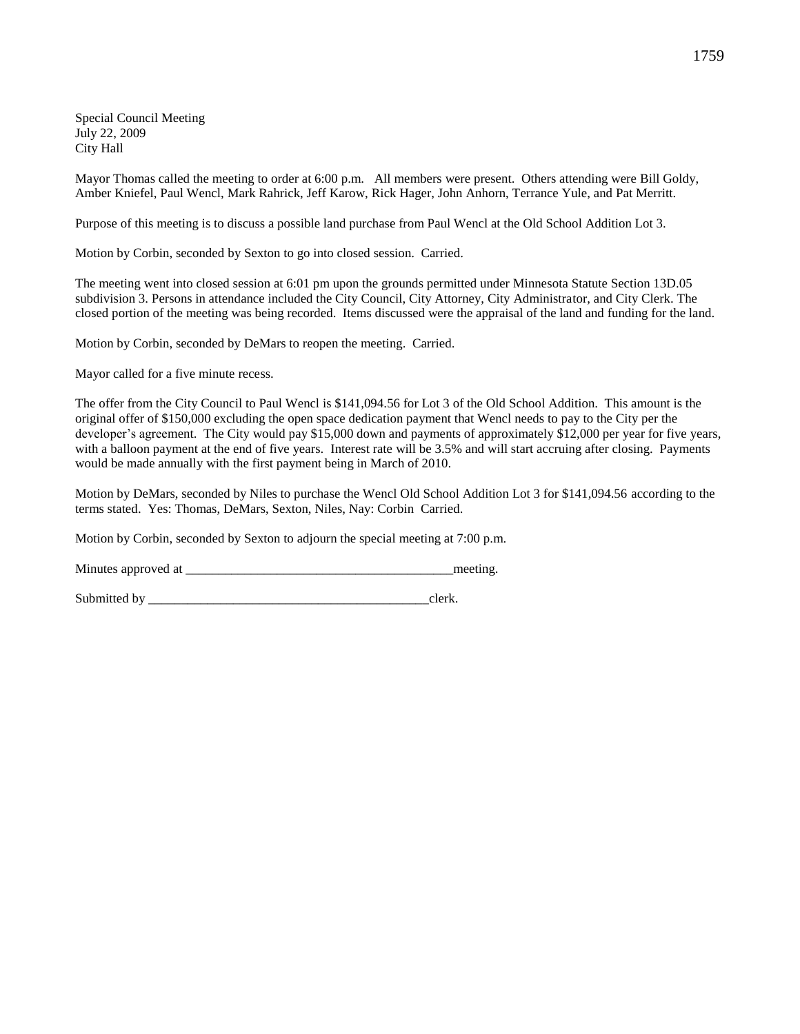Special Council Meeting July 22, 2009 City Hall

Mayor Thomas called the meeting to order at 6:00 p.m. All members were present. Others attending were Bill Goldy, Amber Kniefel, Paul Wencl, Mark Rahrick, Jeff Karow, Rick Hager, John Anhorn, Terrance Yule, and Pat Merritt.

Purpose of this meeting is to discuss a possible land purchase from Paul Wencl at the Old School Addition Lot 3.

Motion by Corbin, seconded by Sexton to go into closed session. Carried.

The meeting went into closed session at 6:01 pm upon the grounds permitted under Minnesota Statute Section 13D.05 subdivision 3. Persons in attendance included the City Council, City Attorney, City Administrator, and City Clerk. The closed portion of the meeting was being recorded. Items discussed were the appraisal of the land and funding for the land.

Motion by Corbin, seconded by DeMars to reopen the meeting. Carried.

Mayor called for a five minute recess.

The offer from the City Council to Paul Wencl is \$141,094.56 for Lot 3 of the Old School Addition. This amount is the original offer of \$150,000 excluding the open space dedication payment that Wencl needs to pay to the City per the developer's agreement. The City would pay \$15,000 down and payments of approximately \$12,000 per year for five years, with a balloon payment at the end of five years. Interest rate will be 3.5% and will start accruing after closing. Payments would be made annually with the first payment being in March of 2010.

Motion by DeMars, seconded by Niles to purchase the Wencl Old School Addition Lot 3 for \$141,094.56 according to the terms stated. Yes: Thomas, DeMars, Sexton, Niles, Nay: Corbin Carried.

Motion by Corbin, seconded by Sexton to adjourn the special meeting at 7:00 p.m.

Minutes approved at the meeting.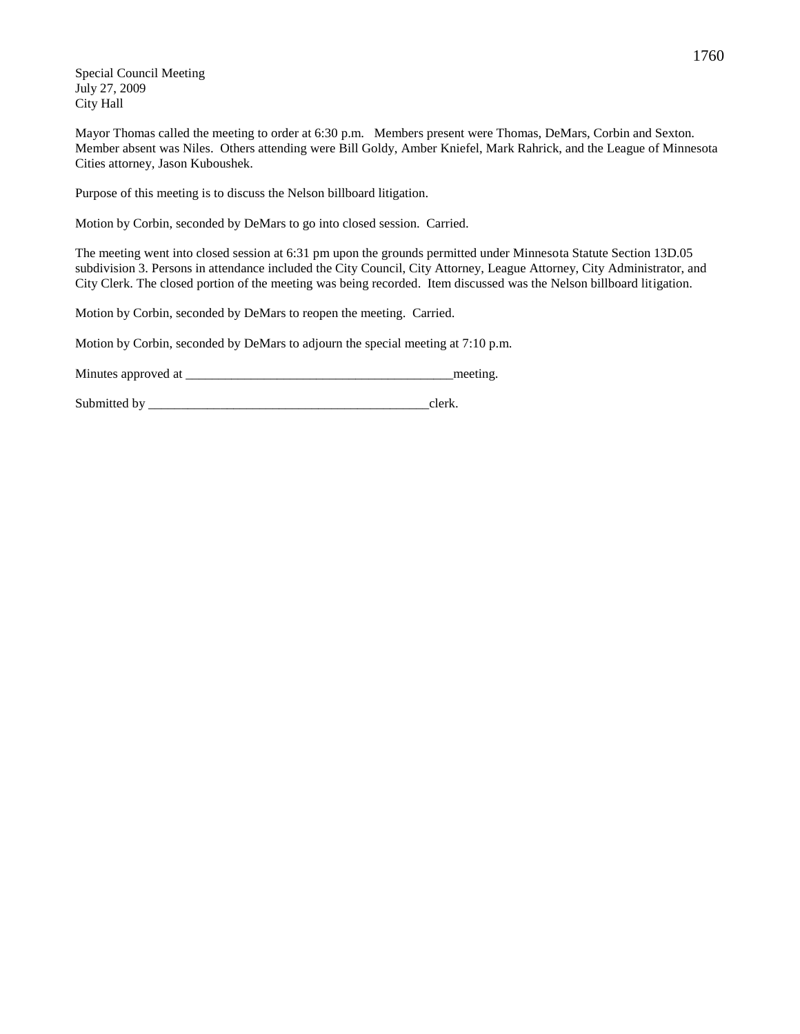Special Council Meeting July 27, 2009 City Hall

Mayor Thomas called the meeting to order at 6:30 p.m. Members present were Thomas, DeMars, Corbin and Sexton. Member absent was Niles. Others attending were Bill Goldy, Amber Kniefel, Mark Rahrick, and the League of Minnesota Cities attorney, Jason Kuboushek.

Purpose of this meeting is to discuss the Nelson billboard litigation.

Motion by Corbin, seconded by DeMars to go into closed session. Carried.

The meeting went into closed session at 6:31 pm upon the grounds permitted under Minnesota Statute Section 13D.05 subdivision 3. Persons in attendance included the City Council, City Attorney, League Attorney, City Administrator, and City Clerk. The closed portion of the meeting was being recorded. Item discussed was the Nelson billboard litigation.

Motion by Corbin, seconded by DeMars to reopen the meeting. Carried.

Motion by Corbin, seconded by DeMars to adjourn the special meeting at 7:10 p.m.

Minutes approved at \_\_\_\_\_\_\_\_\_\_\_\_\_\_\_\_\_\_\_\_\_\_\_\_\_\_\_\_\_\_\_\_\_\_\_\_\_\_\_\_\_meeting.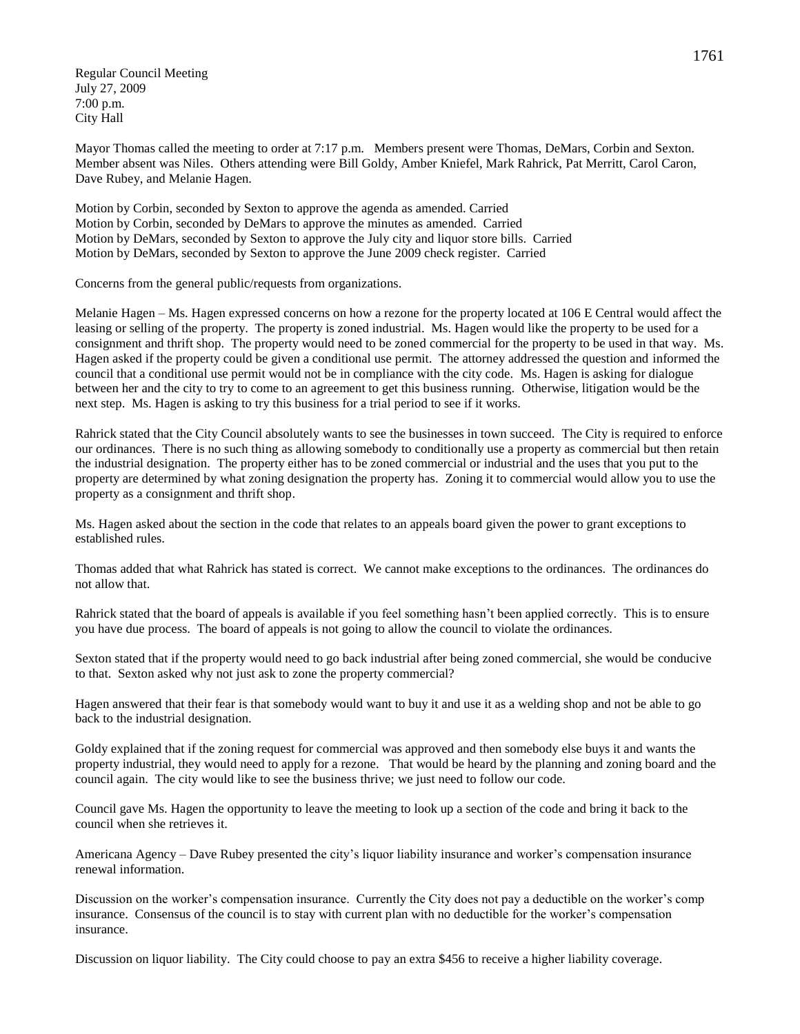Regular Council Meeting July 27, 2009 7:00 p.m. City Hall

Mayor Thomas called the meeting to order at 7:17 p.m. Members present were Thomas, DeMars, Corbin and Sexton. Member absent was Niles. Others attending were Bill Goldy, Amber Kniefel, Mark Rahrick, Pat Merritt, Carol Caron, Dave Rubey, and Melanie Hagen.

Motion by Corbin, seconded by Sexton to approve the agenda as amended. Carried Motion by Corbin, seconded by DeMars to approve the minutes as amended. Carried Motion by DeMars, seconded by Sexton to approve the July city and liquor store bills. Carried Motion by DeMars, seconded by Sexton to approve the June 2009 check register. Carried

Concerns from the general public/requests from organizations.

Melanie Hagen – Ms. Hagen expressed concerns on how a rezone for the property located at 106 E Central would affect the leasing or selling of the property. The property is zoned industrial. Ms. Hagen would like the property to be used for a consignment and thrift shop. The property would need to be zoned commercial for the property to be used in that way. Ms. Hagen asked if the property could be given a conditional use permit. The attorney addressed the question and informed the council that a conditional use permit would not be in compliance with the city code. Ms. Hagen is asking for dialogue between her and the city to try to come to an agreement to get this business running. Otherwise, litigation would be the next step. Ms. Hagen is asking to try this business for a trial period to see if it works.

Rahrick stated that the City Council absolutely wants to see the businesses in town succeed. The City is required to enforce our ordinances. There is no such thing as allowing somebody to conditionally use a property as commercial but then retain the industrial designation. The property either has to be zoned commercial or industrial and the uses that you put to the property are determined by what zoning designation the property has. Zoning it to commercial would allow you to use the property as a consignment and thrift shop.

Ms. Hagen asked about the section in the code that relates to an appeals board given the power to grant exceptions to established rules.

Thomas added that what Rahrick has stated is correct. We cannot make exceptions to the ordinances. The ordinances do not allow that.

Rahrick stated that the board of appeals is available if you feel something hasn't been applied correctly. This is to ensure you have due process. The board of appeals is not going to allow the council to violate the ordinances.

Sexton stated that if the property would need to go back industrial after being zoned commercial, she would be conducive to that. Sexton asked why not just ask to zone the property commercial?

Hagen answered that their fear is that somebody would want to buy it and use it as a welding shop and not be able to go back to the industrial designation.

Goldy explained that if the zoning request for commercial was approved and then somebody else buys it and wants the property industrial, they would need to apply for a rezone. That would be heard by the planning and zoning board and the council again. The city would like to see the business thrive; we just need to follow our code.

Council gave Ms. Hagen the opportunity to leave the meeting to look up a section of the code and bring it back to the council when she retrieves it.

Americana Agency – Dave Rubey presented the city's liquor liability insurance and worker's compensation insurance renewal information.

Discussion on the worker's compensation insurance. Currently the City does not pay a deductible on the worker's comp insurance. Consensus of the council is to stay with current plan with no deductible for the worker's compensation insurance.

Discussion on liquor liability. The City could choose to pay an extra \$456 to receive a higher liability coverage.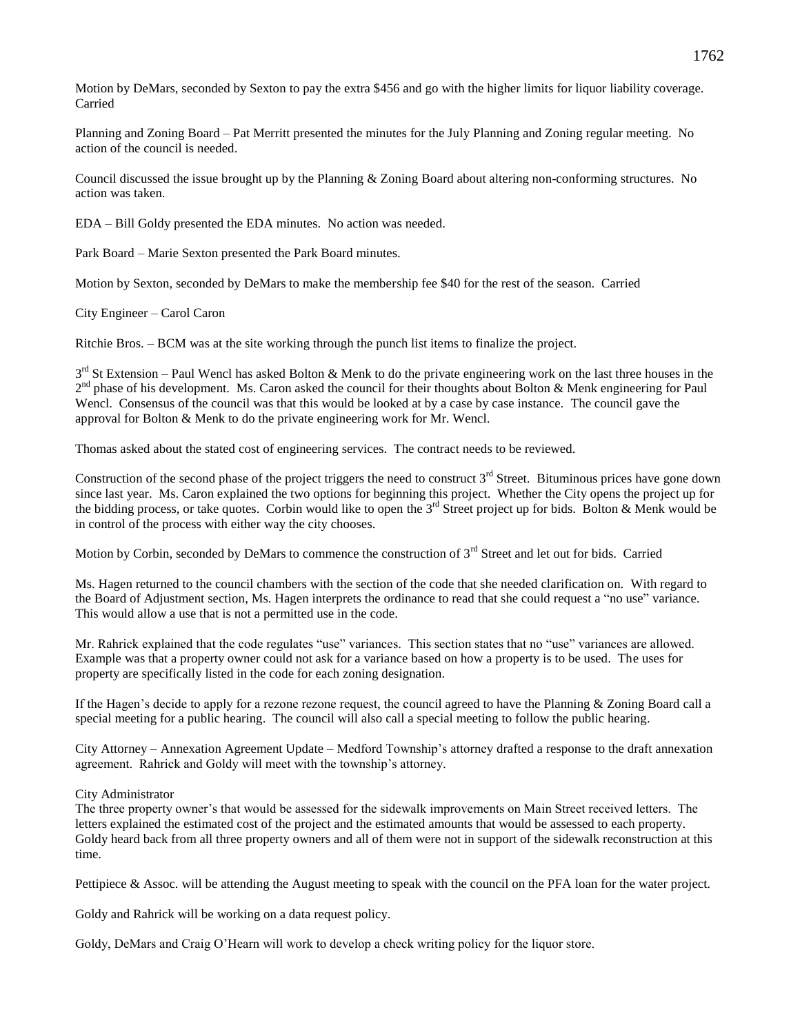Motion by DeMars, seconded by Sexton to pay the extra \$456 and go with the higher limits for liquor liability coverage. Carried

Planning and Zoning Board – Pat Merritt presented the minutes for the July Planning and Zoning regular meeting. No action of the council is needed.

Council discussed the issue brought up by the Planning & Zoning Board about altering non-conforming structures. No action was taken.

EDA – Bill Goldy presented the EDA minutes. No action was needed.

Park Board – Marie Sexton presented the Park Board minutes.

Motion by Sexton, seconded by DeMars to make the membership fee \$40 for the rest of the season. Carried

City Engineer – Carol Caron

Ritchie Bros. – BCM was at the site working through the punch list items to finalize the project.

 $3<sup>rd</sup>$  St Extension – Paul Wencl has asked Bolton & Menk to do the private engineering work on the last three houses in the 2<sup>nd</sup> phase of his development. Ms. Caron asked the council for their thoughts about Bolton & Menk engineering for Paul Wencl. Consensus of the council was that this would be looked at by a case by case instance. The council gave the approval for Bolton & Menk to do the private engineering work for Mr. Wencl.

Thomas asked about the stated cost of engineering services. The contract needs to be reviewed.

Construction of the second phase of the project triggers the need to construct  $3<sup>rd</sup>$  Street. Bituminous prices have gone down since last year. Ms. Caron explained the two options for beginning this project. Whether the City opens the project up for the bidding process, or take quotes. Corbin would like to open the 3<sup>rd</sup> Street project up for bids. Bolton & Menk would be in control of the process with either way the city chooses.

Motion by Corbin, seconded by DeMars to commence the construction of 3<sup>rd</sup> Street and let out for bids. Carried

Ms. Hagen returned to the council chambers with the section of the code that she needed clarification on. With regard to the Board of Adjustment section, Ms. Hagen interprets the ordinance to read that she could request a "no use" variance. This would allow a use that is not a permitted use in the code.

Mr. Rahrick explained that the code regulates "use" variances. This section states that no "use" variances are allowed. Example was that a property owner could not ask for a variance based on how a property is to be used. The uses for property are specifically listed in the code for each zoning designation.

If the Hagen's decide to apply for a rezone rezone request, the council agreed to have the Planning & Zoning Board call a special meeting for a public hearing. The council will also call a special meeting to follow the public hearing.

City Attorney – Annexation Agreement Update – Medford Township's attorney drafted a response to the draft annexation agreement. Rahrick and Goldy will meet with the township's attorney.

City Administrator

The three property owner's that would be assessed for the sidewalk improvements on Main Street received letters. The letters explained the estimated cost of the project and the estimated amounts that would be assessed to each property. Goldy heard back from all three property owners and all of them were not in support of the sidewalk reconstruction at this time.

Pettipiece & Assoc. will be attending the August meeting to speak with the council on the PFA loan for the water project.

Goldy and Rahrick will be working on a data request policy.

Goldy, DeMars and Craig O'Hearn will work to develop a check writing policy for the liquor store.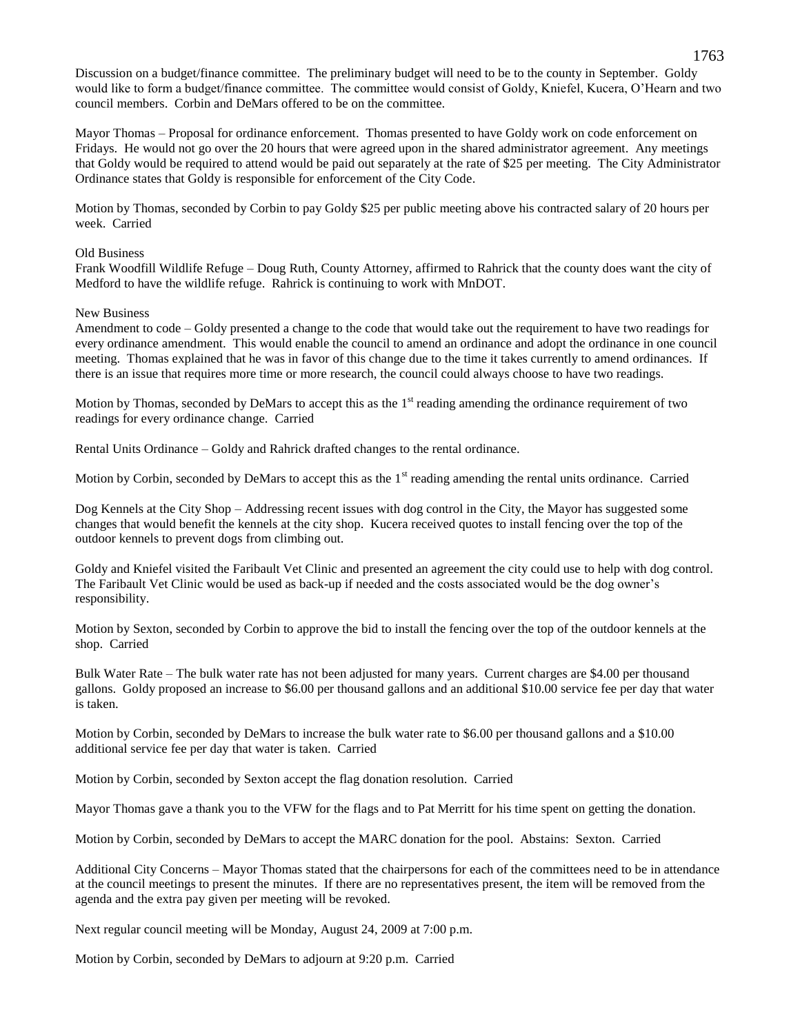Discussion on a budget/finance committee. The preliminary budget will need to be to the county in September. Goldy would like to form a budget/finance committee. The committee would consist of Goldy, Kniefel, Kucera, O'Hearn and two council members. Corbin and DeMars offered to be on the committee.

Mayor Thomas – Proposal for ordinance enforcement. Thomas presented to have Goldy work on code enforcement on Fridays. He would not go over the 20 hours that were agreed upon in the shared administrator agreement. Any meetings that Goldy would be required to attend would be paid out separately at the rate of \$25 per meeting. The City Administrator Ordinance states that Goldy is responsible for enforcement of the City Code.

Motion by Thomas, seconded by Corbin to pay Goldy \$25 per public meeting above his contracted salary of 20 hours per week. Carried

## Old Business

Frank Woodfill Wildlife Refuge – Doug Ruth, County Attorney, affirmed to Rahrick that the county does want the city of Medford to have the wildlife refuge. Rahrick is continuing to work with MnDOT.

### New Business

Amendment to code – Goldy presented a change to the code that would take out the requirement to have two readings for every ordinance amendment. This would enable the council to amend an ordinance and adopt the ordinance in one council meeting. Thomas explained that he was in favor of this change due to the time it takes currently to amend ordinances. If there is an issue that requires more time or more research, the council could always choose to have two readings.

Motion by Thomas, seconded by DeMars to accept this as the  $1<sup>st</sup>$  reading amending the ordinance requirement of two readings for every ordinance change. Carried

Rental Units Ordinance – Goldy and Rahrick drafted changes to the rental ordinance.

Motion by Corbin, seconded by DeMars to accept this as the  $1<sup>st</sup>$  reading amending the rental units ordinance. Carried

Dog Kennels at the City Shop – Addressing recent issues with dog control in the City, the Mayor has suggested some changes that would benefit the kennels at the city shop. Kucera received quotes to install fencing over the top of the outdoor kennels to prevent dogs from climbing out.

Goldy and Kniefel visited the Faribault Vet Clinic and presented an agreement the city could use to help with dog control. The Faribault Vet Clinic would be used as back-up if needed and the costs associated would be the dog owner's responsibility.

Motion by Sexton, seconded by Corbin to approve the bid to install the fencing over the top of the outdoor kennels at the shop. Carried

Bulk Water Rate – The bulk water rate has not been adjusted for many years. Current charges are \$4.00 per thousand gallons. Goldy proposed an increase to \$6.00 per thousand gallons and an additional \$10.00 service fee per day that water is taken.

Motion by Corbin, seconded by DeMars to increase the bulk water rate to \$6.00 per thousand gallons and a \$10.00 additional service fee per day that water is taken. Carried

Motion by Corbin, seconded by Sexton accept the flag donation resolution. Carried

Mayor Thomas gave a thank you to the VFW for the flags and to Pat Merritt for his time spent on getting the donation.

Motion by Corbin, seconded by DeMars to accept the MARC donation for the pool. Abstains: Sexton. Carried

Additional City Concerns – Mayor Thomas stated that the chairpersons for each of the committees need to be in attendance at the council meetings to present the minutes. If there are no representatives present, the item will be removed from the agenda and the extra pay given per meeting will be revoked.

Next regular council meeting will be Monday, August 24, 2009 at 7:00 p.m.

Motion by Corbin, seconded by DeMars to adjourn at 9:20 p.m. Carried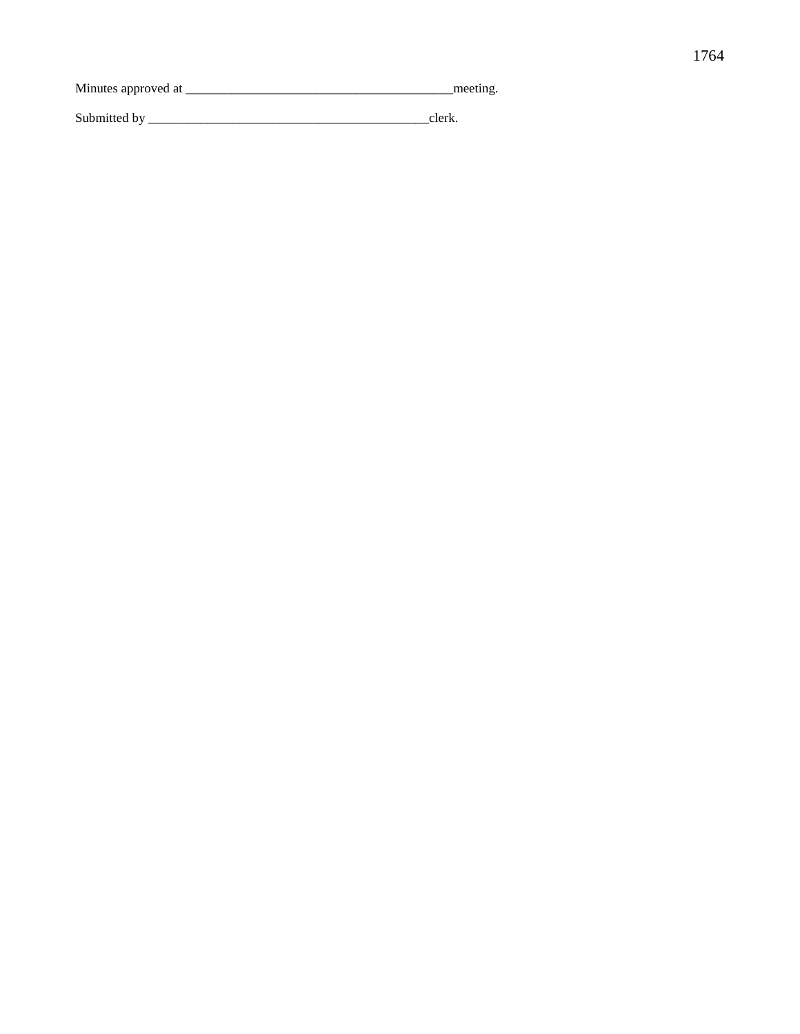Minutes approved at \_\_\_\_\_\_\_\_\_\_\_\_\_\_\_\_\_\_\_\_\_\_\_\_\_\_\_\_\_\_\_\_\_\_\_\_\_\_\_\_\_meeting. Submitted by \_\_\_\_\_\_\_\_\_\_\_\_\_\_\_\_\_\_\_\_\_\_\_\_\_\_\_\_\_\_\_\_\_\_\_\_\_\_\_\_\_\_\_clerk.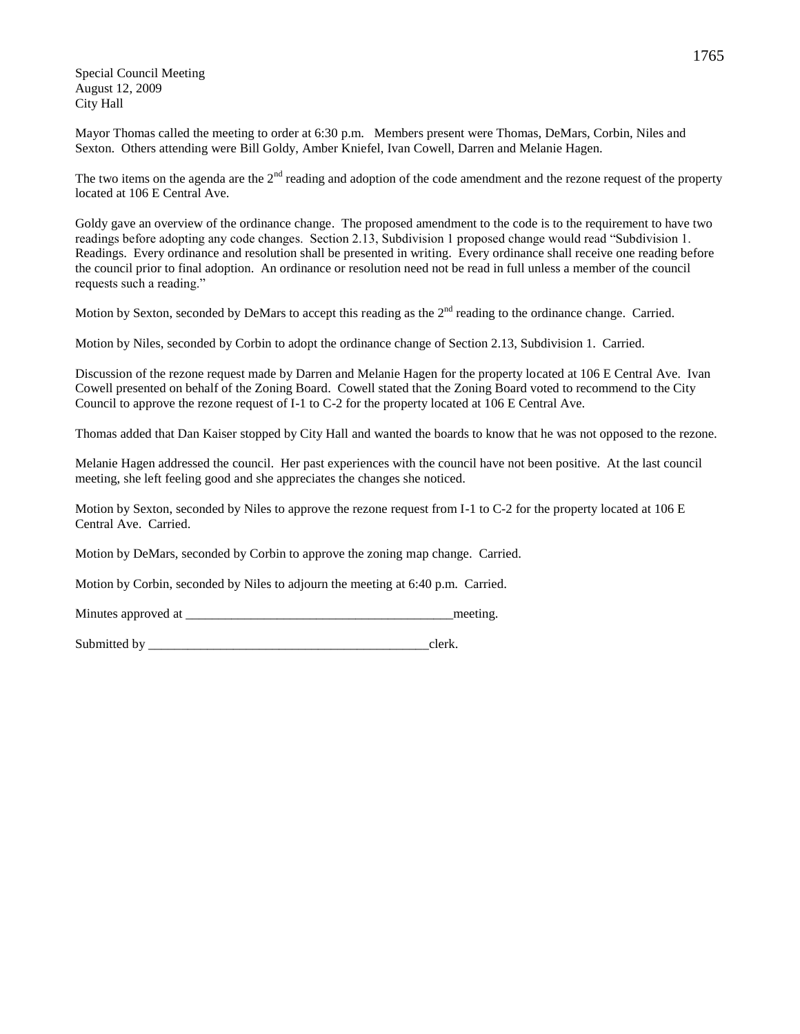Special Council Meeting August 12, 2009 City Hall

Mayor Thomas called the meeting to order at 6:30 p.m. Members present were Thomas, DeMars, Corbin, Niles and Sexton. Others attending were Bill Goldy, Amber Kniefel, Ivan Cowell, Darren and Melanie Hagen.

The two items on the agenda are the  $2<sup>nd</sup>$  reading and adoption of the code amendment and the rezone request of the property located at 106 E Central Ave.

Goldy gave an overview of the ordinance change. The proposed amendment to the code is to the requirement to have two readings before adopting any code changes. Section 2.13, Subdivision 1 proposed change would read "Subdivision 1. Readings. Every ordinance and resolution shall be presented in writing. Every ordinance shall receive one reading before the council prior to final adoption. An ordinance or resolution need not be read in full unless a member of the council requests such a reading."

Motion by Sexton, seconded by DeMars to accept this reading as the  $2<sup>nd</sup>$  reading to the ordinance change. Carried.

Motion by Niles, seconded by Corbin to adopt the ordinance change of Section 2.13, Subdivision 1. Carried.

Discussion of the rezone request made by Darren and Melanie Hagen for the property located at 106 E Central Ave. Ivan Cowell presented on behalf of the Zoning Board. Cowell stated that the Zoning Board voted to recommend to the City Council to approve the rezone request of I-1 to C-2 for the property located at 106 E Central Ave.

Thomas added that Dan Kaiser stopped by City Hall and wanted the boards to know that he was not opposed to the rezone.

Melanie Hagen addressed the council. Her past experiences with the council have not been positive. At the last council meeting, she left feeling good and she appreciates the changes she noticed.

Motion by Sexton, seconded by Niles to approve the rezone request from I-1 to C-2 for the property located at 106 E Central Ave. Carried.

Motion by DeMars, seconded by Corbin to approve the zoning map change. Carried.

Motion by Corbin, seconded by Niles to adjourn the meeting at 6:40 p.m. Carried.

Minutes approved at the setting and the setting meeting.

Submitted by clerk.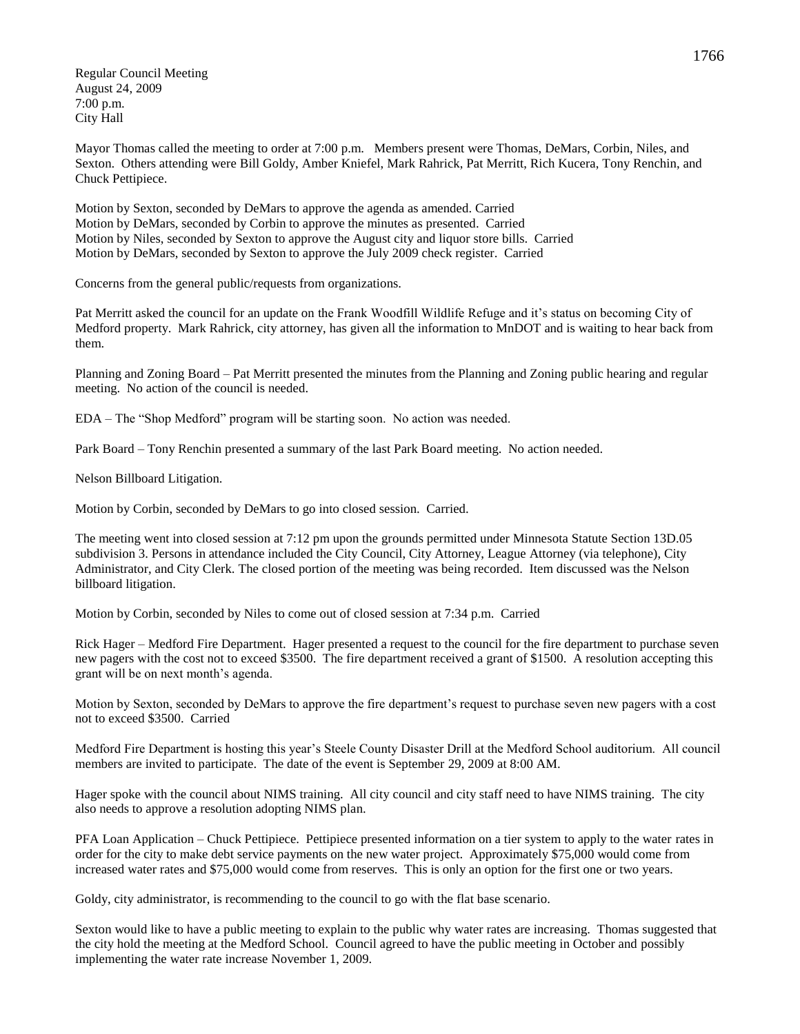Regular Council Meeting August 24, 2009 7:00 p.m. City Hall

Mayor Thomas called the meeting to order at 7:00 p.m. Members present were Thomas, DeMars, Corbin, Niles, and Sexton. Others attending were Bill Goldy, Amber Kniefel, Mark Rahrick, Pat Merritt, Rich Kucera, Tony Renchin, and Chuck Pettipiece.

Motion by Sexton, seconded by DeMars to approve the agenda as amended. Carried Motion by DeMars, seconded by Corbin to approve the minutes as presented. Carried Motion by Niles, seconded by Sexton to approve the August city and liquor store bills. Carried Motion by DeMars, seconded by Sexton to approve the July 2009 check register. Carried

Concerns from the general public/requests from organizations.

Pat Merritt asked the council for an update on the Frank Woodfill Wildlife Refuge and it's status on becoming City of Medford property. Mark Rahrick, city attorney, has given all the information to MnDOT and is waiting to hear back from them.

Planning and Zoning Board – Pat Merritt presented the minutes from the Planning and Zoning public hearing and regular meeting. No action of the council is needed.

EDA – The "Shop Medford" program will be starting soon. No action was needed.

Park Board – Tony Renchin presented a summary of the last Park Board meeting. No action needed.

Nelson Billboard Litigation.

Motion by Corbin, seconded by DeMars to go into closed session. Carried.

The meeting went into closed session at 7:12 pm upon the grounds permitted under Minnesota Statute Section 13D.05 subdivision 3. Persons in attendance included the City Council, City Attorney, League Attorney (via telephone), City Administrator, and City Clerk. The closed portion of the meeting was being recorded. Item discussed was the Nelson billboard litigation.

Motion by Corbin, seconded by Niles to come out of closed session at 7:34 p.m. Carried

Rick Hager – Medford Fire Department. Hager presented a request to the council for the fire department to purchase seven new pagers with the cost not to exceed \$3500. The fire department received a grant of \$1500. A resolution accepting this grant will be on next month's agenda.

Motion by Sexton, seconded by DeMars to approve the fire department's request to purchase seven new pagers with a cost not to exceed \$3500. Carried

Medford Fire Department is hosting this year's Steele County Disaster Drill at the Medford School auditorium. All council members are invited to participate. The date of the event is September 29, 2009 at 8:00 AM.

Hager spoke with the council about NIMS training. All city council and city staff need to have NIMS training. The city also needs to approve a resolution adopting NIMS plan.

PFA Loan Application – Chuck Pettipiece. Pettipiece presented information on a tier system to apply to the water rates in order for the city to make debt service payments on the new water project. Approximately \$75,000 would come from increased water rates and \$75,000 would come from reserves. This is only an option for the first one or two years.

Goldy, city administrator, is recommending to the council to go with the flat base scenario.

Sexton would like to have a public meeting to explain to the public why water rates are increasing. Thomas suggested that the city hold the meeting at the Medford School. Council agreed to have the public meeting in October and possibly implementing the water rate increase November 1, 2009.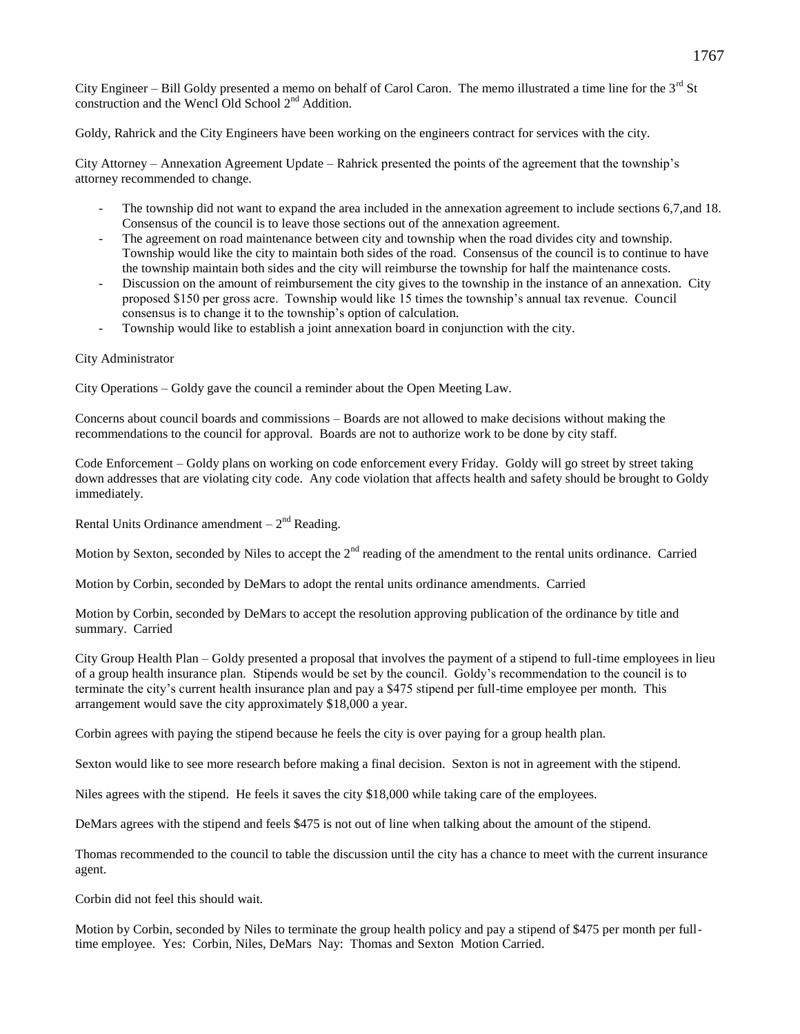City Engineer – Bill Goldy presented a memo on behalf of Carol Caron. The memo illustrated a time line for the 3<sup>rd</sup> St construction and the Wencl Old School  $2<sup>nd</sup>$  Addition.

Goldy, Rahrick and the City Engineers have been working on the engineers contract for services with the city.

City Attorney – Annexation Agreement Update – Rahrick presented the points of the agreement that the township's attorney recommended to change.

- The township did not want to expand the area included in the annexation agreement to include sections 6,7,and 18. Consensus of the council is to leave those sections out of the annexation agreement.
- The agreement on road maintenance between city and township when the road divides city and township. Township would like the city to maintain both sides of the road. Consensus of the council is to continue to have the township maintain both sides and the city will reimburse the township for half the maintenance costs.
- Discussion on the amount of reimbursement the city gives to the township in the instance of an annexation. City proposed \$150 per gross acre. Township would like 15 times the township's annual tax revenue. Council consensus is to change it to the township's option of calculation.
- Township would like to establish a joint annexation board in conjunction with the city.

## City Administrator

City Operations – Goldy gave the council a reminder about the Open Meeting Law.

Concerns about council boards and commissions – Boards are not allowed to make decisions without making the recommendations to the council for approval. Boards are not to authorize work to be done by city staff.

Code Enforcement – Goldy plans on working on code enforcement every Friday. Goldy will go street by street taking down addresses that are violating city code. Any code violation that affects health and safety should be brought to Goldy immediately.

Rental Units Ordinance amendment  $-2<sup>nd</sup>$  Reading.

Motion by Sexton, seconded by Niles to accept the  $2<sup>nd</sup>$  reading of the amendment to the rental units ordinance. Carried

Motion by Corbin, seconded by DeMars to adopt the rental units ordinance amendments. Carried

Motion by Corbin, seconded by DeMars to accept the resolution approving publication of the ordinance by title and summary. Carried

City Group Health Plan – Goldy presented a proposal that involves the payment of a stipend to full-time employees in lieu of a group health insurance plan. Stipends would be set by the council. Goldy's recommendation to the council is to terminate the city's current health insurance plan and pay a \$475 stipend per full-time employee per month. This arrangement would save the city approximately \$18,000 a year.

Corbin agrees with paying the stipend because he feels the city is over paying for a group health plan.

Sexton would like to see more research before making a final decision. Sexton is not in agreement with the stipend.

Niles agrees with the stipend. He feels it saves the city \$18,000 while taking care of the employees.

DeMars agrees with the stipend and feels \$475 is not out of line when talking about the amount of the stipend.

Thomas recommended to the council to table the discussion until the city has a chance to meet with the current insurance agent.

Corbin did not feel this should wait.

Motion by Corbin, seconded by Niles to terminate the group health policy and pay a stipend of \$475 per month per fulltime employee. Yes: Corbin, Niles, DeMars Nay: Thomas and Sexton Motion Carried.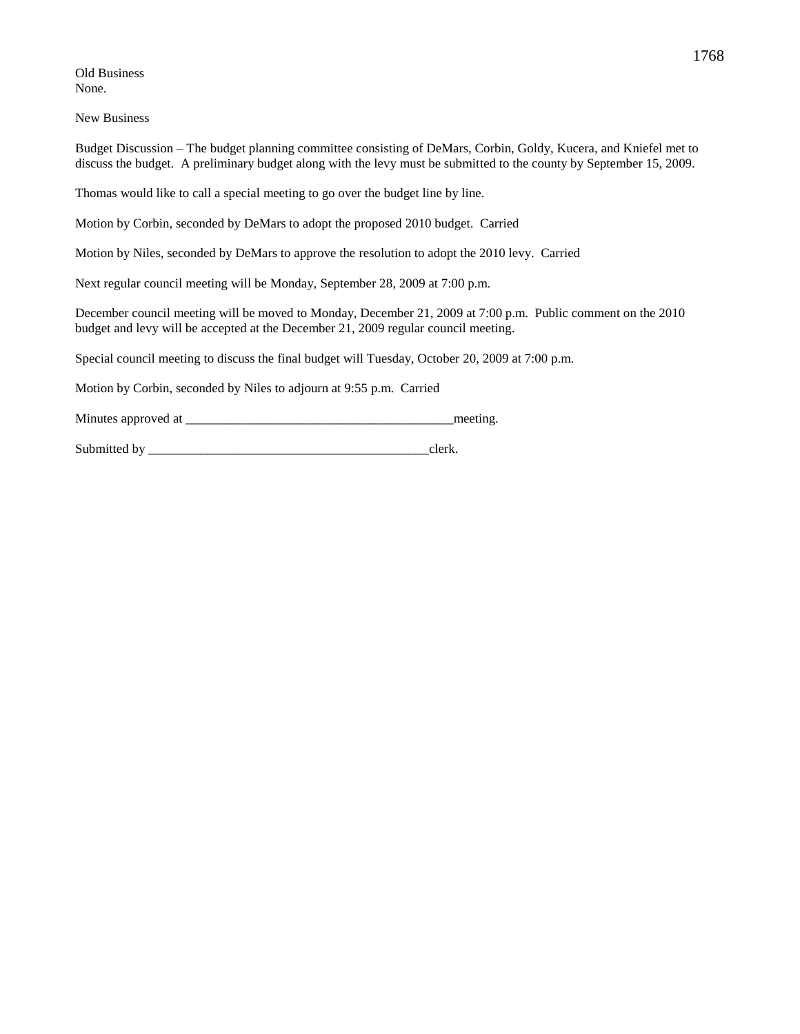Old Business None.

New Business

Budget Discussion – The budget planning committee consisting of DeMars, Corbin, Goldy, Kucera, and Kniefel met to discuss the budget. A preliminary budget along with the levy must be submitted to the county by September 15, 2009.

Thomas would like to call a special meeting to go over the budget line by line.

Motion by Corbin, seconded by DeMars to adopt the proposed 2010 budget. Carried

Motion by Niles, seconded by DeMars to approve the resolution to adopt the 2010 levy. Carried

Next regular council meeting will be Monday, September 28, 2009 at 7:00 p.m.

December council meeting will be moved to Monday, December 21, 2009 at 7:00 p.m. Public comment on the 2010 budget and levy will be accepted at the December 21, 2009 regular council meeting.

Special council meeting to discuss the final budget will Tuesday, October 20, 2009 at 7:00 p.m.

Motion by Corbin, seconded by Niles to adjourn at 9:55 p.m. Carried

Minutes approved at \_\_\_\_\_\_\_\_\_\_\_\_\_\_\_\_\_\_\_\_\_\_\_\_\_\_\_\_\_\_\_\_\_\_\_\_\_\_\_\_\_meeting.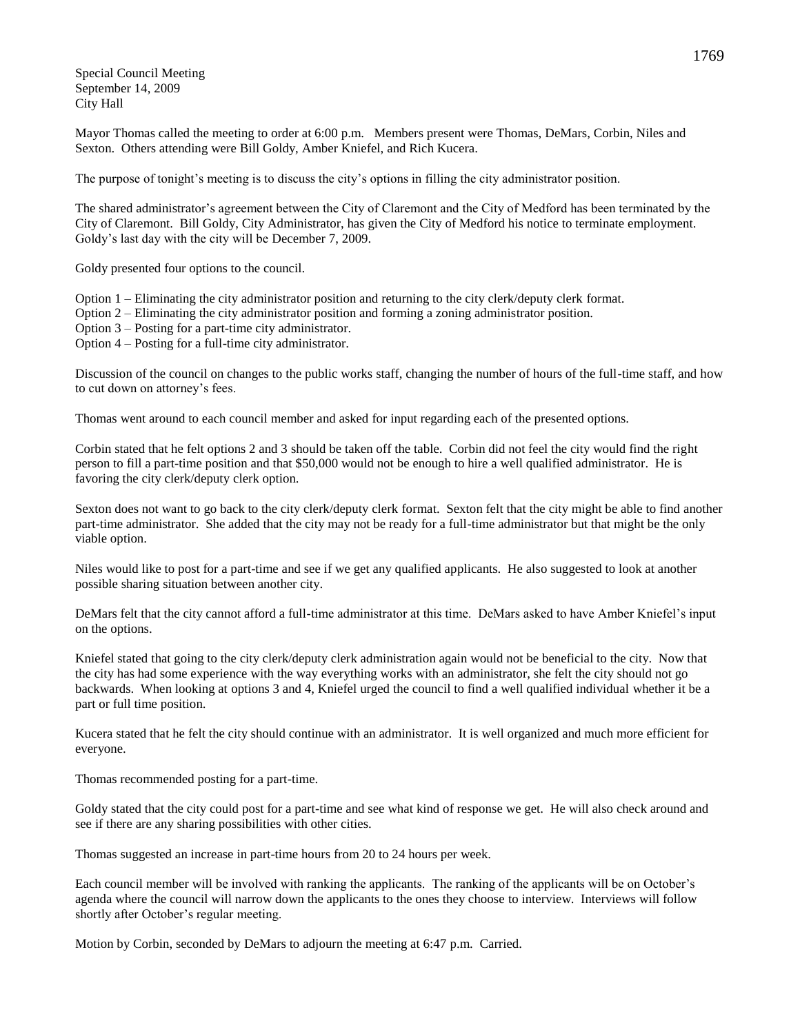Special Council Meeting September 14, 2009 City Hall

Mayor Thomas called the meeting to order at 6:00 p.m. Members present were Thomas, DeMars, Corbin, Niles and Sexton. Others attending were Bill Goldy, Amber Kniefel, and Rich Kucera.

The purpose of tonight's meeting is to discuss the city's options in filling the city administrator position.

The shared administrator's agreement between the City of Claremont and the City of Medford has been terminated by the City of Claremont. Bill Goldy, City Administrator, has given the City of Medford his notice to terminate employment. Goldy's last day with the city will be December 7, 2009.

Goldy presented four options to the council.

Option 1 – Eliminating the city administrator position and returning to the city clerk/deputy clerk format.

Option 2 – Eliminating the city administrator position and forming a zoning administrator position.

Option 3 – Posting for a part-time city administrator.

Option 4 – Posting for a full-time city administrator.

Discussion of the council on changes to the public works staff, changing the number of hours of the full-time staff, and how to cut down on attorney's fees.

Thomas went around to each council member and asked for input regarding each of the presented options.

Corbin stated that he felt options 2 and 3 should be taken off the table. Corbin did not feel the city would find the right person to fill a part-time position and that \$50,000 would not be enough to hire a well qualified administrator. He is favoring the city clerk/deputy clerk option.

Sexton does not want to go back to the city clerk/deputy clerk format. Sexton felt that the city might be able to find another part-time administrator. She added that the city may not be ready for a full-time administrator but that might be the only viable option.

Niles would like to post for a part-time and see if we get any qualified applicants. He also suggested to look at another possible sharing situation between another city.

DeMars felt that the city cannot afford a full-time administrator at this time. DeMars asked to have Amber Kniefel's input on the options.

Kniefel stated that going to the city clerk/deputy clerk administration again would not be beneficial to the city. Now that the city has had some experience with the way everything works with an administrator, she felt the city should not go backwards. When looking at options 3 and 4, Kniefel urged the council to find a well qualified individual whether it be a part or full time position.

Kucera stated that he felt the city should continue with an administrator. It is well organized and much more efficient for everyone.

Thomas recommended posting for a part-time.

Goldy stated that the city could post for a part-time and see what kind of response we get. He will also check around and see if there are any sharing possibilities with other cities.

Thomas suggested an increase in part-time hours from 20 to 24 hours per week.

Each council member will be involved with ranking the applicants. The ranking of the applicants will be on October's agenda where the council will narrow down the applicants to the ones they choose to interview. Interviews will follow shortly after October's regular meeting.

Motion by Corbin, seconded by DeMars to adjourn the meeting at 6:47 p.m. Carried.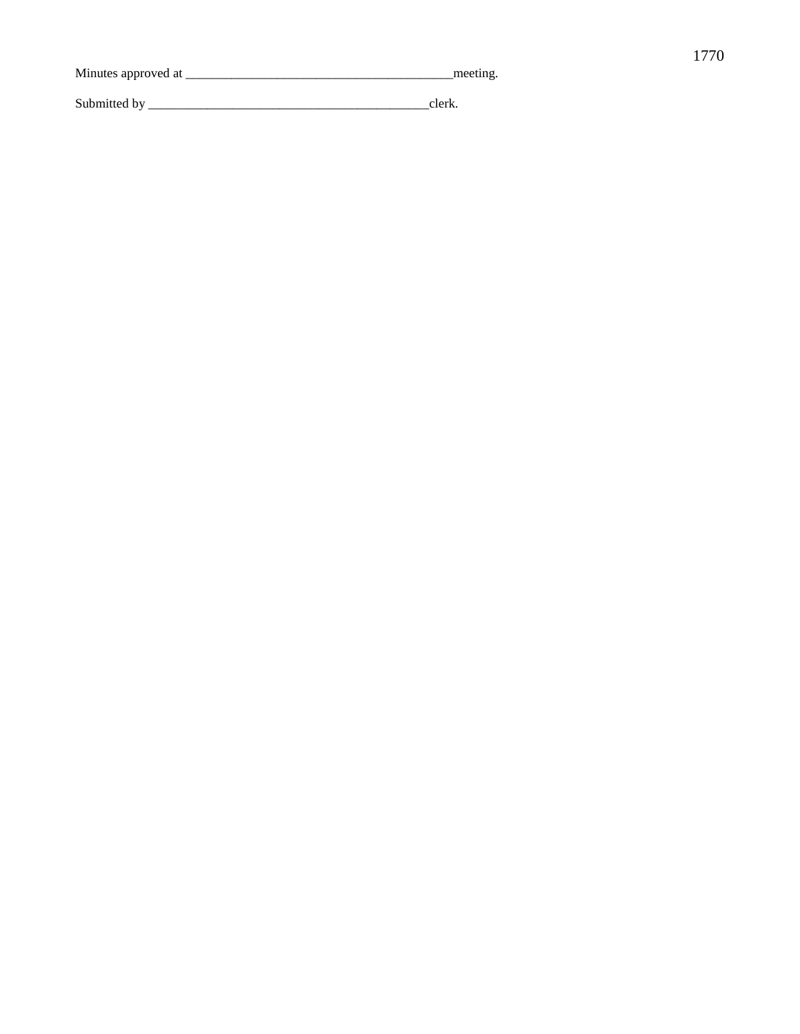| Minutes approved at | meeting. |
|---------------------|----------|
| Submitted by        | clerk    |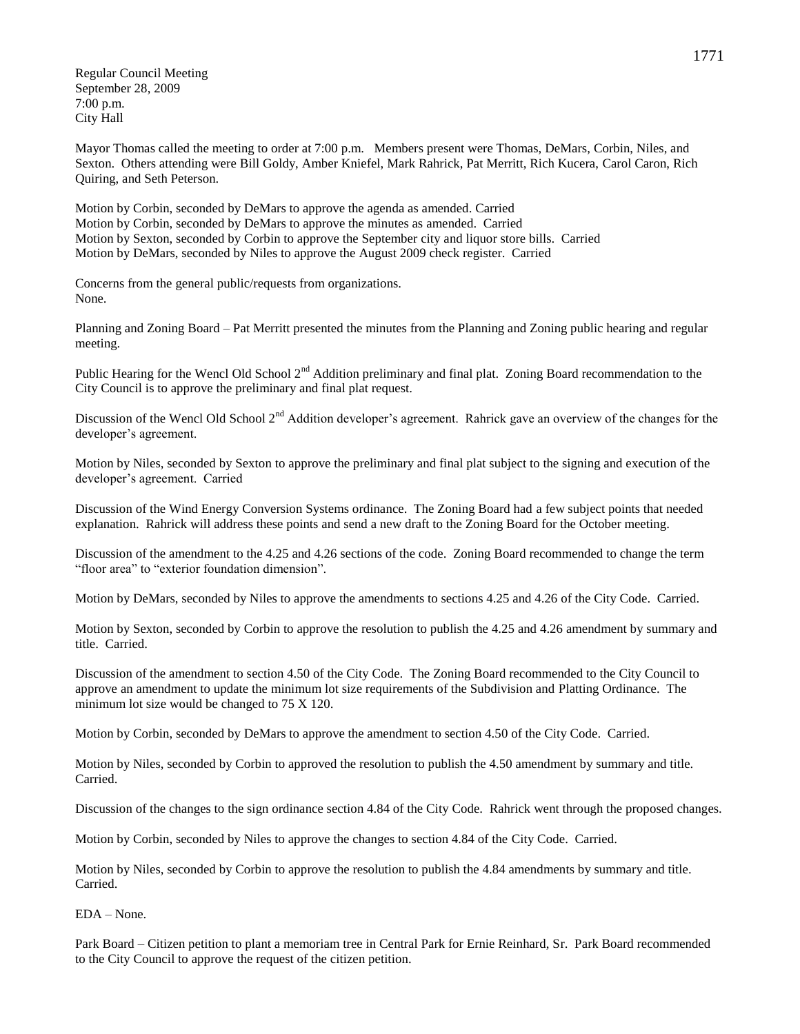Regular Council Meeting September 28, 2009 7:00 p.m. City Hall

Mayor Thomas called the meeting to order at 7:00 p.m. Members present were Thomas, DeMars, Corbin, Niles, and Sexton. Others attending were Bill Goldy, Amber Kniefel, Mark Rahrick, Pat Merritt, Rich Kucera, Carol Caron, Rich Quiring, and Seth Peterson.

Motion by Corbin, seconded by DeMars to approve the agenda as amended. Carried Motion by Corbin, seconded by DeMars to approve the minutes as amended. Carried Motion by Sexton, seconded by Corbin to approve the September city and liquor store bills. Carried Motion by DeMars, seconded by Niles to approve the August 2009 check register. Carried

Concerns from the general public/requests from organizations. None.

Planning and Zoning Board – Pat Merritt presented the minutes from the Planning and Zoning public hearing and regular meeting.

Public Hearing for the Wencl Old School 2<sup>nd</sup> Addition preliminary and final plat. Zoning Board recommendation to the City Council is to approve the preliminary and final plat request.

Discussion of the Wencl Old School 2<sup>nd</sup> Addition developer's agreement. Rahrick gave an overview of the changes for the developer's agreement.

Motion by Niles, seconded by Sexton to approve the preliminary and final plat subject to the signing and execution of the developer's agreement. Carried

Discussion of the Wind Energy Conversion Systems ordinance. The Zoning Board had a few subject points that needed explanation. Rahrick will address these points and send a new draft to the Zoning Board for the October meeting.

Discussion of the amendment to the 4.25 and 4.26 sections of the code. Zoning Board recommended to change the term "floor area" to "exterior foundation dimension".

Motion by DeMars, seconded by Niles to approve the amendments to sections 4.25 and 4.26 of the City Code. Carried.

Motion by Sexton, seconded by Corbin to approve the resolution to publish the 4.25 and 4.26 amendment by summary and title. Carried.

Discussion of the amendment to section 4.50 of the City Code. The Zoning Board recommended to the City Council to approve an amendment to update the minimum lot size requirements of the Subdivision and Platting Ordinance. The minimum lot size would be changed to 75 X 120.

Motion by Corbin, seconded by DeMars to approve the amendment to section 4.50 of the City Code. Carried.

Motion by Niles, seconded by Corbin to approved the resolution to publish the 4.50 amendment by summary and title. Carried.

Discussion of the changes to the sign ordinance section 4.84 of the City Code. Rahrick went through the proposed changes.

Motion by Corbin, seconded by Niles to approve the changes to section 4.84 of the City Code. Carried.

Motion by Niles, seconded by Corbin to approve the resolution to publish the 4.84 amendments by summary and title. Carried.

EDA – None.

Park Board – Citizen petition to plant a memoriam tree in Central Park for Ernie Reinhard, Sr. Park Board recommended to the City Council to approve the request of the citizen petition.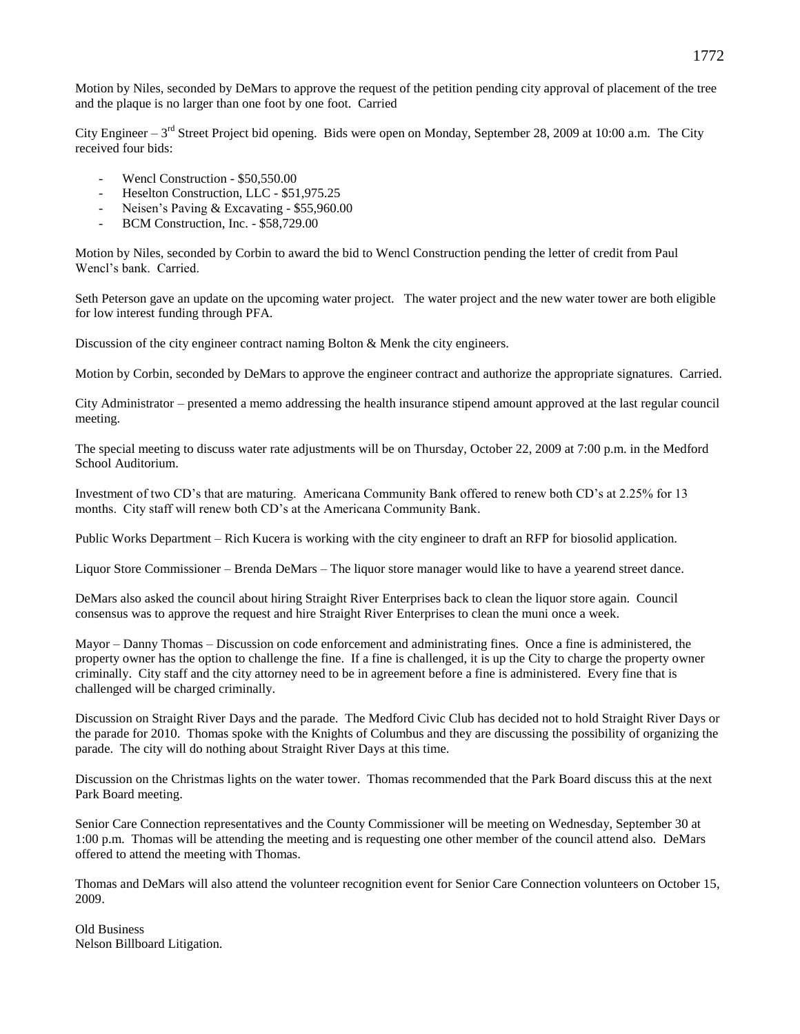Motion by Niles, seconded by DeMars to approve the request of the petition pending city approval of placement of the tree and the plaque is no larger than one foot by one foot. Carried

City Engineer  $-3^{rd}$  Street Project bid opening. Bids were open on Monday, September 28, 2009 at 10:00 a.m. The City received four bids:

- Wencl Construction \$50,550.00
- Heselton Construction, LLC \$51,975.25
- Neisen's Paving & Excavating \$55,960.00
- BCM Construction, Inc. \$58,729.00

Motion by Niles, seconded by Corbin to award the bid to Wencl Construction pending the letter of credit from Paul Wencl's bank. Carried.

Seth Peterson gave an update on the upcoming water project. The water project and the new water tower are both eligible for low interest funding through PFA.

Discussion of the city engineer contract naming Bolton & Menk the city engineers.

Motion by Corbin, seconded by DeMars to approve the engineer contract and authorize the appropriate signatures. Carried.

City Administrator – presented a memo addressing the health insurance stipend amount approved at the last regular council meeting.

The special meeting to discuss water rate adjustments will be on Thursday, October 22, 2009 at 7:00 p.m. in the Medford School Auditorium.

Investment of two CD's that are maturing. Americana Community Bank offered to renew both CD's at 2.25% for 13 months. City staff will renew both CD's at the Americana Community Bank.

Public Works Department – Rich Kucera is working with the city engineer to draft an RFP for biosolid application.

Liquor Store Commissioner – Brenda DeMars – The liquor store manager would like to have a yearend street dance.

DeMars also asked the council about hiring Straight River Enterprises back to clean the liquor store again. Council consensus was to approve the request and hire Straight River Enterprises to clean the muni once a week.

Mayor – Danny Thomas – Discussion on code enforcement and administrating fines. Once a fine is administered, the property owner has the option to challenge the fine. If a fine is challenged, it is up the City to charge the property owner criminally. City staff and the city attorney need to be in agreement before a fine is administered. Every fine that is challenged will be charged criminally.

Discussion on Straight River Days and the parade. The Medford Civic Club has decided not to hold Straight River Days or the parade for 2010. Thomas spoke with the Knights of Columbus and they are discussing the possibility of organizing the parade. The city will do nothing about Straight River Days at this time.

Discussion on the Christmas lights on the water tower. Thomas recommended that the Park Board discuss this at the next Park Board meeting.

Senior Care Connection representatives and the County Commissioner will be meeting on Wednesday, September 30 at 1:00 p.m. Thomas will be attending the meeting and is requesting one other member of the council attend also. DeMars offered to attend the meeting with Thomas.

Thomas and DeMars will also attend the volunteer recognition event for Senior Care Connection volunteers on October 15, 2009.

Old Business Nelson Billboard Litigation.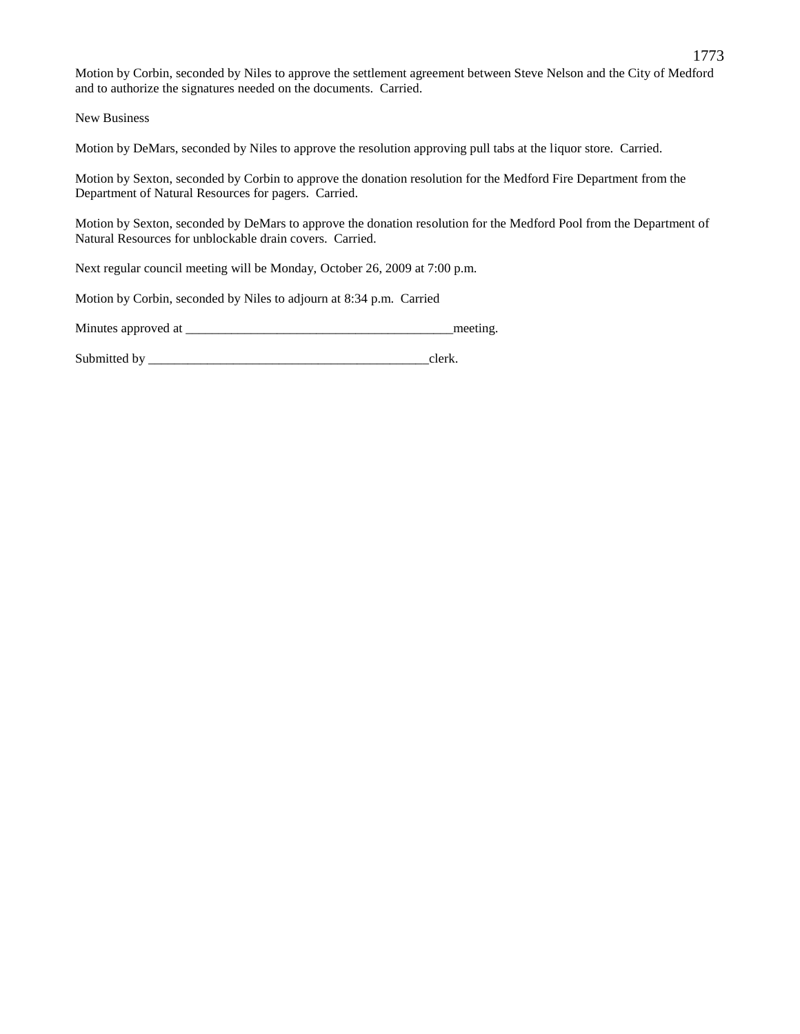Motion by Corbin, seconded by Niles to approve the settlement agreement between Steve Nelson and the City of Medford and to authorize the signatures needed on the documents. Carried.

New Business

Motion by DeMars, seconded by Niles to approve the resolution approving pull tabs at the liquor store. Carried.

Motion by Sexton, seconded by Corbin to approve the donation resolution for the Medford Fire Department from the Department of Natural Resources for pagers. Carried.

Motion by Sexton, seconded by DeMars to approve the donation resolution for the Medford Pool from the Department of Natural Resources for unblockable drain covers. Carried.

Next regular council meeting will be Monday, October 26, 2009 at 7:00 p.m.

Motion by Corbin, seconded by Niles to adjourn at 8:34 p.m. Carried

Minutes approved at \_\_\_\_\_\_\_\_\_\_\_\_\_\_\_\_\_\_\_\_\_\_\_\_\_\_\_\_\_\_\_\_\_\_\_\_\_\_\_\_\_meeting.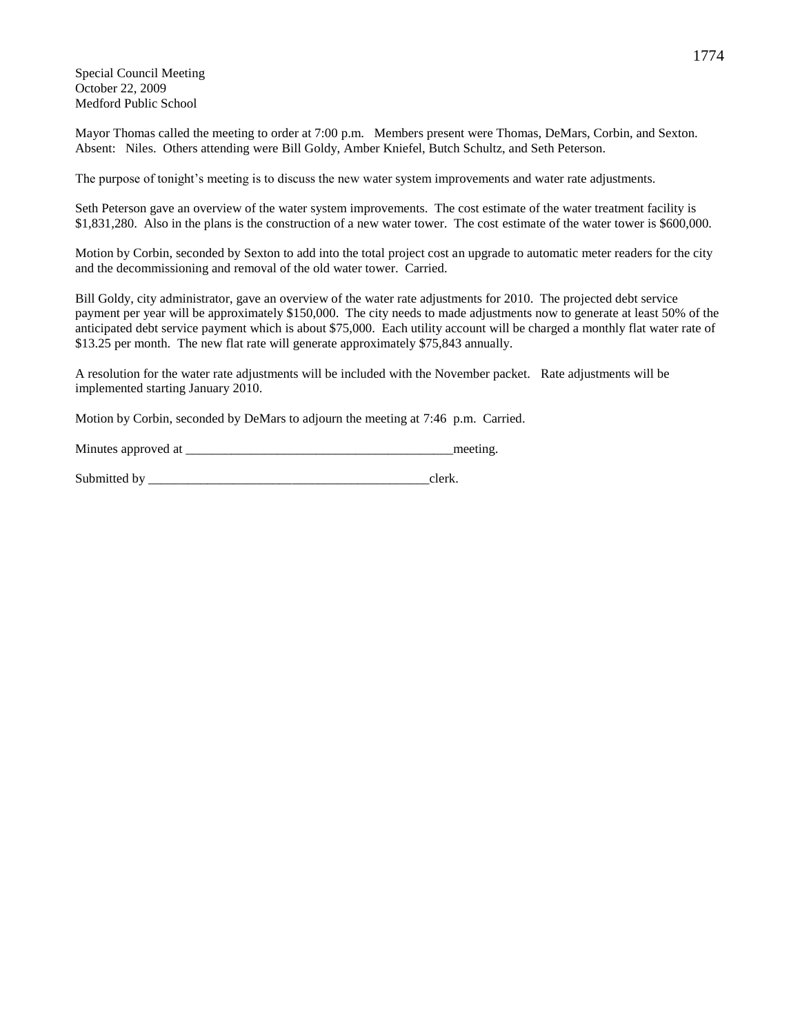Special Council Meeting October 22, 2009 Medford Public School

Mayor Thomas called the meeting to order at 7:00 p.m. Members present were Thomas, DeMars, Corbin, and Sexton. Absent: Niles. Others attending were Bill Goldy, Amber Kniefel, Butch Schultz, and Seth Peterson.

The purpose of tonight's meeting is to discuss the new water system improvements and water rate adjustments.

Seth Peterson gave an overview of the water system improvements. The cost estimate of the water treatment facility is \$1,831,280. Also in the plans is the construction of a new water tower. The cost estimate of the water tower is \$600,000.

Motion by Corbin, seconded by Sexton to add into the total project cost an upgrade to automatic meter readers for the city and the decommissioning and removal of the old water tower. Carried.

Bill Goldy, city administrator, gave an overview of the water rate adjustments for 2010. The projected debt service payment per year will be approximately \$150,000. The city needs to made adjustments now to generate at least 50% of the anticipated debt service payment which is about \$75,000. Each utility account will be charged a monthly flat water rate of \$13.25 per month. The new flat rate will generate approximately \$75,843 annually.

A resolution for the water rate adjustments will be included with the November packet. Rate adjustments will be implemented starting January 2010.

Motion by Corbin, seconded by DeMars to adjourn the meeting at 7:46 p.m. Carried.

Minutes approved at \_\_\_\_\_\_\_\_\_\_\_\_\_\_\_\_\_\_\_\_\_\_\_\_\_\_\_\_\_\_\_\_\_\_\_\_\_\_\_\_\_meeting.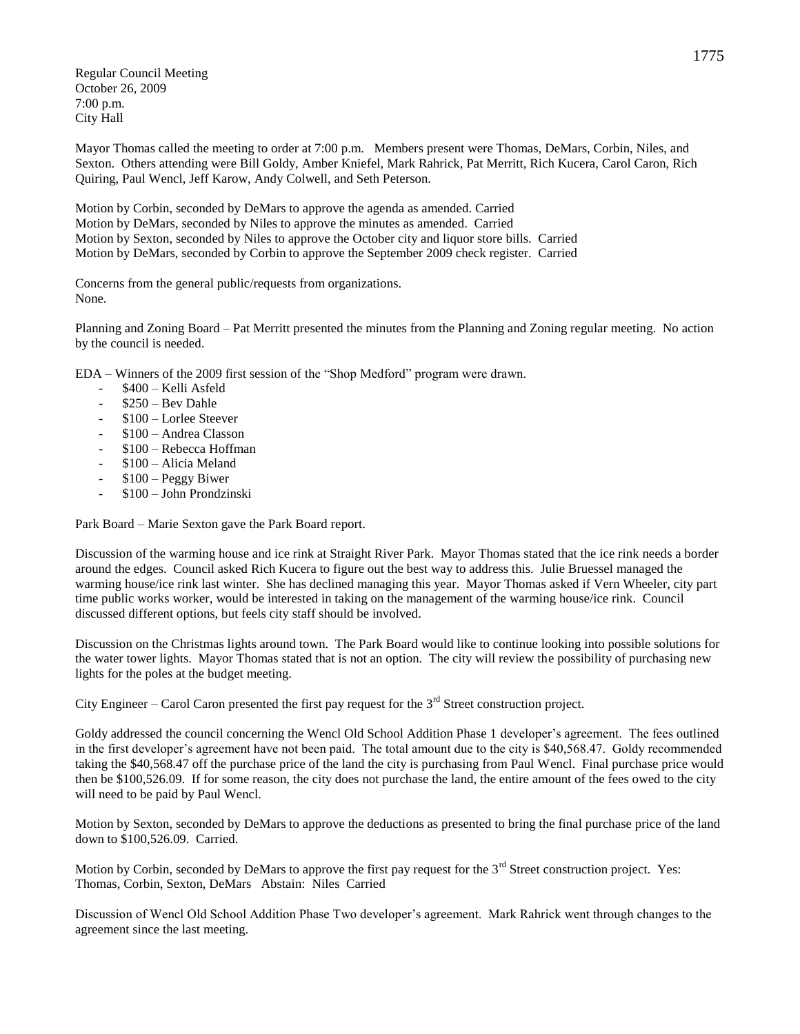Regular Council Meeting October 26, 2009 7:00 p.m. City Hall

Mayor Thomas called the meeting to order at 7:00 p.m. Members present were Thomas, DeMars, Corbin, Niles, and Sexton. Others attending were Bill Goldy, Amber Kniefel, Mark Rahrick, Pat Merritt, Rich Kucera, Carol Caron, Rich Quiring, Paul Wencl, Jeff Karow, Andy Colwell, and Seth Peterson.

Motion by Corbin, seconded by DeMars to approve the agenda as amended. Carried Motion by DeMars, seconded by Niles to approve the minutes as amended. Carried Motion by Sexton, seconded by Niles to approve the October city and liquor store bills. Carried Motion by DeMars, seconded by Corbin to approve the September 2009 check register. Carried

Concerns from the general public/requests from organizations. None.

Planning and Zoning Board – Pat Merritt presented the minutes from the Planning and Zoning regular meeting. No action by the council is needed.

EDA – Winners of the 2009 first session of the "Shop Medford" program were drawn.

- \$400 Kelli Asfeld
- \$250 Bev Dahle
- \$100 Lorlee Steever
- \$100 Andrea Classon
- \$100 Rebecca Hoffman
- \$100 Alicia Meland
- \$100 Peggy Biwer
- \$100 John Prondzinski

Park Board – Marie Sexton gave the Park Board report.

Discussion of the warming house and ice rink at Straight River Park. Mayor Thomas stated that the ice rink needs a border around the edges. Council asked Rich Kucera to figure out the best way to address this. Julie Bruessel managed the warming house/ice rink last winter. She has declined managing this year. Mayor Thomas asked if Vern Wheeler, city part time public works worker, would be interested in taking on the management of the warming house/ice rink. Council discussed different options, but feels city staff should be involved.

Discussion on the Christmas lights around town. The Park Board would like to continue looking into possible solutions for the water tower lights. Mayor Thomas stated that is not an option. The city will review the possibility of purchasing new lights for the poles at the budget meeting.

City Engineer – Carol Caron presented the first pay request for the  $3<sup>rd</sup>$  Street construction project.

Goldy addressed the council concerning the Wencl Old School Addition Phase 1 developer's agreement. The fees outlined in the first developer's agreement have not been paid. The total amount due to the city is \$40,568.47. Goldy recommended taking the \$40,568.47 off the purchase price of the land the city is purchasing from Paul Wencl. Final purchase price would then be \$100,526.09. If for some reason, the city does not purchase the land, the entire amount of the fees owed to the city will need to be paid by Paul Wencl.

Motion by Sexton, seconded by DeMars to approve the deductions as presented to bring the final purchase price of the land down to \$100,526.09. Carried.

Motion by Corbin, seconded by DeMars to approve the first pay request for the 3<sup>rd</sup> Street construction project. Yes: Thomas, Corbin, Sexton, DeMars Abstain: Niles Carried

Discussion of Wencl Old School Addition Phase Two developer's agreement. Mark Rahrick went through changes to the agreement since the last meeting.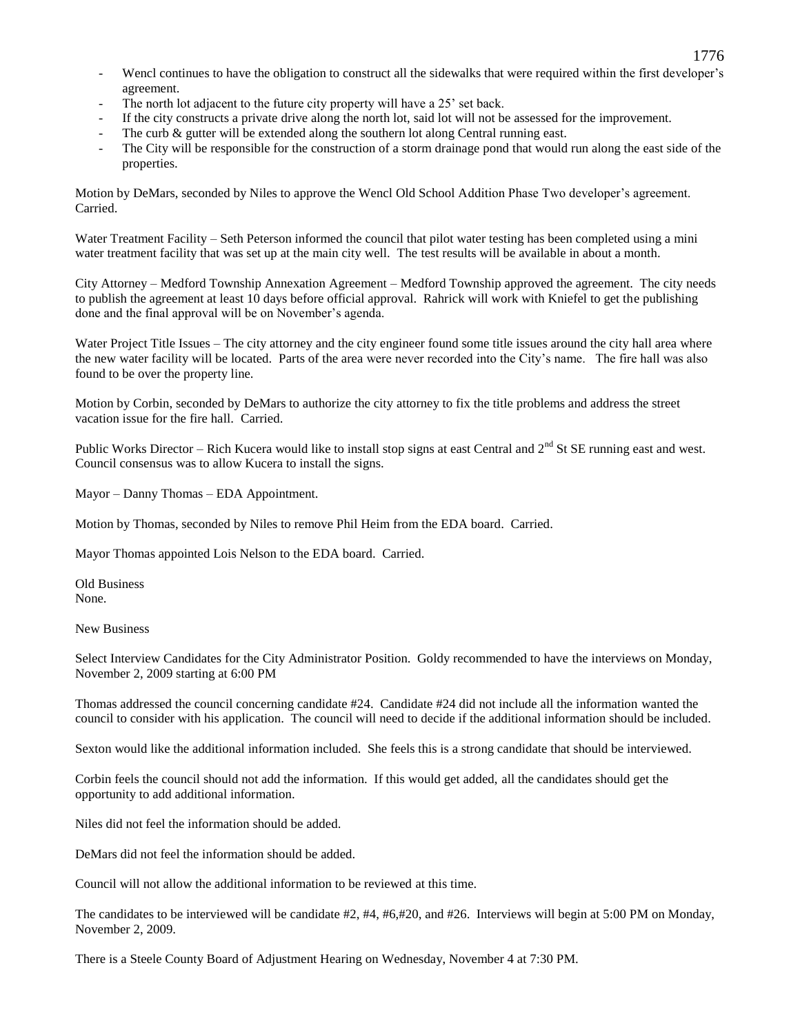- Wencl continues to have the obligation to construct all the sidewalks that were required within the first developer's agreement.
- The north lot adjacent to the future city property will have a 25' set back.
- If the city constructs a private drive along the north lot, said lot will not be assessed for the improvement.
- The curb & gutter will be extended along the southern lot along Central running east.
- The City will be responsible for the construction of a storm drainage pond that would run along the east side of the properties.

Motion by DeMars, seconded by Niles to approve the Wencl Old School Addition Phase Two developer's agreement. Carried.

Water Treatment Facility – Seth Peterson informed the council that pilot water testing has been completed using a mini water treatment facility that was set up at the main city well. The test results will be available in about a month.

City Attorney – Medford Township Annexation Agreement – Medford Township approved the agreement. The city needs to publish the agreement at least 10 days before official approval. Rahrick will work with Kniefel to get the publishing done and the final approval will be on November's agenda.

Water Project Title Issues – The city attorney and the city engineer found some title issues around the city hall area where the new water facility will be located. Parts of the area were never recorded into the City's name. The fire hall was also found to be over the property line.

Motion by Corbin, seconded by DeMars to authorize the city attorney to fix the title problems and address the street vacation issue for the fire hall. Carried.

Public Works Director – Rich Kucera would like to install stop signs at east Central and  $2<sup>nd</sup>$  St SE running east and west. Council consensus was to allow Kucera to install the signs.

Mayor – Danny Thomas – EDA Appointment.

Motion by Thomas, seconded by Niles to remove Phil Heim from the EDA board. Carried.

Mayor Thomas appointed Lois Nelson to the EDA board. Carried.

Old Business None.

New Business

Select Interview Candidates for the City Administrator Position. Goldy recommended to have the interviews on Monday, November 2, 2009 starting at 6:00 PM

Thomas addressed the council concerning candidate #24. Candidate #24 did not include all the information wanted the council to consider with his application. The council will need to decide if the additional information should be included.

Sexton would like the additional information included. She feels this is a strong candidate that should be interviewed.

Corbin feels the council should not add the information. If this would get added, all the candidates should get the opportunity to add additional information.

Niles did not feel the information should be added.

DeMars did not feel the information should be added.

Council will not allow the additional information to be reviewed at this time.

The candidates to be interviewed will be candidate #2, #4, #6,#20, and #26. Interviews will begin at 5:00 PM on Monday, November 2, 2009.

There is a Steele County Board of Adjustment Hearing on Wednesday, November 4 at 7:30 PM.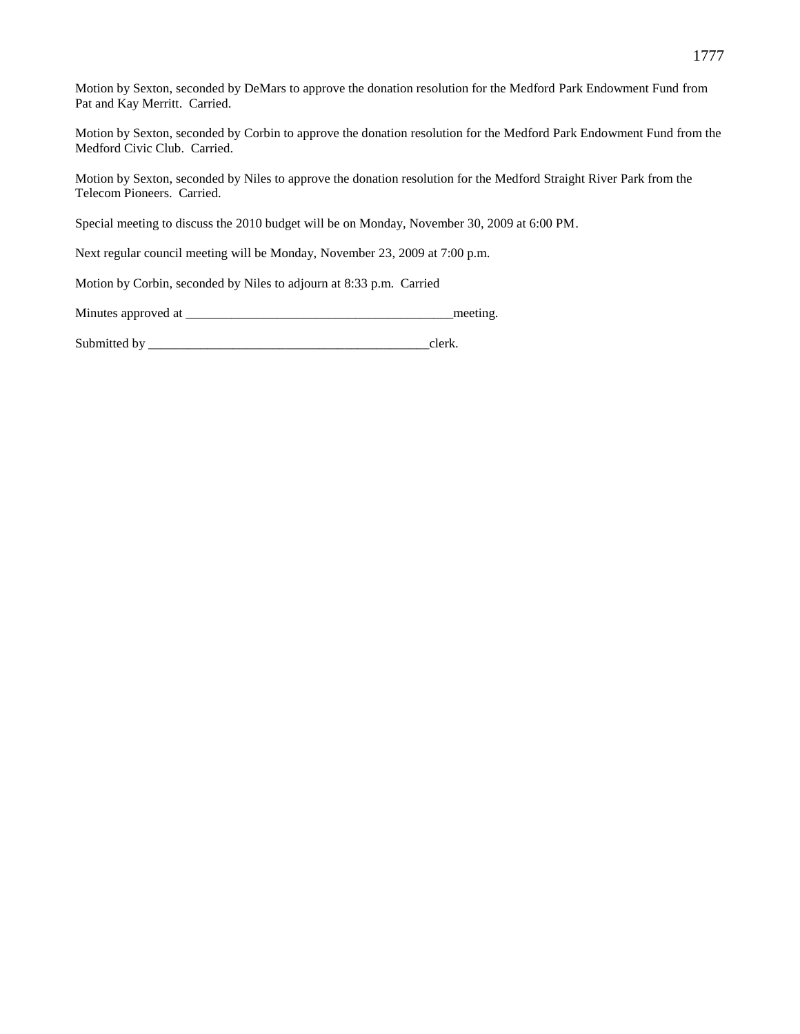Motion by Sexton, seconded by DeMars to approve the donation resolution for the Medford Park Endowment Fund from Pat and Kay Merritt. Carried.

Motion by Sexton, seconded by Corbin to approve the donation resolution for the Medford Park Endowment Fund from the Medford Civic Club. Carried.

Motion by Sexton, seconded by Niles to approve the donation resolution for the Medford Straight River Park from the Telecom Pioneers. Carried.

Special meeting to discuss the 2010 budget will be on Monday, November 30, 2009 at 6:00 PM.

Next regular council meeting will be Monday, November 23, 2009 at 7:00 p.m.

Motion by Corbin, seconded by Niles to adjourn at 8:33 p.m. Carried

Minutes approved at \_\_\_\_\_\_\_\_\_\_\_\_\_\_\_\_\_\_\_\_\_\_\_\_\_\_\_\_\_\_\_\_\_\_\_\_\_\_\_\_\_meeting.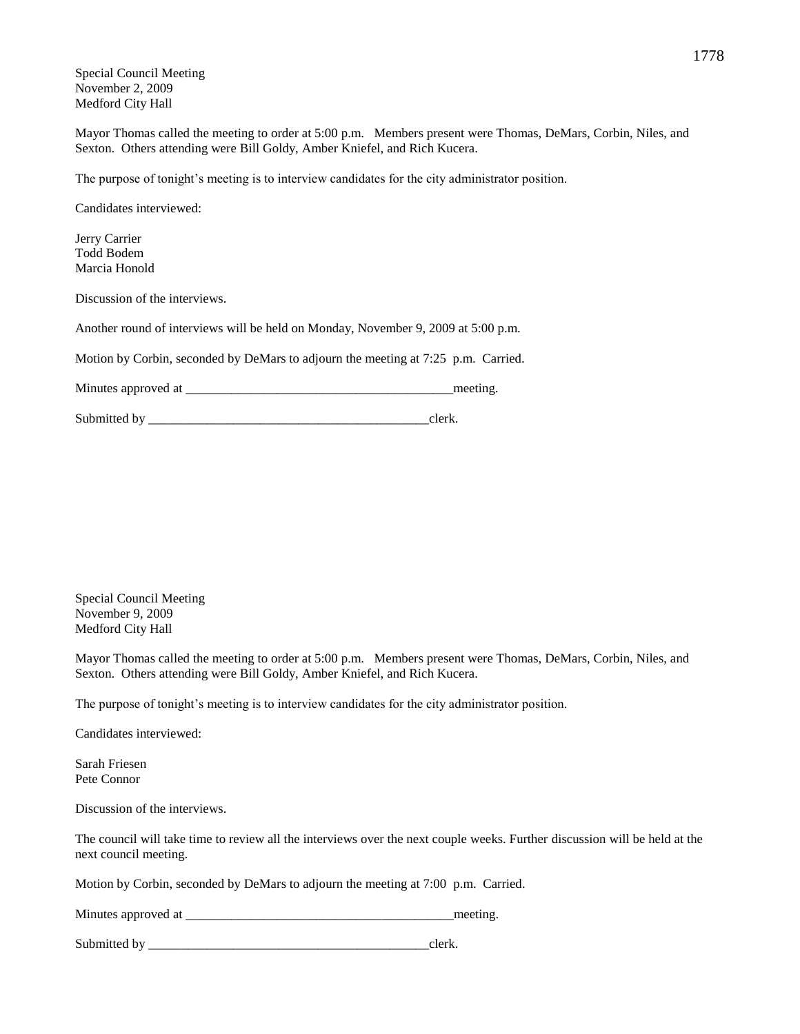Special Council Meeting November 2, 2009 Medford City Hall

Mayor Thomas called the meeting to order at 5:00 p.m. Members present were Thomas, DeMars, Corbin, Niles, and Sexton. Others attending were Bill Goldy, Amber Kniefel, and Rich Kucera.

The purpose of tonight's meeting is to interview candidates for the city administrator position.

Candidates interviewed:

Jerry Carrier Todd Bodem Marcia Honold

Discussion of the interviews.

Another round of interviews will be held on Monday, November 9, 2009 at 5:00 p.m.

Motion by Corbin, seconded by DeMars to adjourn the meeting at 7:25 p.m. Carried.

Minutes approved at \_\_\_\_\_\_\_\_\_\_\_\_\_\_\_\_\_\_\_\_\_\_\_\_\_\_\_\_\_\_\_\_\_\_\_\_\_\_\_\_\_meeting.

Submitted by clerk.

Special Council Meeting November 9, 2009 Medford City Hall

Mayor Thomas called the meeting to order at 5:00 p.m. Members present were Thomas, DeMars, Corbin, Niles, and Sexton. Others attending were Bill Goldy, Amber Kniefel, and Rich Kucera.

The purpose of tonight's meeting is to interview candidates for the city administrator position.

Candidates interviewed:

Sarah Friesen Pete Connor

Discussion of the interviews.

The council will take time to review all the interviews over the next couple weeks. Further discussion will be held at the next council meeting.

Motion by Corbin, seconded by DeMars to adjourn the meeting at 7:00 p.m. Carried.

| Minutes approved at |  | meeting |
|---------------------|--|---------|
|---------------------|--|---------|

| Submitted by |  |  |
|--------------|--|--|
|--------------|--|--|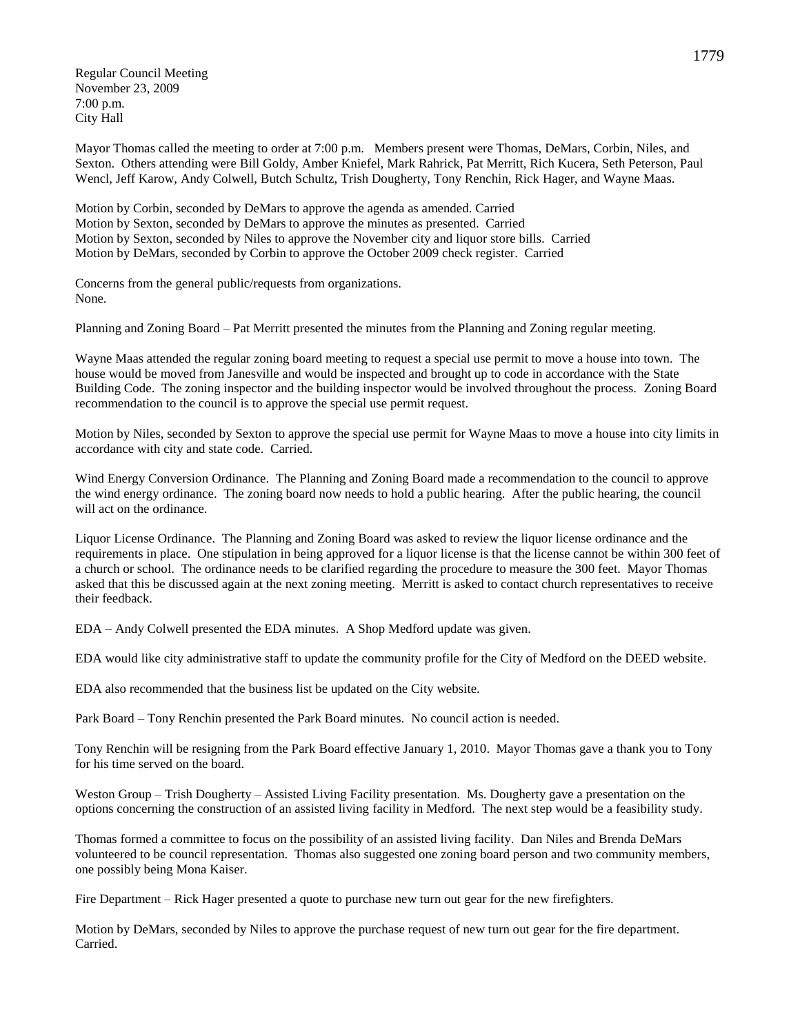Regular Council Meeting November 23, 2009 7:00 p.m. City Hall

Mayor Thomas called the meeting to order at 7:00 p.m. Members present were Thomas, DeMars, Corbin, Niles, and Sexton. Others attending were Bill Goldy, Amber Kniefel, Mark Rahrick, Pat Merritt, Rich Kucera, Seth Peterson, Paul Wencl, Jeff Karow, Andy Colwell, Butch Schultz, Trish Dougherty, Tony Renchin, Rick Hager, and Wayne Maas.

Motion by Corbin, seconded by DeMars to approve the agenda as amended. Carried Motion by Sexton, seconded by DeMars to approve the minutes as presented. Carried Motion by Sexton, seconded by Niles to approve the November city and liquor store bills. Carried Motion by DeMars, seconded by Corbin to approve the October 2009 check register. Carried

Concerns from the general public/requests from organizations. None.

Planning and Zoning Board – Pat Merritt presented the minutes from the Planning and Zoning regular meeting.

Wayne Maas attended the regular zoning board meeting to request a special use permit to move a house into town. The house would be moved from Janesville and would be inspected and brought up to code in accordance with the State Building Code. The zoning inspector and the building inspector would be involved throughout the process. Zoning Board recommendation to the council is to approve the special use permit request.

Motion by Niles, seconded by Sexton to approve the special use permit for Wayne Maas to move a house into city limits in accordance with city and state code. Carried.

Wind Energy Conversion Ordinance. The Planning and Zoning Board made a recommendation to the council to approve the wind energy ordinance. The zoning board now needs to hold a public hearing. After the public hearing, the council will act on the ordinance.

Liquor License Ordinance. The Planning and Zoning Board was asked to review the liquor license ordinance and the requirements in place. One stipulation in being approved for a liquor license is that the license cannot be within 300 feet of a church or school. The ordinance needs to be clarified regarding the procedure to measure the 300 feet. Mayor Thomas asked that this be discussed again at the next zoning meeting. Merritt is asked to contact church representatives to receive their feedback.

EDA – Andy Colwell presented the EDA minutes. A Shop Medford update was given.

EDA would like city administrative staff to update the community profile for the City of Medford on the DEED website.

EDA also recommended that the business list be updated on the City website.

Park Board – Tony Renchin presented the Park Board minutes. No council action is needed.

Tony Renchin will be resigning from the Park Board effective January 1, 2010. Mayor Thomas gave a thank you to Tony for his time served on the board.

Weston Group – Trish Dougherty – Assisted Living Facility presentation. Ms. Dougherty gave a presentation on the options concerning the construction of an assisted living facility in Medford. The next step would be a feasibility study.

Thomas formed a committee to focus on the possibility of an assisted living facility. Dan Niles and Brenda DeMars volunteered to be council representation. Thomas also suggested one zoning board person and two community members, one possibly being Mona Kaiser.

Fire Department – Rick Hager presented a quote to purchase new turn out gear for the new firefighters.

Motion by DeMars, seconded by Niles to approve the purchase request of new turn out gear for the fire department. Carried.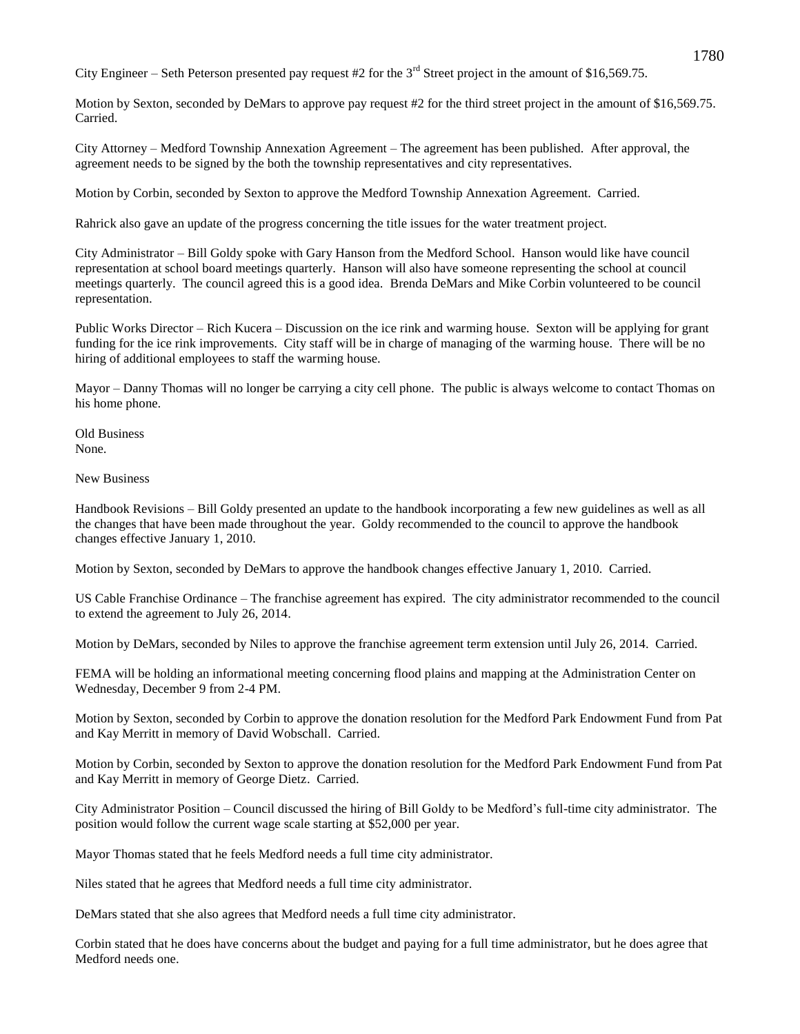City Engineer – Seth Peterson presented pay request #2 for the  $3<sup>rd</sup>$  Street project in the amount of \$16,569.75.

Motion by Sexton, seconded by DeMars to approve pay request #2 for the third street project in the amount of \$16,569.75. Carried.

City Attorney – Medford Township Annexation Agreement – The agreement has been published. After approval, the agreement needs to be signed by the both the township representatives and city representatives.

Motion by Corbin, seconded by Sexton to approve the Medford Township Annexation Agreement. Carried.

Rahrick also gave an update of the progress concerning the title issues for the water treatment project.

City Administrator – Bill Goldy spoke with Gary Hanson from the Medford School. Hanson would like have council representation at school board meetings quarterly. Hanson will also have someone representing the school at council meetings quarterly. The council agreed this is a good idea. Brenda DeMars and Mike Corbin volunteered to be council representation.

Public Works Director – Rich Kucera – Discussion on the ice rink and warming house. Sexton will be applying for grant funding for the ice rink improvements. City staff will be in charge of managing of the warming house. There will be no hiring of additional employees to staff the warming house.

Mayor – Danny Thomas will no longer be carrying a city cell phone. The public is always welcome to contact Thomas on his home phone.

Old Business None.

New Business

Handbook Revisions – Bill Goldy presented an update to the handbook incorporating a few new guidelines as well as all the changes that have been made throughout the year. Goldy recommended to the council to approve the handbook changes effective January 1, 2010.

Motion by Sexton, seconded by DeMars to approve the handbook changes effective January 1, 2010. Carried.

US Cable Franchise Ordinance – The franchise agreement has expired. The city administrator recommended to the council to extend the agreement to July 26, 2014.

Motion by DeMars, seconded by Niles to approve the franchise agreement term extension until July 26, 2014. Carried.

FEMA will be holding an informational meeting concerning flood plains and mapping at the Administration Center on Wednesday, December 9 from 2-4 PM.

Motion by Sexton, seconded by Corbin to approve the donation resolution for the Medford Park Endowment Fund from Pat and Kay Merritt in memory of David Wobschall. Carried.

Motion by Corbin, seconded by Sexton to approve the donation resolution for the Medford Park Endowment Fund from Pat and Kay Merritt in memory of George Dietz. Carried.

City Administrator Position – Council discussed the hiring of Bill Goldy to be Medford's full-time city administrator. The position would follow the current wage scale starting at \$52,000 per year.

Mayor Thomas stated that he feels Medford needs a full time city administrator.

Niles stated that he agrees that Medford needs a full time city administrator.

DeMars stated that she also agrees that Medford needs a full time city administrator.

Corbin stated that he does have concerns about the budget and paying for a full time administrator, but he does agree that Medford needs one.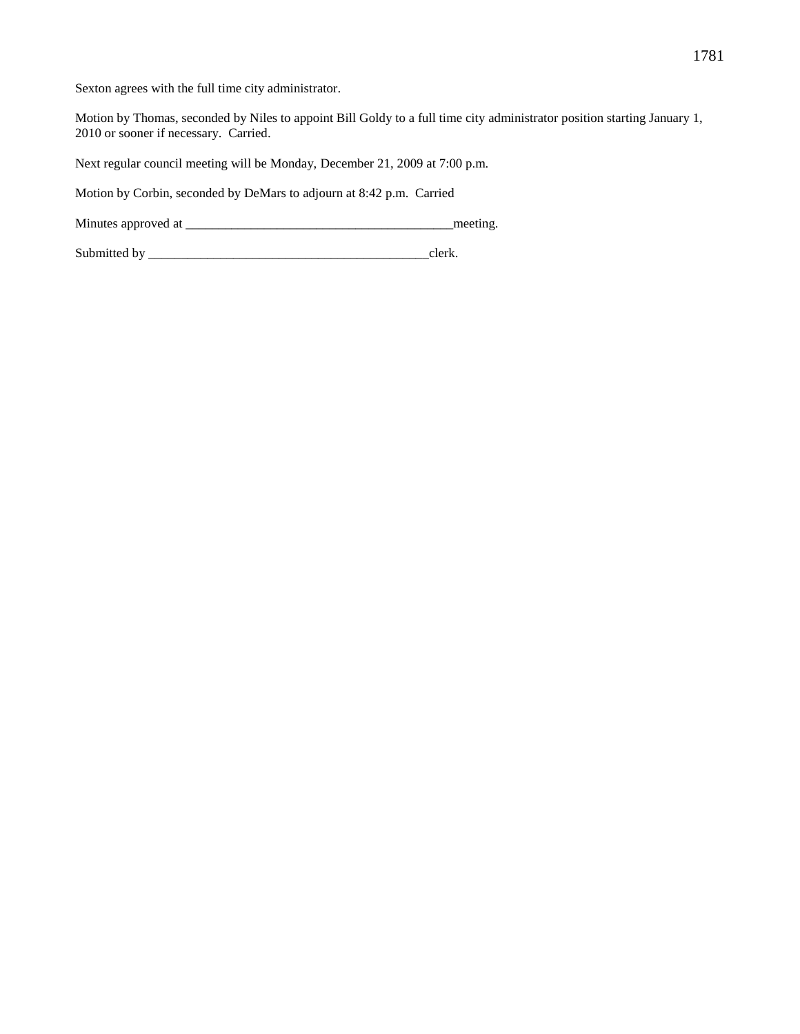Sexton agrees with the full time city administrator.

Motion by Thomas, seconded by Niles to appoint Bill Goldy to a full time city administrator position starting January 1, 2010 or sooner if necessary. Carried.

Next regular council meeting will be Monday, December 21, 2009 at 7:00 p.m.

Motion by Corbin, seconded by DeMars to adjourn at 8:42 p.m. Carried

Minutes approved at \_\_\_\_\_\_\_\_\_\_\_\_\_\_\_\_\_\_\_\_\_\_\_\_\_\_\_\_\_\_\_\_\_\_\_\_\_\_\_\_\_meeting.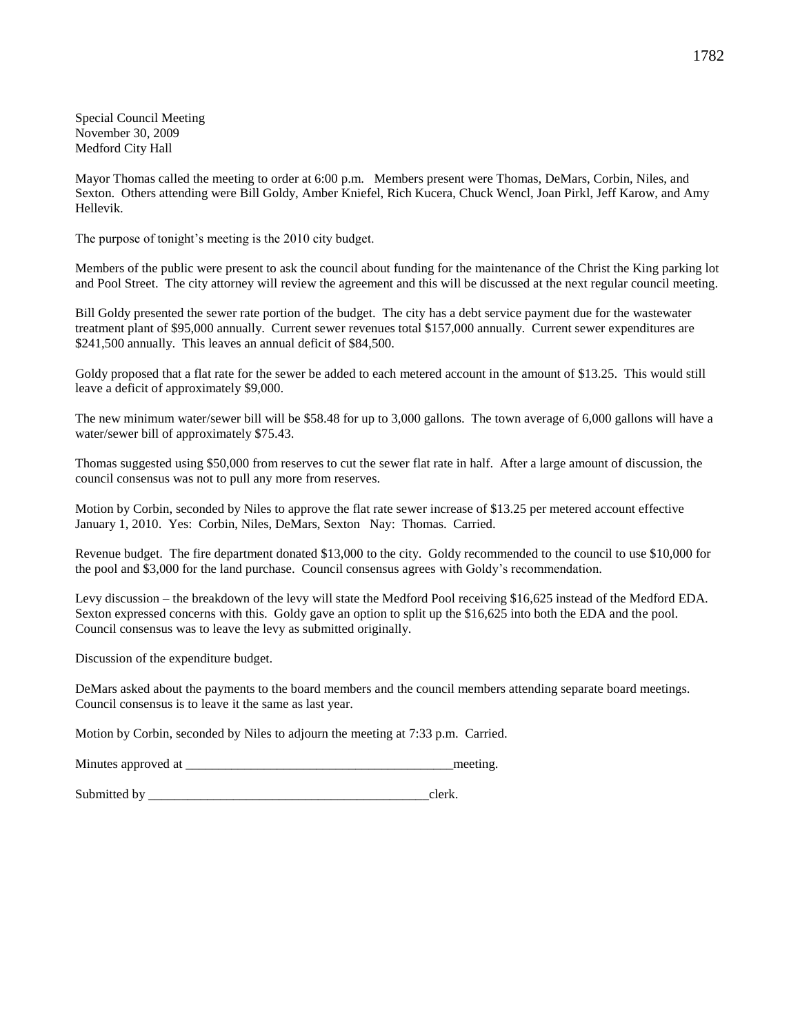Special Council Meeting November 30, 2009 Medford City Hall

Mayor Thomas called the meeting to order at 6:00 p.m. Members present were Thomas, DeMars, Corbin, Niles, and Sexton. Others attending were Bill Goldy, Amber Kniefel, Rich Kucera, Chuck Wencl, Joan Pirkl, Jeff Karow, and Amy Hellevik.

The purpose of tonight's meeting is the 2010 city budget.

Members of the public were present to ask the council about funding for the maintenance of the Christ the King parking lot and Pool Street. The city attorney will review the agreement and this will be discussed at the next regular council meeting.

Bill Goldy presented the sewer rate portion of the budget. The city has a debt service payment due for the wastewater treatment plant of \$95,000 annually. Current sewer revenues total \$157,000 annually. Current sewer expenditures are \$241,500 annually. This leaves an annual deficit of \$84,500.

Goldy proposed that a flat rate for the sewer be added to each metered account in the amount of \$13.25. This would still leave a deficit of approximately \$9,000.

The new minimum water/sewer bill will be \$58.48 for up to 3,000 gallons. The town average of 6,000 gallons will have a water/sewer bill of approximately \$75.43.

Thomas suggested using \$50,000 from reserves to cut the sewer flat rate in half. After a large amount of discussion, the council consensus was not to pull any more from reserves.

Motion by Corbin, seconded by Niles to approve the flat rate sewer increase of \$13.25 per metered account effective January 1, 2010. Yes: Corbin, Niles, DeMars, Sexton Nay: Thomas. Carried.

Revenue budget. The fire department donated \$13,000 to the city. Goldy recommended to the council to use \$10,000 for the pool and \$3,000 for the land purchase. Council consensus agrees with Goldy's recommendation.

Levy discussion – the breakdown of the levy will state the Medford Pool receiving \$16,625 instead of the Medford EDA. Sexton expressed concerns with this. Goldy gave an option to split up the \$16,625 into both the EDA and the pool. Council consensus was to leave the levy as submitted originally.

Discussion of the expenditure budget.

DeMars asked about the payments to the board members and the council members attending separate board meetings. Council consensus is to leave it the same as last year.

Motion by Corbin, seconded by Niles to adjourn the meeting at 7:33 p.m. Carried.

| Minutes approved at |  | meeting |
|---------------------|--|---------|
|---------------------|--|---------|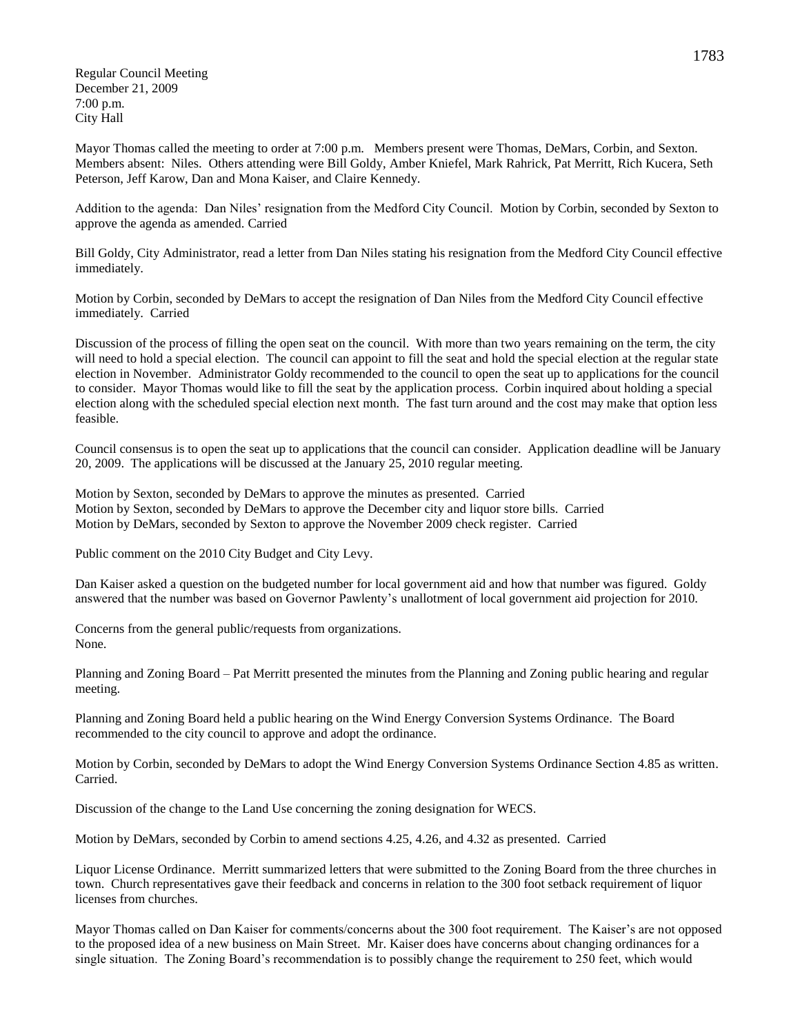Regular Council Meeting December 21, 2009 7:00 p.m. City Hall

Mayor Thomas called the meeting to order at 7:00 p.m. Members present were Thomas, DeMars, Corbin, and Sexton. Members absent: Niles. Others attending were Bill Goldy, Amber Kniefel, Mark Rahrick, Pat Merritt, Rich Kucera, Seth Peterson, Jeff Karow, Dan and Mona Kaiser, and Claire Kennedy.

Addition to the agenda: Dan Niles' resignation from the Medford City Council. Motion by Corbin, seconded by Sexton to approve the agenda as amended. Carried

Bill Goldy, City Administrator, read a letter from Dan Niles stating his resignation from the Medford City Council effective immediately.

Motion by Corbin, seconded by DeMars to accept the resignation of Dan Niles from the Medford City Council effective immediately. Carried

Discussion of the process of filling the open seat on the council. With more than two years remaining on the term, the city will need to hold a special election. The council can appoint to fill the seat and hold the special election at the regular state election in November. Administrator Goldy recommended to the council to open the seat up to applications for the council to consider. Mayor Thomas would like to fill the seat by the application process. Corbin inquired about holding a special election along with the scheduled special election next month. The fast turn around and the cost may make that option less feasible.

Council consensus is to open the seat up to applications that the council can consider. Application deadline will be January 20, 2009. The applications will be discussed at the January 25, 2010 regular meeting.

Motion by Sexton, seconded by DeMars to approve the minutes as presented. Carried Motion by Sexton, seconded by DeMars to approve the December city and liquor store bills. Carried Motion by DeMars, seconded by Sexton to approve the November 2009 check register. Carried

Public comment on the 2010 City Budget and City Levy.

Dan Kaiser asked a question on the budgeted number for local government aid and how that number was figured. Goldy answered that the number was based on Governor Pawlenty's unallotment of local government aid projection for 2010.

Concerns from the general public/requests from organizations. None.

Planning and Zoning Board – Pat Merritt presented the minutes from the Planning and Zoning public hearing and regular meeting.

Planning and Zoning Board held a public hearing on the Wind Energy Conversion Systems Ordinance. The Board recommended to the city council to approve and adopt the ordinance.

Motion by Corbin, seconded by DeMars to adopt the Wind Energy Conversion Systems Ordinance Section 4.85 as written. Carried.

Discussion of the change to the Land Use concerning the zoning designation for WECS.

Motion by DeMars, seconded by Corbin to amend sections 4.25, 4.26, and 4.32 as presented. Carried

Liquor License Ordinance. Merritt summarized letters that were submitted to the Zoning Board from the three churches in town. Church representatives gave their feedback and concerns in relation to the 300 foot setback requirement of liquor licenses from churches.

Mayor Thomas called on Dan Kaiser for comments/concerns about the 300 foot requirement. The Kaiser's are not opposed to the proposed idea of a new business on Main Street. Mr. Kaiser does have concerns about changing ordinances for a single situation. The Zoning Board's recommendation is to possibly change the requirement to 250 feet, which would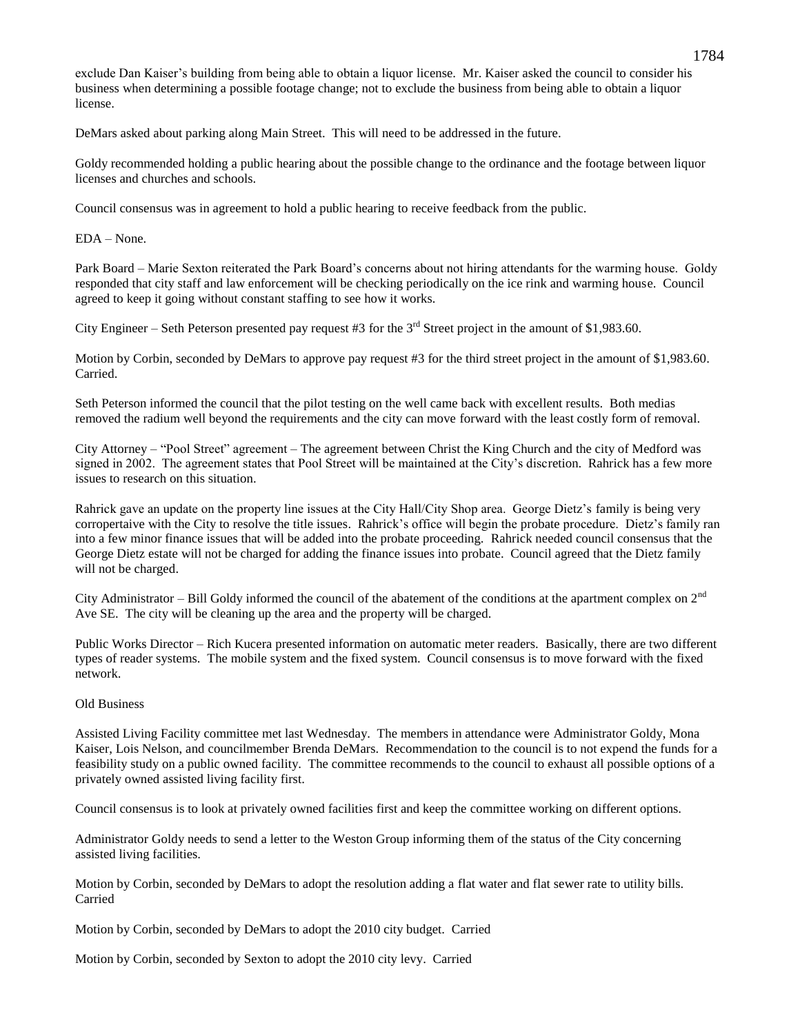exclude Dan Kaiser's building from being able to obtain a liquor license. Mr. Kaiser asked the council to consider his business when determining a possible footage change; not to exclude the business from being able to obtain a liquor license.

DeMars asked about parking along Main Street. This will need to be addressed in the future.

Goldy recommended holding a public hearing about the possible change to the ordinance and the footage between liquor licenses and churches and schools.

Council consensus was in agreement to hold a public hearing to receive feedback from the public.

EDA – None.

Park Board – Marie Sexton reiterated the Park Board's concerns about not hiring attendants for the warming house. Goldy responded that city staff and law enforcement will be checking periodically on the ice rink and warming house. Council agreed to keep it going without constant staffing to see how it works.

City Engineer – Seth Peterson presented pay request #3 for the  $3<sup>rd</sup>$  Street project in the amount of \$1,983.60.

Motion by Corbin, seconded by DeMars to approve pay request #3 for the third street project in the amount of \$1,983.60. Carried.

Seth Peterson informed the council that the pilot testing on the well came back with excellent results. Both medias removed the radium well beyond the requirements and the city can move forward with the least costly form of removal.

City Attorney – "Pool Street" agreement – The agreement between Christ the King Church and the city of Medford was signed in 2002. The agreement states that Pool Street will be maintained at the City's discretion. Rahrick has a few more issues to research on this situation.

Rahrick gave an update on the property line issues at the City Hall/City Shop area. George Dietz's family is being very corropertaive with the City to resolve the title issues. Rahrick's office will begin the probate procedure. Dietz's family ran into a few minor finance issues that will be added into the probate proceeding. Rahrick needed council consensus that the George Dietz estate will not be charged for adding the finance issues into probate. Council agreed that the Dietz family will not be charged.

City Administrator – Bill Goldy informed the council of the abatement of the conditions at the apartment complex on  $2<sup>nd</sup>$ Ave SE. The city will be cleaning up the area and the property will be charged.

Public Works Director – Rich Kucera presented information on automatic meter readers. Basically, there are two different types of reader systems. The mobile system and the fixed system. Council consensus is to move forward with the fixed network.

# Old Business

Assisted Living Facility committee met last Wednesday. The members in attendance were Administrator Goldy, Mona Kaiser, Lois Nelson, and councilmember Brenda DeMars. Recommendation to the council is to not expend the funds for a feasibility study on a public owned facility. The committee recommends to the council to exhaust all possible options of a privately owned assisted living facility first.

Council consensus is to look at privately owned facilities first and keep the committee working on different options.

Administrator Goldy needs to send a letter to the Weston Group informing them of the status of the City concerning assisted living facilities.

Motion by Corbin, seconded by DeMars to adopt the resolution adding a flat water and flat sewer rate to utility bills. Carried

Motion by Corbin, seconded by DeMars to adopt the 2010 city budget. Carried

Motion by Corbin, seconded by Sexton to adopt the 2010 city levy. Carried